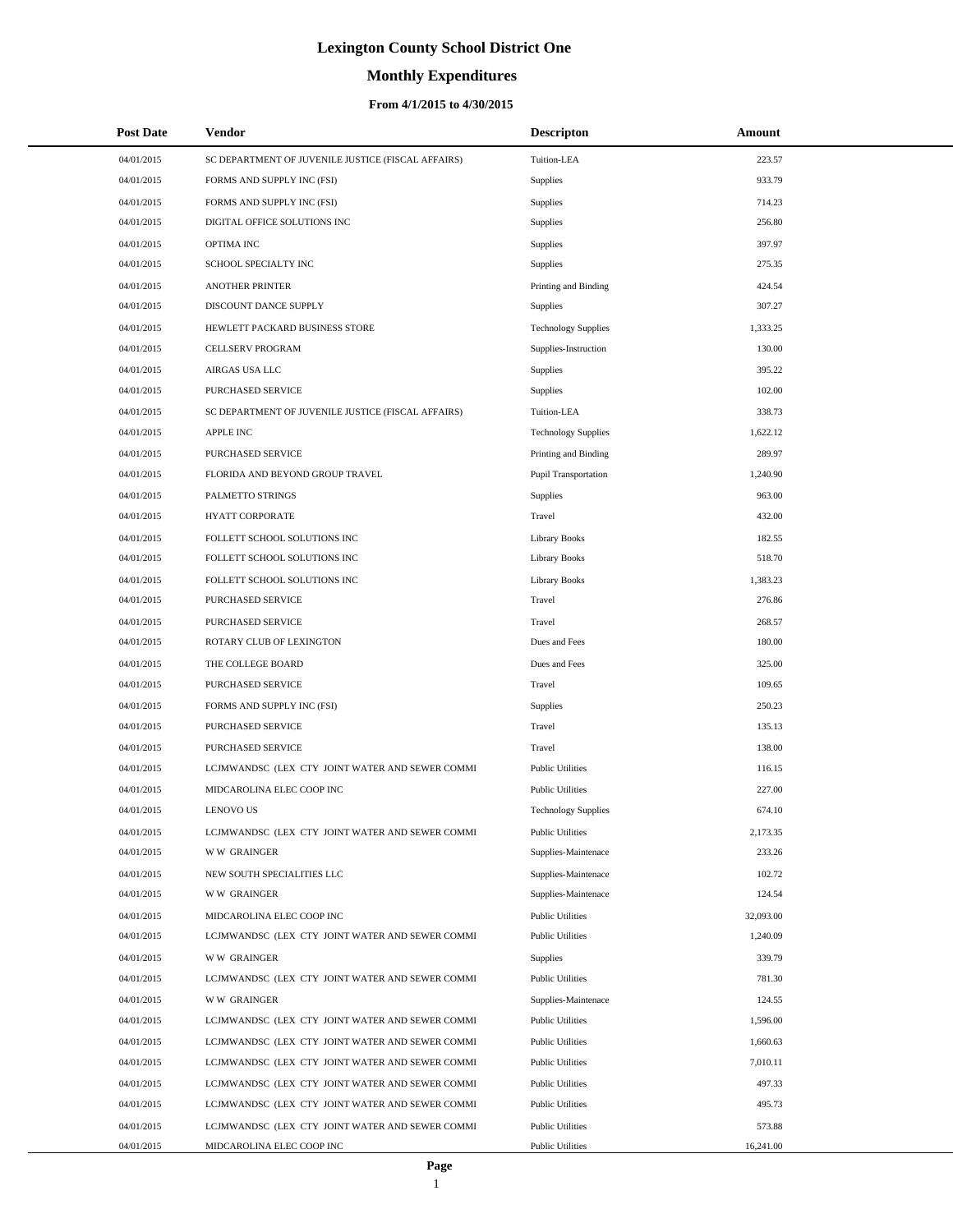# **Monthly Expenditures**

| <b>Post Date</b> | <b>Vendor</b>                                      | <b>Descripton</b>          | Amount    |
|------------------|----------------------------------------------------|----------------------------|-----------|
| 04/01/2015       | SC DEPARTMENT OF JUVENILE JUSTICE (FISCAL AFFAIRS) | Tuition-LEA                | 223.57    |
| 04/01/2015       | FORMS AND SUPPLY INC (FSI)                         | Supplies                   | 933.79    |
| 04/01/2015       | FORMS AND SUPPLY INC (FSI)                         | Supplies                   | 714.23    |
| 04/01/2015       | DIGITAL OFFICE SOLUTIONS INC                       | <b>Supplies</b>            | 256.80    |
| 04/01/2015       | OPTIMA INC                                         | Supplies                   | 397.97    |
| 04/01/2015       | SCHOOL SPECIALTY INC                               | <b>Supplies</b>            | 275.35    |
| 04/01/2015       | <b>ANOTHER PRINTER</b>                             | Printing and Binding       | 424.54    |
| 04/01/2015       | DISCOUNT DANCE SUPPLY                              | <b>Supplies</b>            | 307.27    |
| 04/01/2015       | HEWLETT PACKARD BUSINESS STORE                     | <b>Technology Supplies</b> | 1,333.25  |
| 04/01/2015       | CELLSERV PROGRAM                                   | Supplies-Instruction       | 130.00    |
| 04/01/2015       | AIRGAS USA LLC                                     | Supplies                   | 395.22    |
| 04/01/2015       | PURCHASED SERVICE                                  | <b>Supplies</b>            | 102.00    |
| 04/01/2015       | SC DEPARTMENT OF JUVENILE JUSTICE (FISCAL AFFAIRS) | Tuition-LEA                | 338.73    |
| 04/01/2015       | <b>APPLE INC</b>                                   | <b>Technology Supplies</b> | 1,622.12  |
| 04/01/2015       | PURCHASED SERVICE                                  | Printing and Binding       | 289.97    |
| 04/01/2015       | FLORIDA AND BEYOND GROUP TRAVEL                    | Pupil Transportation       | 1,240.90  |
| 04/01/2015       | PALMETTO STRINGS                                   | Supplies                   | 963.00    |
| 04/01/2015       | <b>HYATT CORPORATE</b>                             | Travel                     | 432.00    |
| 04/01/2015       | FOLLETT SCHOOL SOLUTIONS INC                       | <b>Library Books</b>       | 182.55    |
| 04/01/2015       | FOLLETT SCHOOL SOLUTIONS INC                       | <b>Library Books</b>       | 518.70    |
| 04/01/2015       | FOLLETT SCHOOL SOLUTIONS INC                       | <b>Library Books</b>       | 1,383.23  |
| 04/01/2015       | PURCHASED SERVICE                                  | Travel                     | 276.86    |
| 04/01/2015       | PURCHASED SERVICE                                  | Travel                     | 268.57    |
| 04/01/2015       | ROTARY CLUB OF LEXINGTON                           | Dues and Fees              | 180.00    |
| 04/01/2015       | THE COLLEGE BOARD                                  | Dues and Fees              | 325.00    |
| 04/01/2015       | PURCHASED SERVICE                                  | Travel                     | 109.65    |
| 04/01/2015       | FORMS AND SUPPLY INC (FSI)                         | Supplies                   | 250.23    |
| 04/01/2015       | PURCHASED SERVICE                                  | Travel                     | 135.13    |
| 04/01/2015       | PURCHASED SERVICE                                  | Travel                     | 138.00    |
| 04/01/2015       | LCJMWANDSC (LEX CTY JOINT WATER AND SEWER COMMI    | <b>Public Utilities</b>    | 116.15    |
| 04/01/2015       | MIDCAROLINA ELEC COOP INC                          | <b>Public Utilities</b>    | 227.00    |
| 04/01/2015       | <b>LENOVO US</b>                                   | <b>Technology Supplies</b> | 674.10    |
| 04/01/2015       | LCJMWANDSC (LEX CTY JOINT WATER AND SEWER COMMI    | <b>Public Utilities</b>    | 2,173.35  |
| 04/01/2015       | <b>WW GRAINGER</b>                                 | Supplies-Maintenace        | 233.26    |
| 04/01/2015       | NEW SOUTH SPECIALITIES LLC                         | Supplies-Maintenace        | 102.72    |
| 04/01/2015       | <b>WW GRAINGER</b>                                 | Supplies-Maintenace        | 124.54    |
| 04/01/2015       | MIDCAROLINA ELEC COOP INC                          | <b>Public Utilities</b>    | 32,093.00 |
| 04/01/2015       | LCJMWANDSC (LEX CTY JOINT WATER AND SEWER COMMI    | <b>Public Utilities</b>    | 1,240.09  |
| 04/01/2015       | <b>WW GRAINGER</b>                                 | Supplies                   | 339.79    |
| 04/01/2015       | LCJMWANDSC (LEX CTY JOINT WATER AND SEWER COMMI    | <b>Public Utilities</b>    | 781.30    |
| 04/01/2015       | <b>WW GRAINGER</b>                                 | Supplies-Maintenace        | 124.55    |
| 04/01/2015       | LCJMWANDSC (LEX CTY JOINT WATER AND SEWER COMMI    | <b>Public Utilities</b>    | 1,596.00  |
| 04/01/2015       | LCJMWANDSC (LEX CTY JOINT WATER AND SEWER COMMI    | <b>Public Utilities</b>    | 1,660.63  |
| 04/01/2015       | LCJMWANDSC (LEX CTY JOINT WATER AND SEWER COMMI    | <b>Public Utilities</b>    | 7,010.11  |
| 04/01/2015       | LCJMWANDSC (LEX CTY JOINT WATER AND SEWER COMMI    | <b>Public Utilities</b>    | 497.33    |
| 04/01/2015       | LCJMWANDSC (LEX CTY JOINT WATER AND SEWER COMMI    | <b>Public Utilities</b>    | 495.73    |
| 04/01/2015       | LCJMWANDSC (LEX CTY JOINT WATER AND SEWER COMMI    | <b>Public Utilities</b>    | 573.88    |
| 04/01/2015       | MIDCAROLINA ELEC COOP INC                          | <b>Public Utilities</b>    | 16,241.00 |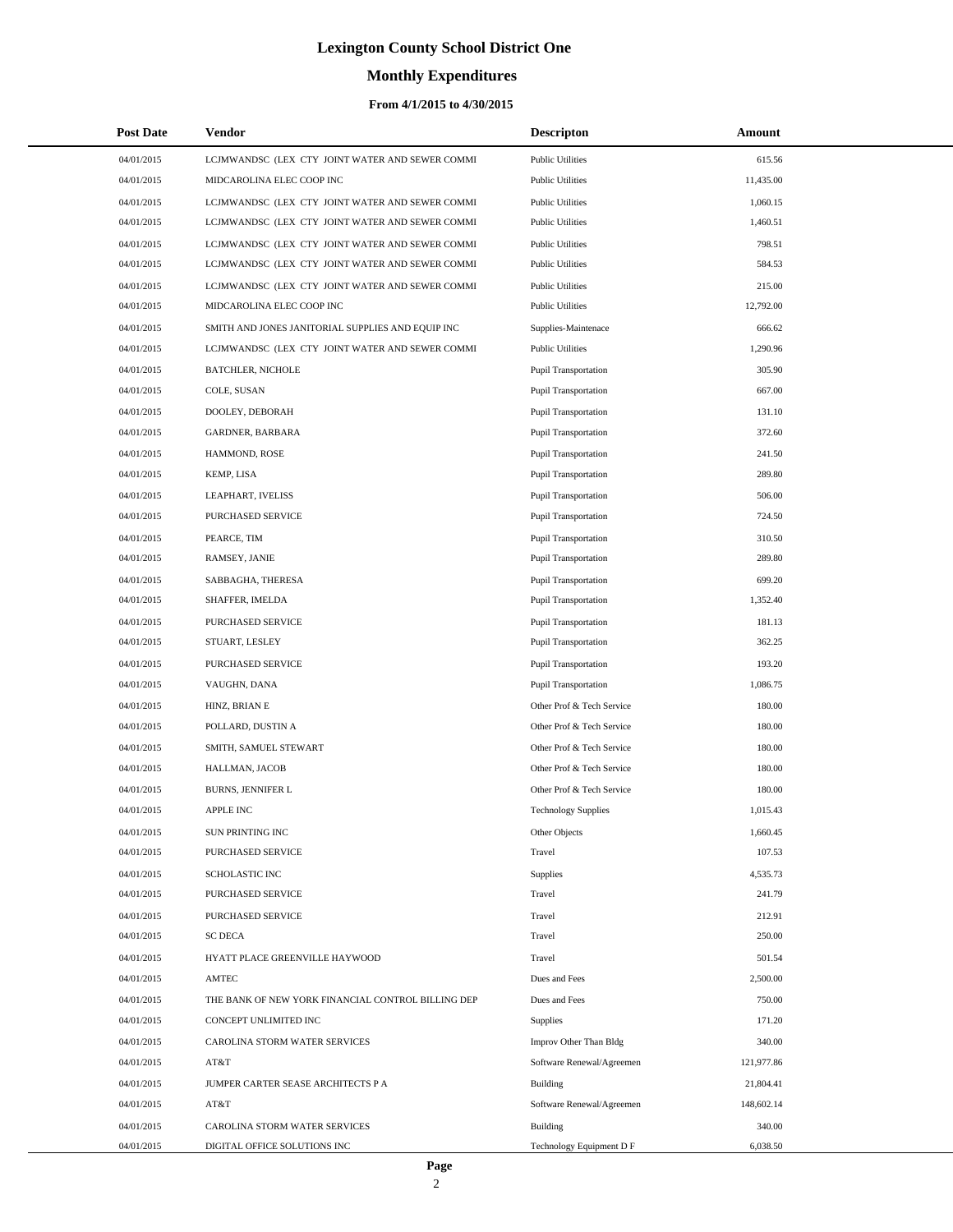# **Monthly Expenditures**

### **From 4/1/2015 to 4/30/2015**

| <b>Post Date</b> | Vendor                                             | <b>Descripton</b>           | Amount     |
|------------------|----------------------------------------------------|-----------------------------|------------|
| 04/01/2015       | LCJMWANDSC (LEX CTY JOINT WATER AND SEWER COMMI    | <b>Public Utilities</b>     | 615.56     |
| 04/01/2015       | MIDCAROLINA ELEC COOP INC                          | <b>Public Utilities</b>     | 11,435.00  |
| 04/01/2015       | LCJMWANDSC (LEX CTY JOINT WATER AND SEWER COMMI    | <b>Public Utilities</b>     | 1,060.15   |
| 04/01/2015       | LCJMWANDSC (LEX CTY JOINT WATER AND SEWER COMMI    | <b>Public Utilities</b>     | 1,460.51   |
| 04/01/2015       | LCJMWANDSC (LEX CTY JOINT WATER AND SEWER COMMI    | <b>Public Utilities</b>     | 798.51     |
| 04/01/2015       | LCJMWANDSC (LEX CTY JOINT WATER AND SEWER COMMI    | <b>Public Utilities</b>     | 584.53     |
| 04/01/2015       | LCJMWANDSC (LEX CTY JOINT WATER AND SEWER COMMI    | <b>Public Utilities</b>     | 215.00     |
| 04/01/2015       | MIDCAROLINA ELEC COOP INC                          | <b>Public Utilities</b>     | 12,792.00  |
| 04/01/2015       | SMITH AND JONES JANITORIAL SUPPLIES AND EQUIP INC  | Supplies-Maintenace         | 666.62     |
| 04/01/2015       | LCJMWANDSC (LEX CTY JOINT WATER AND SEWER COMMI    | <b>Public Utilities</b>     | 1,290.96   |
| 04/01/2015       | <b>BATCHLER, NICHOLE</b>                           | Pupil Transportation        | 305.90     |
| 04/01/2015       | COLE, SUSAN                                        | <b>Pupil Transportation</b> | 667.00     |
| 04/01/2015       | DOOLEY, DEBORAH                                    | Pupil Transportation        | 131.10     |
| 04/01/2015       | GARDNER, BARBARA                                   | <b>Pupil Transportation</b> | 372.60     |
| 04/01/2015       | HAMMOND, ROSE                                      | Pupil Transportation        | 241.50     |
| 04/01/2015       | KEMP, LISA                                         | <b>Pupil Transportation</b> | 289.80     |
| 04/01/2015       | LEAPHART, IVELISS                                  | Pupil Transportation        | 506.00     |
| 04/01/2015       | <b>PURCHASED SERVICE</b>                           | <b>Pupil Transportation</b> | 724.50     |
| 04/01/2015       | PEARCE, TIM                                        | Pupil Transportation        | 310.50     |
| 04/01/2015       | RAMSEY, JANIE                                      | <b>Pupil Transportation</b> | 289.80     |
| 04/01/2015       | SABBAGHA, THERESA                                  | Pupil Transportation        | 699.20     |
| 04/01/2015       | SHAFFER, IMELDA                                    | <b>Pupil Transportation</b> | 1,352.40   |
| 04/01/2015       | PURCHASED SERVICE                                  | Pupil Transportation        | 181.13     |
| 04/01/2015       | STUART, LESLEY                                     | <b>Pupil Transportation</b> | 362.25     |
| 04/01/2015       | PURCHASED SERVICE                                  | Pupil Transportation        | 193.20     |
| 04/01/2015       | VAUGHN, DANA                                       | <b>Pupil Transportation</b> | 1,086.75   |
| 04/01/2015       | HINZ, BRIAN E                                      | Other Prof & Tech Service   | 180.00     |
| 04/01/2015       | POLLARD, DUSTIN A                                  | Other Prof & Tech Service   | 180.00     |
| 04/01/2015       | SMITH, SAMUEL STEWART                              | Other Prof & Tech Service   | 180.00     |
| 04/01/2015       | HALLMAN, JACOB                                     | Other Prof & Tech Service   | 180.00     |
| 04/01/2015       | <b>BURNS, JENNIFER L</b>                           | Other Prof & Tech Service   | 180.00     |
| 04/01/2015       | <b>APPLE INC</b>                                   | <b>Technology Supplies</b>  | 1,015.43   |
| 04/01/2015       | SUN PRINTING INC                                   | Other Objects               | 1,660.45   |
| 04/01/2015       | PURCHASED SERVICE                                  | Travel                      | 107.53     |
| 04/01/2015       | <b>SCHOLASTIC INC</b>                              | Supplies                    | 4,535.73   |
| 04/01/2015       | PURCHASED SERVICE                                  | Travel                      | 241.79     |
| 04/01/2015       | PURCHASED SERVICE                                  | Travel                      | 212.91     |
| 04/01/2015       | <b>SC DECA</b>                                     | Travel                      | 250.00     |
| 04/01/2015       | HYATT PLACE GREENVILLE HAYWOOD                     | Travel                      | 501.54     |
| 04/01/2015       | AMTEC                                              | Dues and Fees               | 2,500.00   |
| 04/01/2015       | THE BANK OF NEW YORK FINANCIAL CONTROL BILLING DEP | Dues and Fees               | 750.00     |
| 04/01/2015       | CONCEPT UNLIMITED INC                              | Supplies                    | 171.20     |
| 04/01/2015       | CAROLINA STORM WATER SERVICES                      | Improv Other Than Bldg      | 340.00     |
| 04/01/2015       | AT&T                                               | Software Renewal/Agreemen   | 121,977.86 |
| 04/01/2015       | JUMPER CARTER SEASE ARCHITECTS P A                 | <b>Building</b>             | 21,804.41  |
| 04/01/2015       | AT&T                                               | Software Renewal/Agreemen   | 148,602.14 |
| 04/01/2015       | CAROLINA STORM WATER SERVICES                      | Building                    | 340.00     |
| 04/01/2015       | DIGITAL OFFICE SOLUTIONS INC                       | Technology Equipment D F    | 6,038.50   |

÷.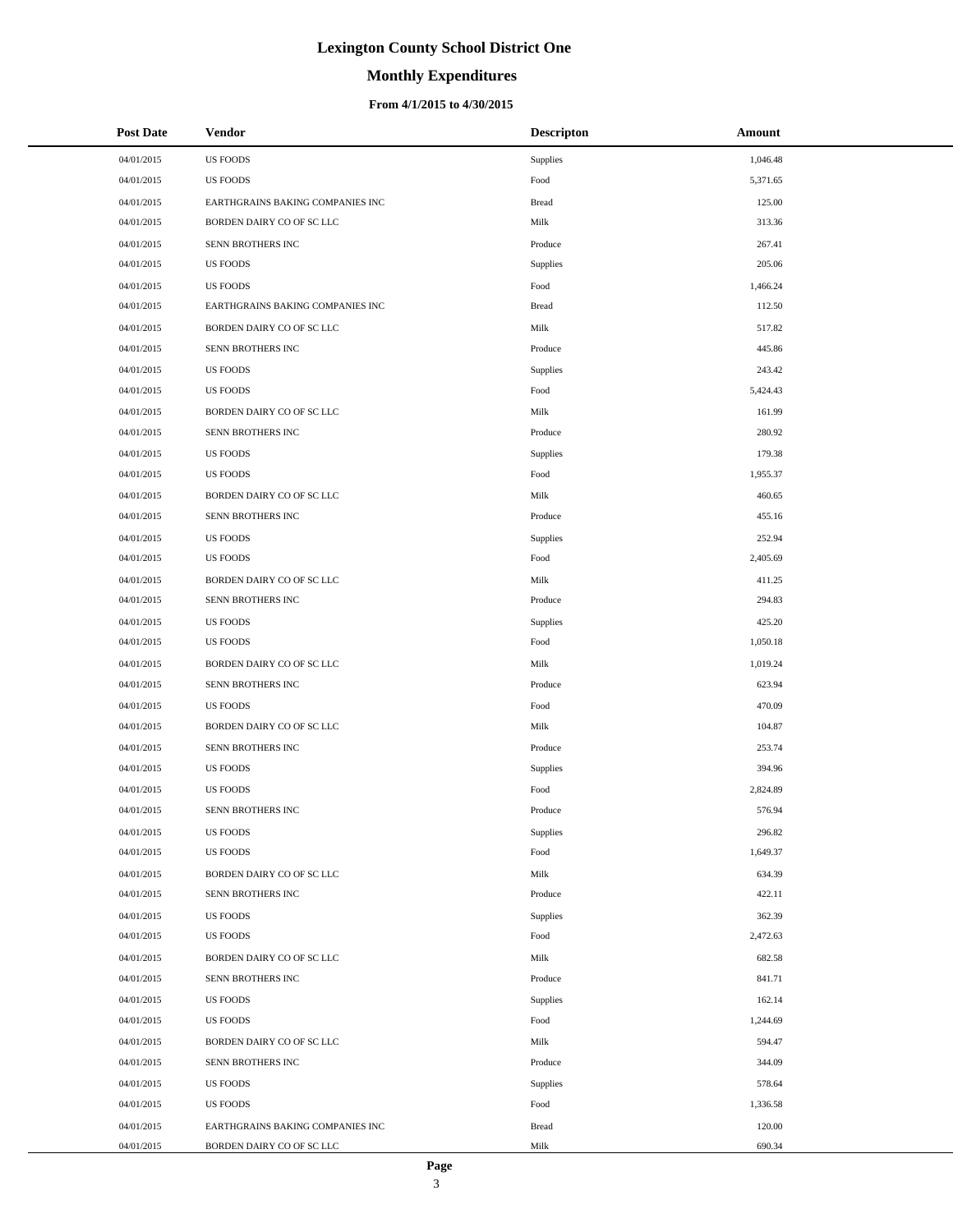# **Monthly Expenditures**

### **From 4/1/2015 to 4/30/2015**

| <b>Post Date</b> | Vendor                           | <b>Descripton</b> | Amount   |
|------------------|----------------------------------|-------------------|----------|
| 04/01/2015       | <b>US FOODS</b>                  | Supplies          | 1,046.48 |
| 04/01/2015       | <b>US FOODS</b>                  | Food              | 5,371.65 |
| 04/01/2015       | EARTHGRAINS BAKING COMPANIES INC | <b>Bread</b>      | 125.00   |
| 04/01/2015       | BORDEN DAIRY CO OF SC LLC        | Milk              | 313.36   |
| 04/01/2015       | SENN BROTHERS INC                | Produce           | 267.41   |
| 04/01/2015       | <b>US FOODS</b>                  | Supplies          | 205.06   |
| 04/01/2015       | <b>US FOODS</b>                  | Food              | 1,466.24 |
| 04/01/2015       | EARTHGRAINS BAKING COMPANIES INC | <b>Bread</b>      | 112.50   |
| 04/01/2015       | BORDEN DAIRY CO OF SC LLC        | Milk              | 517.82   |
| 04/01/2015       | SENN BROTHERS INC                | Produce           | 445.86   |
| 04/01/2015       | <b>US FOODS</b>                  | Supplies          | 243.42   |
| 04/01/2015       | <b>US FOODS</b>                  | Food              | 5,424.43 |
| 04/01/2015       | BORDEN DAIRY CO OF SC LLC        | Milk              | 161.99   |
| 04/01/2015       | SENN BROTHERS INC                | Produce           | 280.92   |
| 04/01/2015       | <b>US FOODS</b>                  | Supplies          | 179.38   |
| 04/01/2015       | <b>US FOODS</b>                  | Food              | 1,955.37 |
| 04/01/2015       | BORDEN DAIRY CO OF SC LLC        | Milk              | 460.65   |
| 04/01/2015       | SENN BROTHERS INC                | Produce           | 455.16   |
| 04/01/2015       | <b>US FOODS</b>                  | Supplies          | 252.94   |
| 04/01/2015       | <b>US FOODS</b>                  | Food              | 2,405.69 |
| 04/01/2015       | BORDEN DAIRY CO OF SC LLC        | Milk              | 411.25   |
| 04/01/2015       | SENN BROTHERS INC                | Produce           | 294.83   |
| 04/01/2015       | <b>US FOODS</b>                  | Supplies          | 425.20   |
| 04/01/2015       | <b>US FOODS</b>                  | Food              | 1,050.18 |
| 04/01/2015       | BORDEN DAIRY CO OF SC LLC        | Milk              | 1,019.24 |
| 04/01/2015       | SENN BROTHERS INC                | Produce           | 623.94   |
| 04/01/2015       | <b>US FOODS</b>                  | Food              | 470.09   |
| 04/01/2015       | BORDEN DAIRY CO OF SC LLC        | Milk              | 104.87   |
| 04/01/2015       | SENN BROTHERS INC                | Produce           | 253.74   |
| 04/01/2015       | <b>US FOODS</b>                  | Supplies          | 394.96   |
| 04/01/2015       | <b>US FOODS</b>                  | Food              | 2,824.89 |
| 04/01/2015       | SENN BROTHERS INC                | Produce           | 576.94   |
| 04/01/2015       | <b>US FOODS</b>                  | Supplies          | 296.82   |
| 04/01/2015       | <b>US FOODS</b>                  | Food              | 1,649.37 |
| 04/01/2015       | BORDEN DAIRY CO OF SC LLC        | Milk              | 634.39   |
| 04/01/2015       | SENN BROTHERS INC                | Produce           | 422.11   |
| 04/01/2015       | <b>US FOODS</b>                  | Supplies          | 362.39   |
| 04/01/2015       | <b>US FOODS</b>                  | Food              | 2,472.63 |
| 04/01/2015       | BORDEN DAIRY CO OF SC LLC        | Milk              | 682.58   |
| 04/01/2015       | SENN BROTHERS INC                | Produce           | 841.71   |
| 04/01/2015       | <b>US FOODS</b>                  | Supplies          | 162.14   |
| 04/01/2015       | <b>US FOODS</b>                  | Food              | 1,244.69 |
| 04/01/2015       | BORDEN DAIRY CO OF SC LLC        | Milk              | 594.47   |
| 04/01/2015       | SENN BROTHERS INC                | Produce           | 344.09   |
| 04/01/2015       | <b>US FOODS</b>                  | Supplies          | 578.64   |
| 04/01/2015       | <b>US FOODS</b>                  | Food              | 1,336.58 |
| 04/01/2015       | EARTHGRAINS BAKING COMPANIES INC | <b>Bread</b>      | 120.00   |
| 04/01/2015       | BORDEN DAIRY CO OF SC LLC        | Milk              | 690.34   |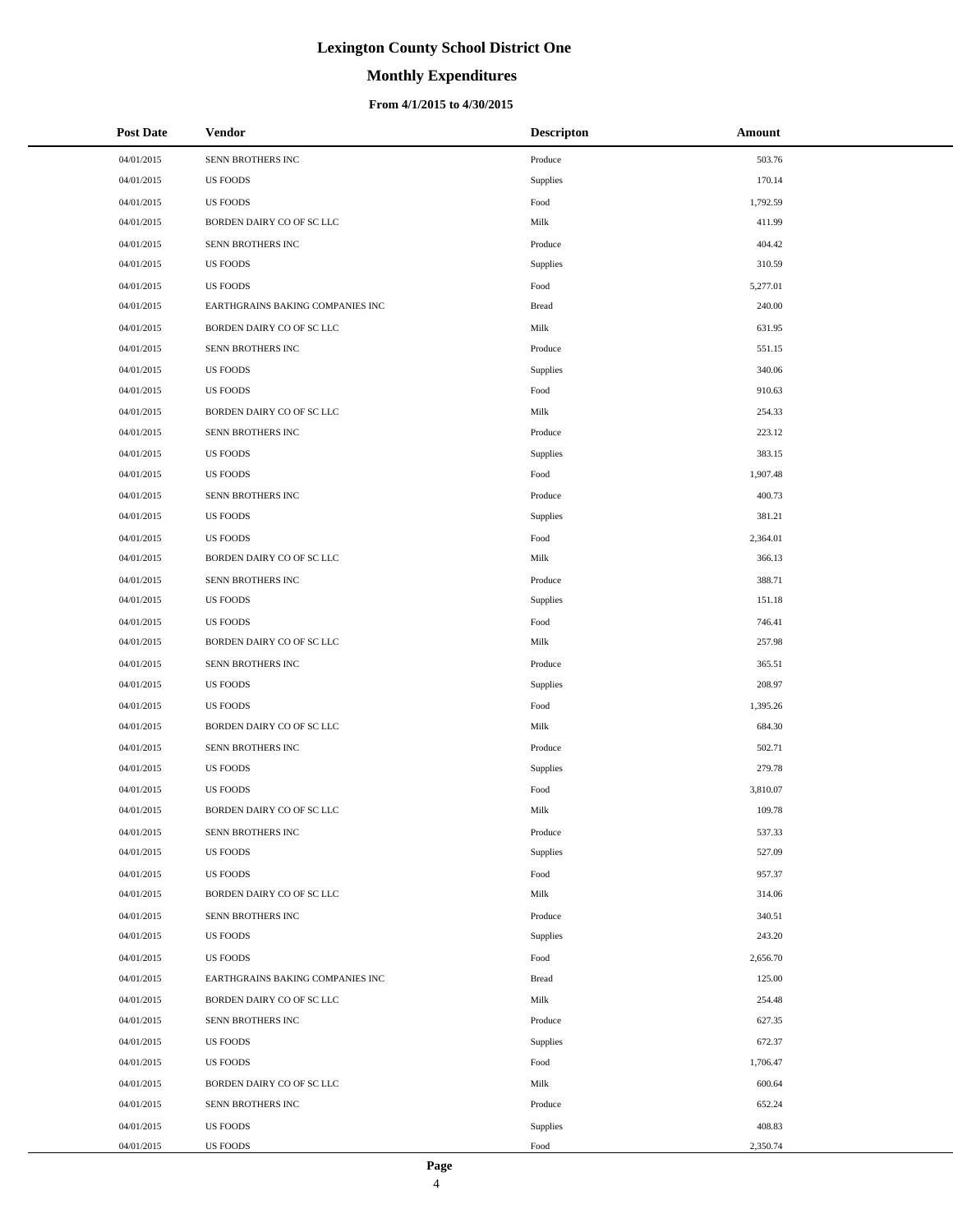# **Monthly Expenditures**

### **From 4/1/2015 to 4/30/2015**

| <b>Post Date</b> | <b>Vendor</b>                    | <b>Descripton</b> | Amount   |
|------------------|----------------------------------|-------------------|----------|
| 04/01/2015       | SENN BROTHERS INC                | Produce           | 503.76   |
| 04/01/2015       | <b>US FOODS</b>                  | Supplies          | 170.14   |
| 04/01/2015       | <b>US FOODS</b>                  | Food              | 1,792.59 |
| 04/01/2015       | BORDEN DAIRY CO OF SC LLC        | Milk              | 411.99   |
| 04/01/2015       | SENN BROTHERS INC                | Produce           | 404.42   |
| 04/01/2015       | <b>US FOODS</b>                  | Supplies          | 310.59   |
| 04/01/2015       | <b>US FOODS</b>                  | Food              | 5,277.01 |
| 04/01/2015       | EARTHGRAINS BAKING COMPANIES INC | <b>Bread</b>      | 240.00   |
| 04/01/2015       | BORDEN DAIRY CO OF SC LLC        | Milk              | 631.95   |
| 04/01/2015       | SENN BROTHERS INC                | Produce           | 551.15   |
| 04/01/2015       | <b>US FOODS</b>                  | Supplies          | 340.06   |
| 04/01/2015       | <b>US FOODS</b>                  | Food              | 910.63   |
| 04/01/2015       | BORDEN DAIRY CO OF SC LLC        | Milk              | 254.33   |
| 04/01/2015       | SENN BROTHERS INC                | Produce           | 223.12   |
| 04/01/2015       | <b>US FOODS</b>                  | Supplies          | 383.15   |
| 04/01/2015       | <b>US FOODS</b>                  | Food              | 1,907.48 |
| 04/01/2015       | SENN BROTHERS INC                | Produce           | 400.73   |
| 04/01/2015       | <b>US FOODS</b>                  | Supplies          | 381.21   |
| 04/01/2015       | <b>US FOODS</b>                  | Food              | 2,364.01 |
| 04/01/2015       | BORDEN DAIRY CO OF SC LLC        | Milk              | 366.13   |
| 04/01/2015       | SENN BROTHERS INC                | Produce           | 388.71   |
| 04/01/2015       | <b>US FOODS</b>                  | Supplies          | 151.18   |
| 04/01/2015       | <b>US FOODS</b>                  | Food              | 746.41   |
| 04/01/2015       | BORDEN DAIRY CO OF SC LLC        | Milk              | 257.98   |
| 04/01/2015       | SENN BROTHERS INC                | Produce           | 365.51   |
| 04/01/2015       | <b>US FOODS</b>                  | Supplies          | 208.97   |
| 04/01/2015       | <b>US FOODS</b>                  | Food              | 1,395.26 |
| 04/01/2015       | BORDEN DAIRY CO OF SC LLC        | Milk              | 684.30   |
| 04/01/2015       | SENN BROTHERS INC                | Produce           | 502.71   |
| 04/01/2015       | <b>US FOODS</b>                  | Supplies          | 279.78   |
| 04/01/2015       | <b>US FOODS</b>                  | Food              | 3,810.07 |
| 04/01/2015       | BORDEN DAIRY CO OF SC LLC        | Milk              | 109.78   |
| 04/01/2015       | SENN BROTHERS INC                | Produce           | 537.33   |
| 04/01/2015       | <b>US FOODS</b>                  | Supplies          | 527.09   |
| 04/01/2015       | <b>US FOODS</b>                  | Food              | 957.37   |
| 04/01/2015       | BORDEN DAIRY CO OF SC LLC        | Milk              | 314.06   |
| 04/01/2015       | SENN BROTHERS INC                | Produce           | 340.51   |
| 04/01/2015       | <b>US FOODS</b>                  | Supplies          | 243.20   |
| 04/01/2015       | <b>US FOODS</b>                  | Food              | 2,656.70 |
| 04/01/2015       | EARTHGRAINS BAKING COMPANIES INC | <b>Bread</b>      | 125.00   |
| 04/01/2015       | BORDEN DAIRY CO OF SC LLC        | Milk              | 254.48   |
| 04/01/2015       | SENN BROTHERS INC                | Produce           | 627.35   |
| 04/01/2015       | <b>US FOODS</b>                  | Supplies          | 672.37   |
| 04/01/2015       | <b>US FOODS</b>                  | Food              | 1,706.47 |
| 04/01/2015       | BORDEN DAIRY CO OF SC LLC        | Milk              | 600.64   |
| 04/01/2015       | SENN BROTHERS INC                | Produce           | 652.24   |
| 04/01/2015       | <b>US FOODS</b>                  | Supplies          | 408.83   |
| 04/01/2015       | <b>US FOODS</b>                  | Food              | 2,350.74 |

÷.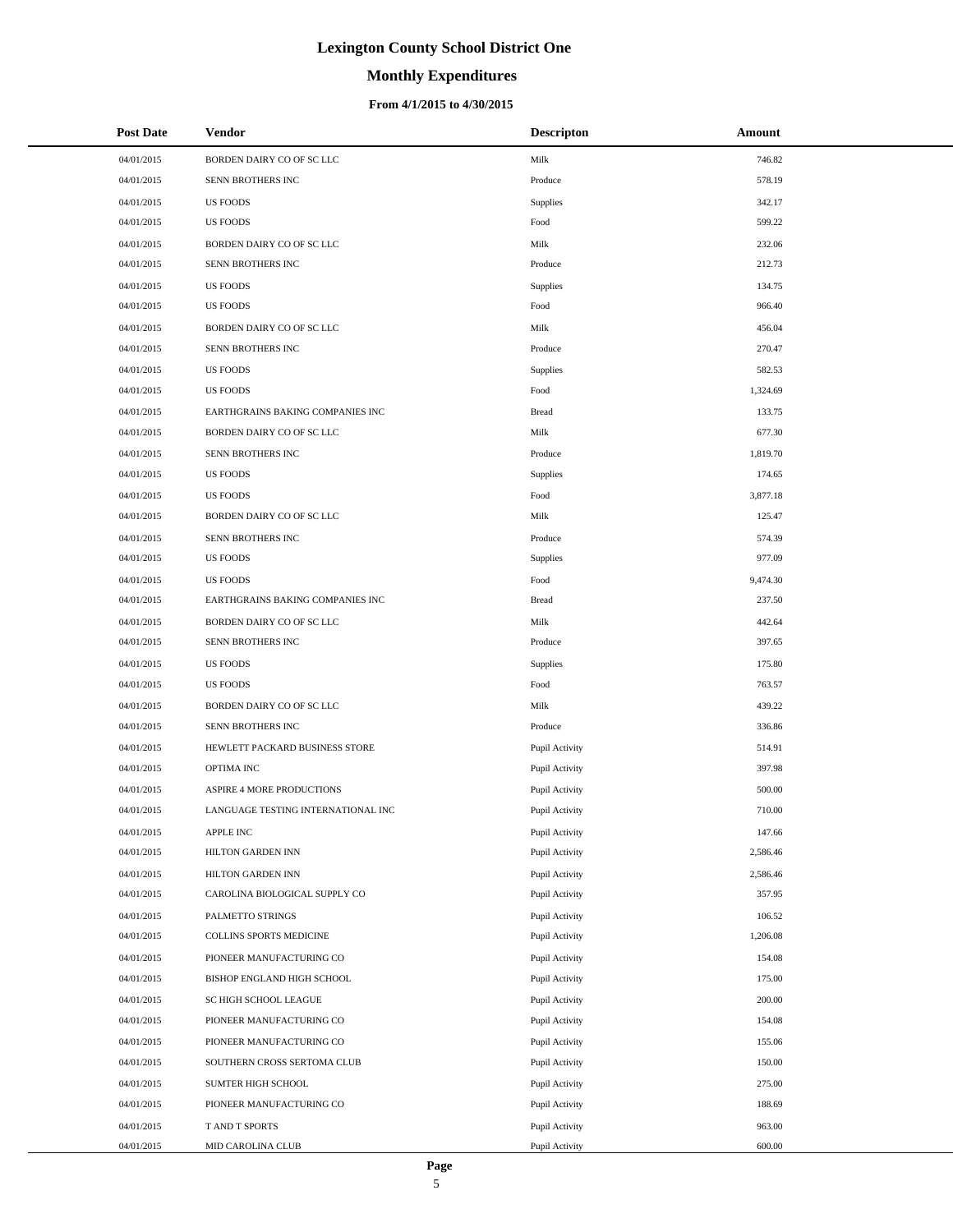# **Monthly Expenditures**

| <b>Post Date</b>         | <b>Vendor</b>                       | <b>Descripton</b>                | <b>Amount</b>    |
|--------------------------|-------------------------------------|----------------------------------|------------------|
| 04/01/2015               | BORDEN DAIRY CO OF SC LLC           | Milk                             | 746.82           |
| 04/01/2015               | SENN BROTHERS INC                   | Produce                          | 578.19           |
| 04/01/2015               | <b>US FOODS</b>                     | Supplies                         | 342.17           |
| 04/01/2015               | <b>US FOODS</b>                     | Food                             | 599.22           |
| 04/01/2015               | BORDEN DAIRY CO OF SC LLC           | Milk                             | 232.06           |
| 04/01/2015               | SENN BROTHERS INC                   | Produce                          | 212.73           |
| 04/01/2015               | <b>US FOODS</b>                     | Supplies                         | 134.75           |
| 04/01/2015               | <b>US FOODS</b>                     | Food                             | 966.40           |
| 04/01/2015               | BORDEN DAIRY CO OF SC LLC           | Milk                             | 456.04           |
| 04/01/2015               | SENN BROTHERS INC                   | Produce                          | 270.47           |
| 04/01/2015               | <b>US FOODS</b>                     | Supplies                         | 582.53           |
| 04/01/2015               | <b>US FOODS</b>                     | Food                             | 1,324.69         |
| 04/01/2015               | EARTHGRAINS BAKING COMPANIES INC    | <b>Bread</b>                     | 133.75           |
| 04/01/2015               | BORDEN DAIRY CO OF SC LLC           | Milk                             | 677.30           |
| 04/01/2015               | SENN BROTHERS INC                   | Produce                          | 1,819.70         |
| 04/01/2015               | <b>US FOODS</b>                     | Supplies                         | 174.65           |
| 04/01/2015               | <b>US FOODS</b>                     | Food                             | 3,877.18         |
| 04/01/2015               | BORDEN DAIRY CO OF SC LLC           | Milk                             | 125.47           |
| 04/01/2015               | SENN BROTHERS INC                   | Produce                          | 574.39           |
| 04/01/2015               | <b>US FOODS</b>                     | Supplies                         | 977.09           |
| 04/01/2015               | <b>US FOODS</b>                     | Food                             | 9,474.30         |
| 04/01/2015               | EARTHGRAINS BAKING COMPANIES INC    | <b>Bread</b>                     | 237.50           |
| 04/01/2015               | BORDEN DAIRY CO OF SC LLC           | Milk                             | 442.64           |
| 04/01/2015               | SENN BROTHERS INC                   | Produce                          | 397.65           |
| 04/01/2015               | <b>US FOODS</b>                     | Supplies                         | 175.80           |
| 04/01/2015               | <b>US FOODS</b>                     | Food                             | 763.57           |
| 04/01/2015               | BORDEN DAIRY CO OF SC LLC           | Milk                             | 439.22           |
| 04/01/2015               | SENN BROTHERS INC                   | Produce                          | 336.86           |
| 04/01/2015               | HEWLETT PACKARD BUSINESS STORE      | Pupil Activity                   | 514.91           |
| 04/01/2015               | OPTIMA INC                          | Pupil Activity                   | 397.98           |
| 04/01/2015               | ASPIRE 4 MORE PRODUCTIONS           | Pupil Activity                   | 500.00           |
| 04/01/2015               | LANGUAGE TESTING INTERNATIONAL INC  | Pupil Activity                   | 710.00           |
| 04/01/2015               | APPLE INC                           | Pupil Activity                   | 147.66           |
| 04/01/2015               | HILTON GARDEN INN                   | Pupil Activity                   | 2,586.46         |
| 04/01/2015               | HILTON GARDEN INN                   | Pupil Activity                   | 2,586.46         |
| 04/01/2015               | CAROLINA BIOLOGICAL SUPPLY CO       | Pupil Activity                   | 357.95           |
| 04/01/2015               | PALMETTO STRINGS                    | Pupil Activity                   | 106.52           |
| 04/01/2015               | COLLINS SPORTS MEDICINE             | Pupil Activity                   | 1,206.08         |
| 04/01/2015               | PIONEER MANUFACTURING CO            | Pupil Activity                   | 154.08           |
| 04/01/2015               | BISHOP ENGLAND HIGH SCHOOL          | Pupil Activity                   | 175.00           |
| 04/01/2015               | SC HIGH SCHOOL LEAGUE               | Pupil Activity                   | 200.00           |
| 04/01/2015               | PIONEER MANUFACTURING CO            | Pupil Activity                   | 154.08           |
| 04/01/2015               | PIONEER MANUFACTURING CO            | Pupil Activity                   | 155.06           |
| 04/01/2015               | SOUTHERN CROSS SERTOMA CLUB         | Pupil Activity                   | 150.00           |
| 04/01/2015               | SUMTER HIGH SCHOOL                  | Pupil Activity                   | 275.00           |
| 04/01/2015               | PIONEER MANUFACTURING CO            | Pupil Activity                   | 188.69           |
| 04/01/2015<br>04/01/2015 | T AND T SPORTS<br>MID CAROLINA CLUB | Pupil Activity<br>Pupil Activity | 963.00<br>600.00 |
|                          |                                     |                                  |                  |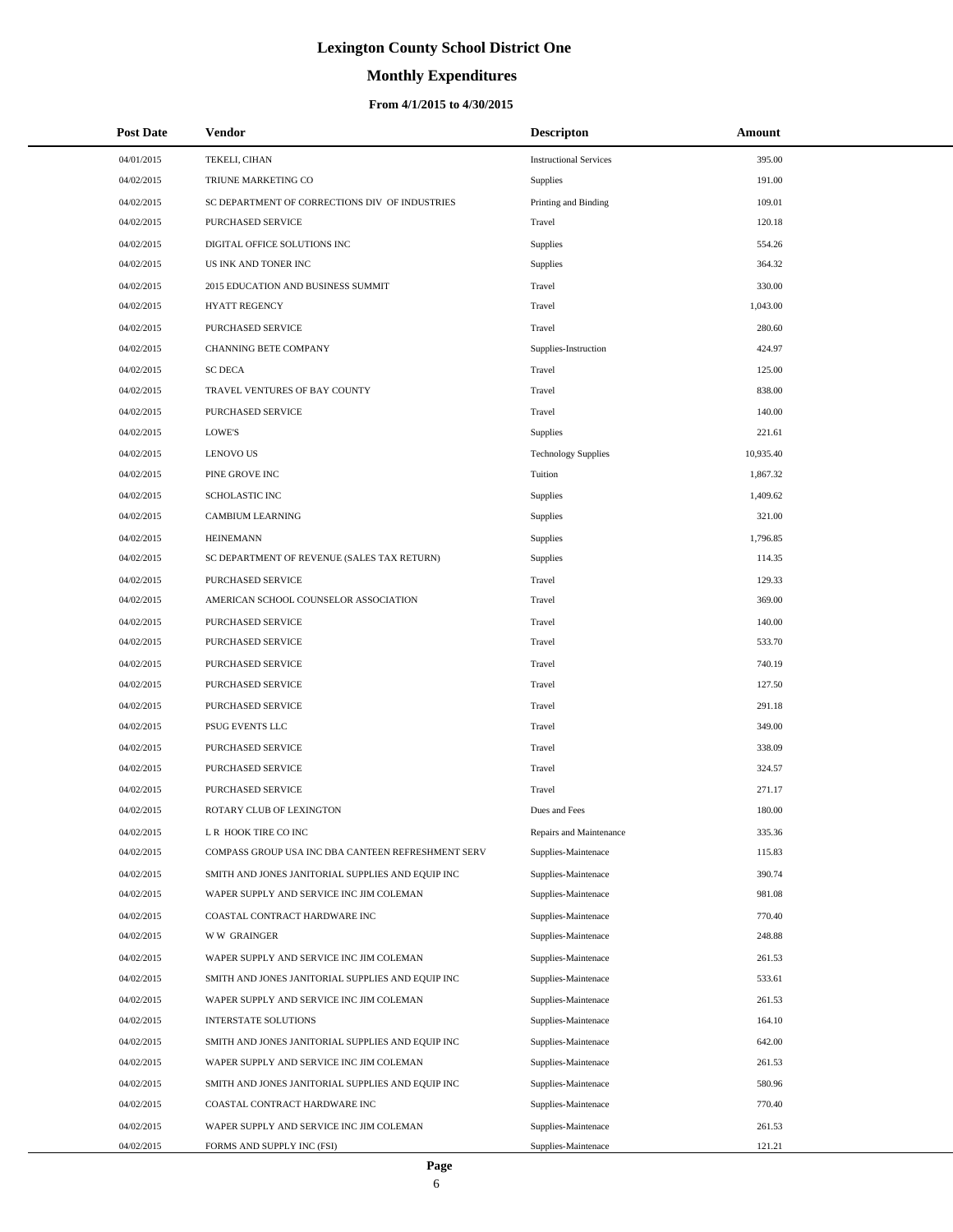# **Monthly Expenditures**

| <b>Post Date</b> | Vendor                                             | <b>Descripton</b>             | Amount    |
|------------------|----------------------------------------------------|-------------------------------|-----------|
| 04/01/2015       | TEKELI, CIHAN                                      | <b>Instructional Services</b> | 395.00    |
| 04/02/2015       | TRIUNE MARKETING CO                                | Supplies                      | 191.00    |
| 04/02/2015       | SC DEPARTMENT OF CORRECTIONS DIV OF INDUSTRIES     | Printing and Binding          | 109.01    |
| 04/02/2015       | PURCHASED SERVICE                                  | Travel                        | 120.18    |
| 04/02/2015       | DIGITAL OFFICE SOLUTIONS INC                       | Supplies                      | 554.26    |
| 04/02/2015       | US INK AND TONER INC                               | Supplies                      | 364.32    |
| 04/02/2015       | 2015 EDUCATION AND BUSINESS SUMMIT                 | Travel                        | 330.00    |
| 04/02/2015       | <b>HYATT REGENCY</b>                               | Travel                        | 1,043.00  |
| 04/02/2015       | PURCHASED SERVICE                                  | Travel                        | 280.60    |
| 04/02/2015       | CHANNING BETE COMPANY                              | Supplies-Instruction          | 424.97    |
| 04/02/2015       | <b>SC DECA</b>                                     | Travel                        | 125.00    |
| 04/02/2015       | TRAVEL VENTURES OF BAY COUNTY                      | Travel                        | 838.00    |
| 04/02/2015       | PURCHASED SERVICE                                  | Travel                        | 140.00    |
| 04/02/2015       | LOWE'S                                             | Supplies                      | 221.61    |
| 04/02/2015       | <b>LENOVO US</b>                                   | <b>Technology Supplies</b>    | 10,935.40 |
| 04/02/2015       | PINE GROVE INC                                     | Tuition                       | 1,867.32  |
| 04/02/2015       | SCHOLASTIC INC                                     | Supplies                      | 1,409.62  |
| 04/02/2015       | <b>CAMBIUM LEARNING</b>                            | Supplies                      | 321.00    |
| 04/02/2015       | <b>HEINEMANN</b>                                   | Supplies                      | 1,796.85  |
| 04/02/2015       | SC DEPARTMENT OF REVENUE (SALES TAX RETURN)        | Supplies                      | 114.35    |
| 04/02/2015       | PURCHASED SERVICE                                  | Travel                        | 129.33    |
| 04/02/2015       | AMERICAN SCHOOL COUNSELOR ASSOCIATION              | Travel                        | 369.00    |
| 04/02/2015       | PURCHASED SERVICE                                  | Travel                        | 140.00    |
| 04/02/2015       | PURCHASED SERVICE                                  | Travel                        | 533.70    |
| 04/02/2015       | PURCHASED SERVICE                                  | Travel                        | 740.19    |
| 04/02/2015       | PURCHASED SERVICE                                  | Travel                        | 127.50    |
| 04/02/2015       | PURCHASED SERVICE                                  | Travel                        | 291.18    |
| 04/02/2015       | PSUG EVENTS LLC                                    | Travel                        | 349.00    |
| 04/02/2015       | PURCHASED SERVICE                                  | Travel                        | 338.09    |
| 04/02/2015       | PURCHASED SERVICE                                  | Travel                        | 324.57    |
| 04/02/2015       | PURCHASED SERVICE                                  | Travel                        | 271.17    |
| 04/02/2015       | ROTARY CLUB OF LEXINGTON                           | Dues and Fees                 | 180.00    |
| 04/02/2015       | L R HOOK TIRE CO INC                               | Repairs and Maintenance       | 335.36    |
| 04/02/2015       | COMPASS GROUP USA INC DBA CANTEEN REFRESHMENT SERV | Supplies-Maintenace           | 115.83    |
| 04/02/2015       | SMITH AND JONES JANITORIAL SUPPLIES AND EQUIP INC  | Supplies-Maintenace           | 390.74    |
| 04/02/2015       | WAPER SUPPLY AND SERVICE INC JIM COLEMAN           | Supplies-Maintenace           | 981.08    |
| 04/02/2015       | COASTAL CONTRACT HARDWARE INC                      | Supplies-Maintenace           | 770.40    |
| 04/02/2015       | <b>WW GRAINGER</b>                                 | Supplies-Maintenace           | 248.88    |
| 04/02/2015       | WAPER SUPPLY AND SERVICE INC JIM COLEMAN           | Supplies-Maintenace           | 261.53    |
| 04/02/2015       | SMITH AND JONES JANITORIAL SUPPLIES AND EQUIP INC  | Supplies-Maintenace           | 533.61    |
| 04/02/2015       | WAPER SUPPLY AND SERVICE INC JIM COLEMAN           | Supplies-Maintenace           | 261.53    |
| 04/02/2015       | INTERSTATE SOLUTIONS                               | Supplies-Maintenace           | 164.10    |
| 04/02/2015       | SMITH AND JONES JANITORIAL SUPPLIES AND EQUIP INC  | Supplies-Maintenace           | 642.00    |
| 04/02/2015       | WAPER SUPPLY AND SERVICE INC JIM COLEMAN           | Supplies-Maintenace           | 261.53    |
| 04/02/2015       | SMITH AND JONES JANITORIAL SUPPLIES AND EQUIP INC  | Supplies-Maintenace           | 580.96    |
| 04/02/2015       | COASTAL CONTRACT HARDWARE INC                      | Supplies-Maintenace           | 770.40    |
| 04/02/2015       | WAPER SUPPLY AND SERVICE INC JIM COLEMAN           | Supplies-Maintenace           | 261.53    |
| 04/02/2015       | FORMS AND SUPPLY INC (FSI)                         | Supplies-Maintenace           | 121.21    |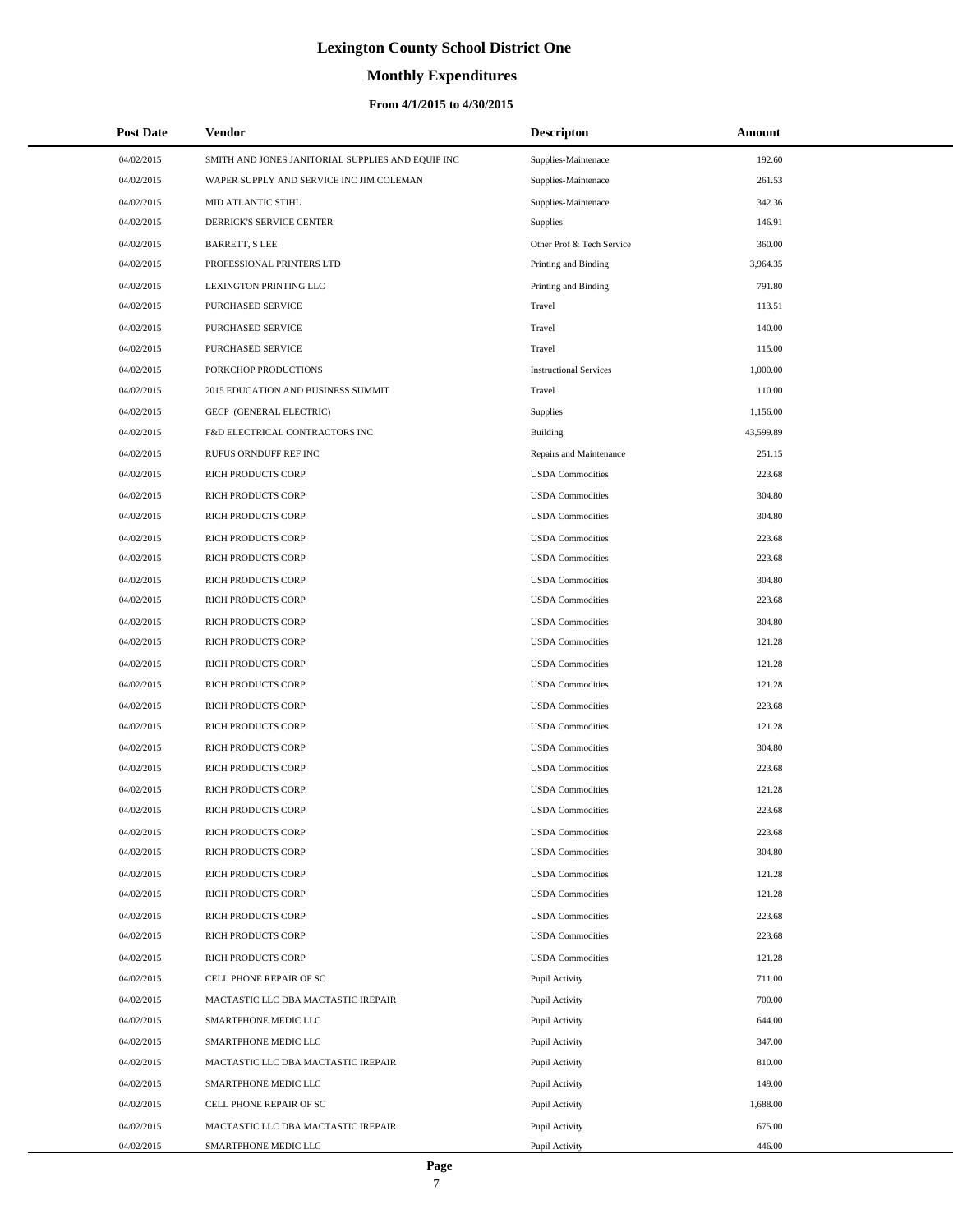# **Monthly Expenditures**

## **From 4/1/2015 to 4/30/2015**

| <b>Post Date</b> | <b>Vendor</b>                                     | <b>Descripton</b>             | Amount    |  |
|------------------|---------------------------------------------------|-------------------------------|-----------|--|
| 04/02/2015       | SMITH AND JONES JANITORIAL SUPPLIES AND EQUIP INC | Supplies-Maintenace           | 192.60    |  |
| 04/02/2015       | WAPER SUPPLY AND SERVICE INC JIM COLEMAN          | Supplies-Maintenace           | 261.53    |  |
| 04/02/2015       | <b>MID ATLANTIC STIHL</b>                         | Supplies-Maintenace           | 342.36    |  |
| 04/02/2015       | DERRICK'S SERVICE CENTER                          | Supplies                      | 146.91    |  |
| 04/02/2015       | <b>BARRETT, S LEE</b>                             | Other Prof & Tech Service     | 360.00    |  |
| 04/02/2015       | PROFESSIONAL PRINTERS LTD                         | Printing and Binding          | 3,964.35  |  |
| 04/02/2015       | <b>LEXINGTON PRINTING LLC</b>                     | Printing and Binding          | 791.80    |  |
| 04/02/2015       | PURCHASED SERVICE                                 | Travel                        | 113.51    |  |
| 04/02/2015       | PURCHASED SERVICE                                 | Travel                        | 140.00    |  |
| 04/02/2015       | PURCHASED SERVICE                                 | Travel                        | 115.00    |  |
| 04/02/2015       | PORKCHOP PRODUCTIONS                              | <b>Instructional Services</b> | 1,000.00  |  |
| 04/02/2015       | 2015 EDUCATION AND BUSINESS SUMMIT                | Travel                        | 110.00    |  |
| 04/02/2015       | GECP (GENERAL ELECTRIC)                           | Supplies                      | 1,156.00  |  |
| 04/02/2015       | F&D ELECTRICAL CONTRACTORS INC                    | Building                      | 43,599.89 |  |
| 04/02/2015       | RUFUS ORNDUFF REF INC                             | Repairs and Maintenance       | 251.15    |  |
| 04/02/2015       | RICH PRODUCTS CORP                                | <b>USDA</b> Commodities       | 223.68    |  |
| 04/02/2015       | RICH PRODUCTS CORP                                | <b>USDA Commodities</b>       | 304.80    |  |
| 04/02/2015       | RICH PRODUCTS CORP                                | <b>USDA</b> Commodities       | 304.80    |  |
| 04/02/2015       | RICH PRODUCTS CORP                                | <b>USDA</b> Commodities       | 223.68    |  |
| 04/02/2015       | RICH PRODUCTS CORP                                | <b>USDA</b> Commodities       | 223.68    |  |
| 04/02/2015       | RICH PRODUCTS CORP                                | <b>USDA</b> Commodities       | 304.80    |  |
| 04/02/2015       | RICH PRODUCTS CORP                                | <b>USDA</b> Commodities       | 223.68    |  |
| 04/02/2015       | RICH PRODUCTS CORP                                | <b>USDA</b> Commodities       | 304.80    |  |
| 04/02/2015       | RICH PRODUCTS CORP                                | <b>USDA</b> Commodities       | 121.28    |  |
| 04/02/2015       | RICH PRODUCTS CORP                                | <b>USDA</b> Commodities       | 121.28    |  |
| 04/02/2015       | RICH PRODUCTS CORP                                | <b>USDA</b> Commodities       | 121.28    |  |
| 04/02/2015       | RICH PRODUCTS CORP                                | <b>USDA</b> Commodities       | 223.68    |  |
| 04/02/2015       | RICH PRODUCTS CORP                                | <b>USDA</b> Commodities       | 121.28    |  |
| 04/02/2015       | RICH PRODUCTS CORP                                | <b>USDA</b> Commodities       | 304.80    |  |
| 04/02/2015       | RICH PRODUCTS CORP                                | <b>USDA</b> Commodities       | 223.68    |  |
| 04/02/2015       | RICH PRODUCTS CORP                                | <b>USDA Commodities</b>       | 121.28    |  |
| 04/02/2015       | RICH PRODUCTS CORP                                | <b>USDA</b> Commodities       | 223.68    |  |
| 04/02/2015       | RICH PRODUCTS CORP                                | <b>USDA</b> Commodities       | 223.68    |  |
| 04/02/2015       | RICH PRODUCTS CORP                                | <b>USDA Commodities</b>       | 304.80    |  |
| 04/02/2015       | RICH PRODUCTS CORP                                | <b>USDA Commodities</b>       | 121.28    |  |
| 04/02/2015       | RICH PRODUCTS CORP                                | <b>USDA Commodities</b>       | 121.28    |  |
| 04/02/2015       | RICH PRODUCTS CORP                                | <b>USDA Commodities</b>       | 223.68    |  |
| 04/02/2015       | RICH PRODUCTS CORP                                | <b>USDA Commodities</b>       | 223.68    |  |
| 04/02/2015       | RICH PRODUCTS CORP                                | <b>USDA Commodities</b>       | 121.28    |  |
| 04/02/2015       | CELL PHONE REPAIR OF SC                           | Pupil Activity                | 711.00    |  |
| 04/02/2015       | MACTASTIC LLC DBA MACTASTIC IREPAIR               | Pupil Activity                | 700.00    |  |
| 04/02/2015       | SMARTPHONE MEDIC LLC                              | Pupil Activity                | 644.00    |  |
| 04/02/2015       | SMARTPHONE MEDIC LLC                              | Pupil Activity                | 347.00    |  |
| 04/02/2015       | MACTASTIC LLC DBA MACTASTIC IREPAIR               | Pupil Activity                | 810.00    |  |
| 04/02/2015       | SMARTPHONE MEDIC LLC                              | Pupil Activity                | 149.00    |  |
| 04/02/2015       | CELL PHONE REPAIR OF SC                           | Pupil Activity                | 1,688.00  |  |
| 04/02/2015       | MACTASTIC LLC DBA MACTASTIC IREPAIR               | Pupil Activity                | 675.00    |  |
| 04/02/2015       | SMARTPHONE MEDIC LLC                              | Pupil Activity                | 446.00    |  |

 $\overline{a}$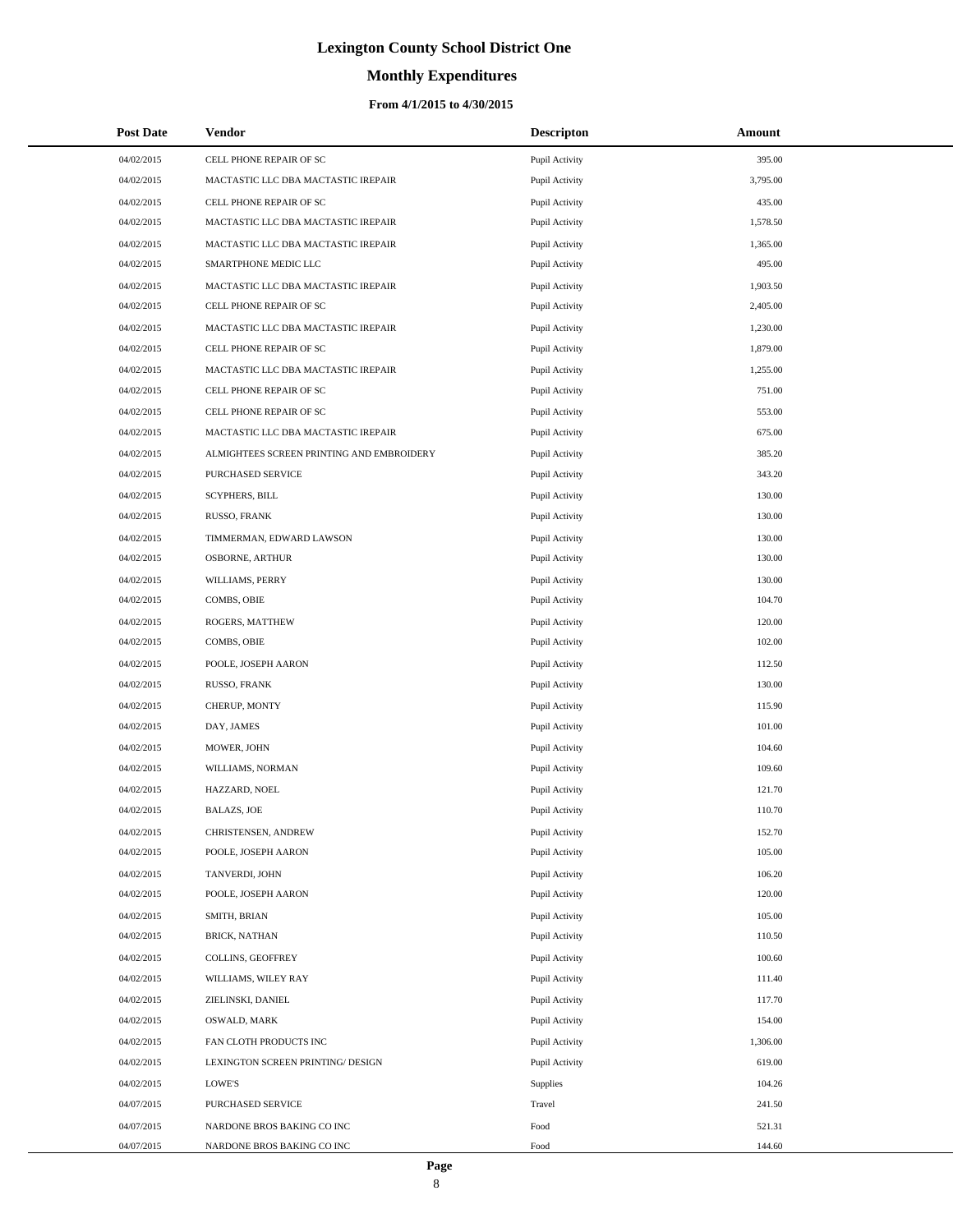# **Monthly Expenditures**

## **From 4/1/2015 to 4/30/2015**

| <b>Post Date</b> | <b>Vendor</b>                             | <b>Descripton</b> | Amount   |
|------------------|-------------------------------------------|-------------------|----------|
| 04/02/2015       | CELL PHONE REPAIR OF SC                   | Pupil Activity    | 395.00   |
| 04/02/2015       | MACTASTIC LLC DBA MACTASTIC IREPAIR       | Pupil Activity    | 3,795.00 |
| 04/02/2015       | CELL PHONE REPAIR OF SC                   | Pupil Activity    | 435.00   |
| 04/02/2015       | MACTASTIC LLC DBA MACTASTIC IREPAIR       | Pupil Activity    | 1,578.50 |
| 04/02/2015       | MACTASTIC LLC DBA MACTASTIC IREPAIR       | Pupil Activity    | 1,365.00 |
| 04/02/2015       | SMARTPHONE MEDIC LLC                      | Pupil Activity    | 495.00   |
| 04/02/2015       | MACTASTIC LLC DBA MACTASTIC IREPAIR       | Pupil Activity    | 1,903.50 |
| 04/02/2015       | CELL PHONE REPAIR OF SC                   | Pupil Activity    | 2,405.00 |
| 04/02/2015       | MACTASTIC LLC DBA MACTASTIC IREPAIR       | Pupil Activity    | 1,230.00 |
| 04/02/2015       | CELL PHONE REPAIR OF SC                   | Pupil Activity    | 1,879.00 |
| 04/02/2015       | MACTASTIC LLC DBA MACTASTIC IREPAIR       | Pupil Activity    | 1,255.00 |
| 04/02/2015       | CELL PHONE REPAIR OF SC                   | Pupil Activity    | 751.00   |
| 04/02/2015       | CELL PHONE REPAIR OF SC                   | Pupil Activity    | 553.00   |
| 04/02/2015       | MACTASTIC LLC DBA MACTASTIC IREPAIR       | Pupil Activity    | 675.00   |
| 04/02/2015       | ALMIGHTEES SCREEN PRINTING AND EMBROIDERY | Pupil Activity    | 385.20   |
| 04/02/2015       | PURCHASED SERVICE                         | Pupil Activity    | 343.20   |
| 04/02/2015       | <b>SCYPHERS, BILL</b>                     | Pupil Activity    | 130.00   |
| 04/02/2015       | RUSSO, FRANK                              | Pupil Activity    | 130.00   |
| 04/02/2015       | TIMMERMAN, EDWARD LAWSON                  | Pupil Activity    | 130.00   |
| 04/02/2015       | OSBORNE, ARTHUR                           | Pupil Activity    | 130.00   |
| 04/02/2015       | WILLIAMS, PERRY                           | Pupil Activity    | 130.00   |
| 04/02/2015       | COMBS, OBIE                               | Pupil Activity    | 104.70   |
| 04/02/2015       | ROGERS, MATTHEW                           | Pupil Activity    | 120.00   |
| 04/02/2015       | COMBS, OBIE                               | Pupil Activity    | 102.00   |
| 04/02/2015       | POOLE, JOSEPH AARON                       | Pupil Activity    | 112.50   |
| 04/02/2015       | RUSSO, FRANK                              | Pupil Activity    | 130.00   |
| 04/02/2015       | CHERUP, MONTY                             | Pupil Activity    | 115.90   |
| 04/02/2015       | DAY, JAMES                                | Pupil Activity    | 101.00   |
| 04/02/2015       | MOWER, JOHN                               | Pupil Activity    | 104.60   |
| 04/02/2015       | WILLIAMS, NORMAN                          | Pupil Activity    | 109.60   |
| 04/02/2015       | HAZZARD, NOEL                             | Pupil Activity    | 121.70   |
| 04/02/2015       | <b>BALAZS, JOE</b>                        | Pupil Activity    | 110.70   |
| 04/02/2015       | CHRISTENSEN, ANDREW                       | Pupil Activity    | 152.70   |
| 04/02/2015       | POOLE, JOSEPH AARON                       | Pupil Activity    | 105.00   |
| 04/02/2015       | TANVERDI, JOHN                            | Pupil Activity    | 106.20   |
| 04/02/2015       | POOLE, JOSEPH AARON                       | Pupil Activity    | 120.00   |
| 04/02/2015       | SMITH, BRIAN                              | Pupil Activity    | 105.00   |
| 04/02/2015       | <b>BRICK, NATHAN</b>                      | Pupil Activity    | 110.50   |
| 04/02/2015       | COLLINS, GEOFFREY                         | Pupil Activity    | 100.60   |
| 04/02/2015       | WILLIAMS, WILEY RAY                       | Pupil Activity    | 111.40   |
| 04/02/2015       | ZIELINSKI, DANIEL                         | Pupil Activity    | 117.70   |
| 04/02/2015       | OSWALD, MARK                              | Pupil Activity    | 154.00   |
| 04/02/2015       | FAN CLOTH PRODUCTS INC                    | Pupil Activity    | 1,306.00 |
| 04/02/2015       | LEXINGTON SCREEN PRINTING/ DESIGN         | Pupil Activity    | 619.00   |
| 04/02/2015       | LOWE'S                                    | Supplies          | 104.26   |
| 04/07/2015       | PURCHASED SERVICE                         | Travel            | 241.50   |
| 04/07/2015       | NARDONE BROS BAKING CO INC                | Food              | 521.31   |
| 04/07/2015       | NARDONE BROS BAKING CO INC                | Food              | 144.60   |

L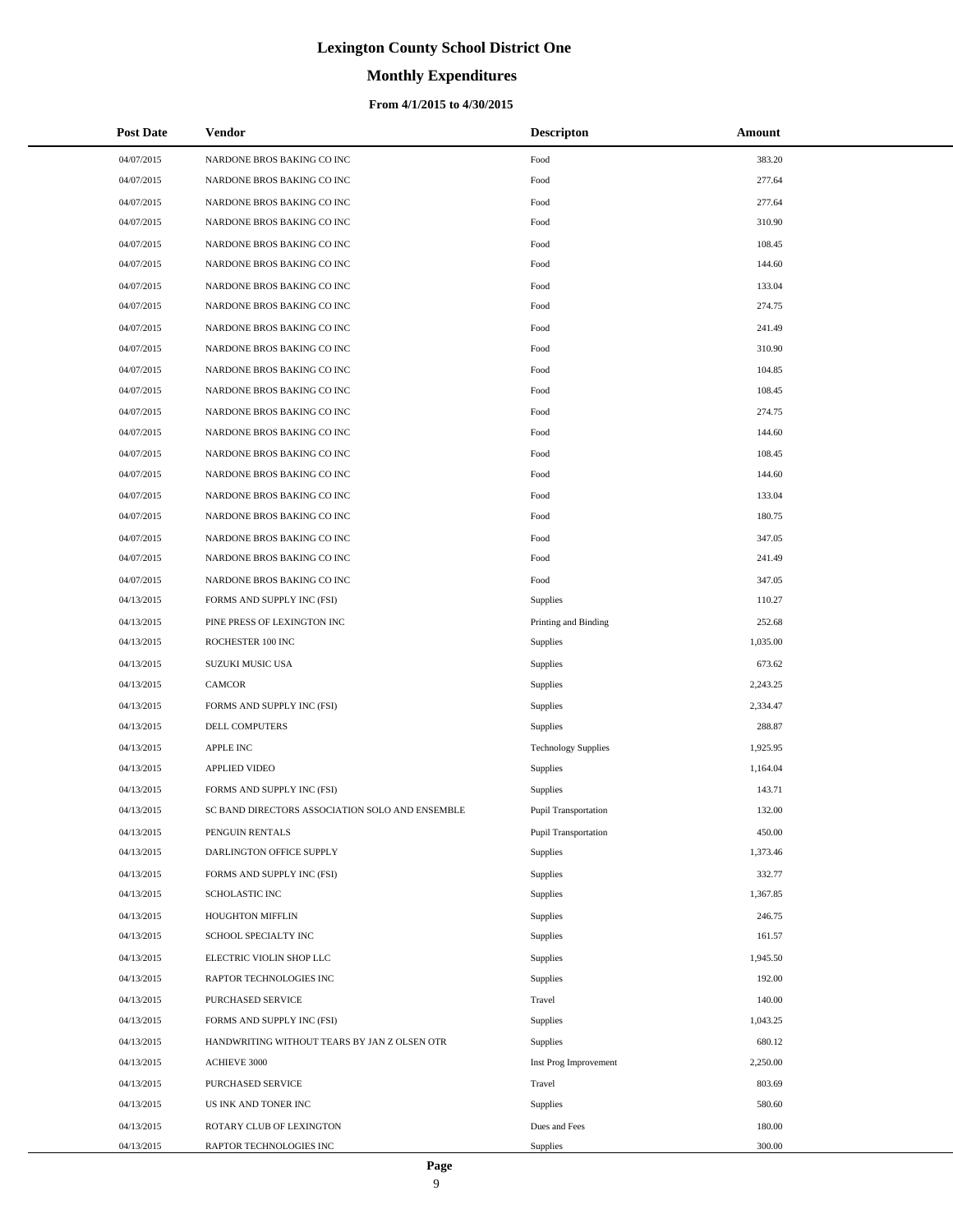## **Monthly Expenditures**

### **From 4/1/2015 to 4/30/2015**

| <b>Post Date</b> | <b>Vendor</b>                                   | <b>Descripton</b>          | Amount   |
|------------------|-------------------------------------------------|----------------------------|----------|
| 04/07/2015       | NARDONE BROS BAKING CO INC                      | Food                       | 383.20   |
| 04/07/2015       | NARDONE BROS BAKING CO INC                      | Food                       | 277.64   |
| 04/07/2015       | NARDONE BROS BAKING CO INC                      | Food                       | 277.64   |
| 04/07/2015       | NARDONE BROS BAKING CO INC                      | Food                       | 310.90   |
| 04/07/2015       | NARDONE BROS BAKING CO INC                      | Food                       | 108.45   |
| 04/07/2015       | NARDONE BROS BAKING CO INC                      | Food                       | 144.60   |
| 04/07/2015       | NARDONE BROS BAKING CO INC                      | Food                       | 133.04   |
| 04/07/2015       | NARDONE BROS BAKING CO INC                      | Food                       | 274.75   |
| 04/07/2015       | NARDONE BROS BAKING CO INC                      | Food                       | 241.49   |
| 04/07/2015       | NARDONE BROS BAKING CO INC                      | Food                       | 310.90   |
| 04/07/2015       | NARDONE BROS BAKING CO INC                      | Food                       | 104.85   |
| 04/07/2015       | NARDONE BROS BAKING CO INC                      | Food                       | 108.45   |
| 04/07/2015       | NARDONE BROS BAKING CO INC                      | Food                       | 274.75   |
| 04/07/2015       | NARDONE BROS BAKING CO INC                      | Food                       | 144.60   |
| 04/07/2015       | NARDONE BROS BAKING CO INC                      | Food                       | 108.45   |
| 04/07/2015       | NARDONE BROS BAKING CO INC                      | Food                       | 144.60   |
| 04/07/2015       | NARDONE BROS BAKING CO INC                      | Food                       | 133.04   |
| 04/07/2015       | NARDONE BROS BAKING CO INC                      | Food                       | 180.75   |
| 04/07/2015       | NARDONE BROS BAKING CO INC                      | Food                       | 347.05   |
| 04/07/2015       | NARDONE BROS BAKING CO INC                      | Food                       | 241.49   |
| 04/07/2015       | NARDONE BROS BAKING CO INC                      | Food                       | 347.05   |
| 04/13/2015       | FORMS AND SUPPLY INC (FSI)                      | Supplies                   | 110.27   |
| 04/13/2015       | PINE PRESS OF LEXINGTON INC                     | Printing and Binding       | 252.68   |
| 04/13/2015       | ROCHESTER 100 INC                               | Supplies                   | 1,035.00 |
| 04/13/2015       | SUZUKI MUSIC USA                                | Supplies                   | 673.62   |
| 04/13/2015       | <b>CAMCOR</b>                                   | Supplies                   | 2,243.25 |
| 04/13/2015       | FORMS AND SUPPLY INC (FSI)                      | Supplies                   | 2,334.47 |
| 04/13/2015       | DELL COMPUTERS                                  | Supplies                   | 288.87   |
| 04/13/2015       | <b>APPLE INC</b>                                | <b>Technology Supplies</b> | 1,925.95 |
| 04/13/2015       | <b>APPLIED VIDEO</b>                            | Supplies                   | 1,164.04 |
| 04/13/2015       | FORMS AND SUPPLY INC (FSI)                      | Supplies                   | 143.71   |
| 04/13/2015       | SC BAND DIRECTORS ASSOCIATION SOLO AND ENSEMBLE | Pupil Transportation       | 132.00   |
| 04/13/2015       | PENGUIN RENTALS                                 | Pupil Transportation       | 450.00   |
| 04/13/2015       | DARLINGTON OFFICE SUPPLY                        | Supplies                   | 1,373.46 |
| 04/13/2015       | FORMS AND SUPPLY INC (FSI)                      | Supplies                   | 332.77   |
| 04/13/2015       | SCHOLASTIC INC                                  | Supplies                   | 1,367.85 |
| 04/13/2015       | <b>HOUGHTON MIFFLIN</b>                         | Supplies                   | 246.75   |
| 04/13/2015       | SCHOOL SPECIALTY INC                            | Supplies                   | 161.57   |
| 04/13/2015       | ELECTRIC VIOLIN SHOP LLC                        | Supplies                   | 1,945.50 |
| 04/13/2015       | RAPTOR TECHNOLOGIES INC                         | Supplies                   | 192.00   |
| 04/13/2015       | PURCHASED SERVICE                               | Travel                     | 140.00   |
| 04/13/2015       | FORMS AND SUPPLY INC (FSI)                      | Supplies                   | 1,043.25 |
| 04/13/2015       | HANDWRITING WITHOUT TEARS BY JAN Z OLSEN OTR    | Supplies                   | 680.12   |
| 04/13/2015       | <b>ACHIEVE 3000</b>                             | Inst Prog Improvement      | 2,250.00 |
| 04/13/2015       | PURCHASED SERVICE                               | Travel                     | 803.69   |
| 04/13/2015       | US INK AND TONER INC                            | Supplies                   | 580.60   |
| 04/13/2015       | ROTARY CLUB OF LEXINGTON                        | Dues and Fees              | 180.00   |
| 04/13/2015       | RAPTOR TECHNOLOGIES INC                         | Supplies                   | 300.00   |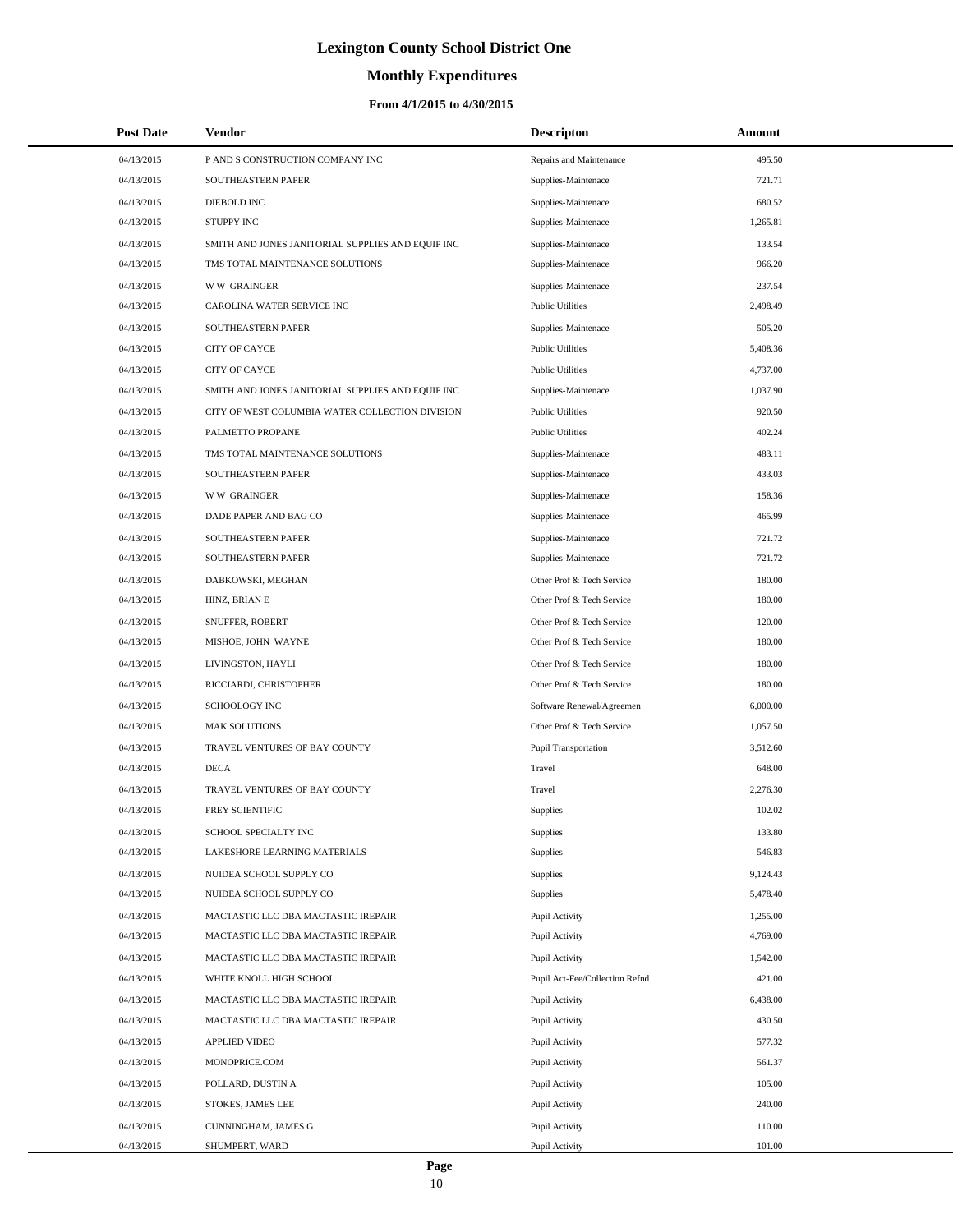# **Monthly Expenditures**

### **From 4/1/2015 to 4/30/2015**

| <b>Post Date</b> | <b>Vendor</b>                                     | <b>Descripton</b>              | Amount   |
|------------------|---------------------------------------------------|--------------------------------|----------|
| 04/13/2015       | P AND S CONSTRUCTION COMPANY INC                  | Repairs and Maintenance        | 495.50   |
| 04/13/2015       | SOUTHEASTERN PAPER                                | Supplies-Maintenace            | 721.71   |
| 04/13/2015       | DIEBOLD INC                                       | Supplies-Maintenace            | 680.52   |
| 04/13/2015       | STUPPY INC                                        | Supplies-Maintenace            | 1,265.81 |
| 04/13/2015       | SMITH AND JONES JANITORIAL SUPPLIES AND EQUIP INC | Supplies-Maintenace            | 133.54   |
| 04/13/2015       | TMS TOTAL MAINTENANCE SOLUTIONS                   | Supplies-Maintenace            | 966.20   |
| 04/13/2015       | <b>WW GRAINGER</b>                                | Supplies-Maintenace            | 237.54   |
| 04/13/2015       | CAROLINA WATER SERVICE INC                        | <b>Public Utilities</b>        | 2,498.49 |
| 04/13/2015       | SOUTHEASTERN PAPER                                | Supplies-Maintenace            | 505.20   |
| 04/13/2015       | CITY OF CAYCE                                     | <b>Public Utilities</b>        | 5,408.36 |
| 04/13/2015       | CITY OF CAYCE                                     | <b>Public Utilities</b>        | 4,737.00 |
| 04/13/2015       | SMITH AND JONES JANITORIAL SUPPLIES AND EQUIP INC | Supplies-Maintenace            | 1,037.90 |
| 04/13/2015       | CITY OF WEST COLUMBIA WATER COLLECTION DIVISION   | <b>Public Utilities</b>        | 920.50   |
| 04/13/2015       | PALMETTO PROPANE                                  | <b>Public Utilities</b>        | 402.24   |
| 04/13/2015       | TMS TOTAL MAINTENANCE SOLUTIONS                   | Supplies-Maintenace            | 483.11   |
| 04/13/2015       | SOUTHEASTERN PAPER                                | Supplies-Maintenace            | 433.03   |
| 04/13/2015       | <b>WW GRAINGER</b>                                | Supplies-Maintenace            | 158.36   |
| 04/13/2015       | DADE PAPER AND BAG CO                             | Supplies-Maintenace            | 465.99   |
| 04/13/2015       | SOUTHEASTERN PAPER                                | Supplies-Maintenace            | 721.72   |
| 04/13/2015       | SOUTHEASTERN PAPER                                | Supplies-Maintenace            | 721.72   |
| 04/13/2015       | DABKOWSKI, MEGHAN                                 | Other Prof & Tech Service      | 180.00   |
| 04/13/2015       | HINZ, BRIAN E                                     | Other Prof & Tech Service      | 180.00   |
| 04/13/2015       | SNUFFER, ROBERT                                   | Other Prof & Tech Service      | 120.00   |
| 04/13/2015       | MISHOE, JOHN WAYNE                                | Other Prof & Tech Service      | 180.00   |
| 04/13/2015       | LIVINGSTON, HAYLI                                 | Other Prof & Tech Service      | 180.00   |
| 04/13/2015       | RICCIARDI, CHRISTOPHER                            | Other Prof & Tech Service      | 180.00   |
| 04/13/2015       | SCHOOLOGY INC                                     | Software Renewal/Agreemen      | 6,000.00 |
| 04/13/2015       | <b>MAK SOLUTIONS</b>                              | Other Prof & Tech Service      | 1,057.50 |
| 04/13/2015       | TRAVEL VENTURES OF BAY COUNTY                     | <b>Pupil Transportation</b>    | 3,512.60 |
| 04/13/2015       | <b>DECA</b>                                       | Travel                         | 648.00   |
| 04/13/2015       | TRAVEL VENTURES OF BAY COUNTY                     | Travel                         | 2,276.30 |
| 04/13/2015       | FREY SCIENTIFIC                                   | Supplies                       | 102.02   |
| 04/13/2015       | SCHOOL SPECIALTY INC                              | Supplies                       | 133.80   |
| 04/13/2015       | LAKESHORE LEARNING MATERIALS                      | Supplies                       | 546.83   |
| 04/13/2015       | NUIDEA SCHOOL SUPPLY CO                           | Supplies                       | 9,124.43 |
| 04/13/2015       | NUIDEA SCHOOL SUPPLY CO                           | Supplies                       | 5,478.40 |
| 04/13/2015       | MACTASTIC LLC DBA MACTASTIC IREPAIR               | Pupil Activity                 | 1,255.00 |
| 04/13/2015       | MACTASTIC LLC DBA MACTASTIC IREPAIR               | Pupil Activity                 | 4,769.00 |
| 04/13/2015       | MACTASTIC LLC DBA MACTASTIC IREPAIR               | Pupil Activity                 | 1,542.00 |
| 04/13/2015       | WHITE KNOLL HIGH SCHOOL                           | Pupil Act-Fee/Collection Refnd | 421.00   |
| 04/13/2015       | MACTASTIC LLC DBA MACTASTIC IREPAIR               | Pupil Activity                 | 6,438.00 |
| 04/13/2015       | MACTASTIC LLC DBA MACTASTIC IREPAIR               | Pupil Activity                 | 430.50   |
| 04/13/2015       | <b>APPLIED VIDEO</b>                              | Pupil Activity                 | 577.32   |
| 04/13/2015       | MONOPRICE.COM                                     | Pupil Activity                 | 561.37   |
| 04/13/2015       | POLLARD, DUSTIN A                                 | Pupil Activity                 | 105.00   |
| 04/13/2015       | STOKES, JAMES LEE                                 | Pupil Activity                 | 240.00   |
| 04/13/2015       | CUNNINGHAM, JAMES G                               | Pupil Activity                 | 110.00   |
| 04/13/2015       | SHUMPERT, WARD                                    | Pupil Activity                 | 101.00   |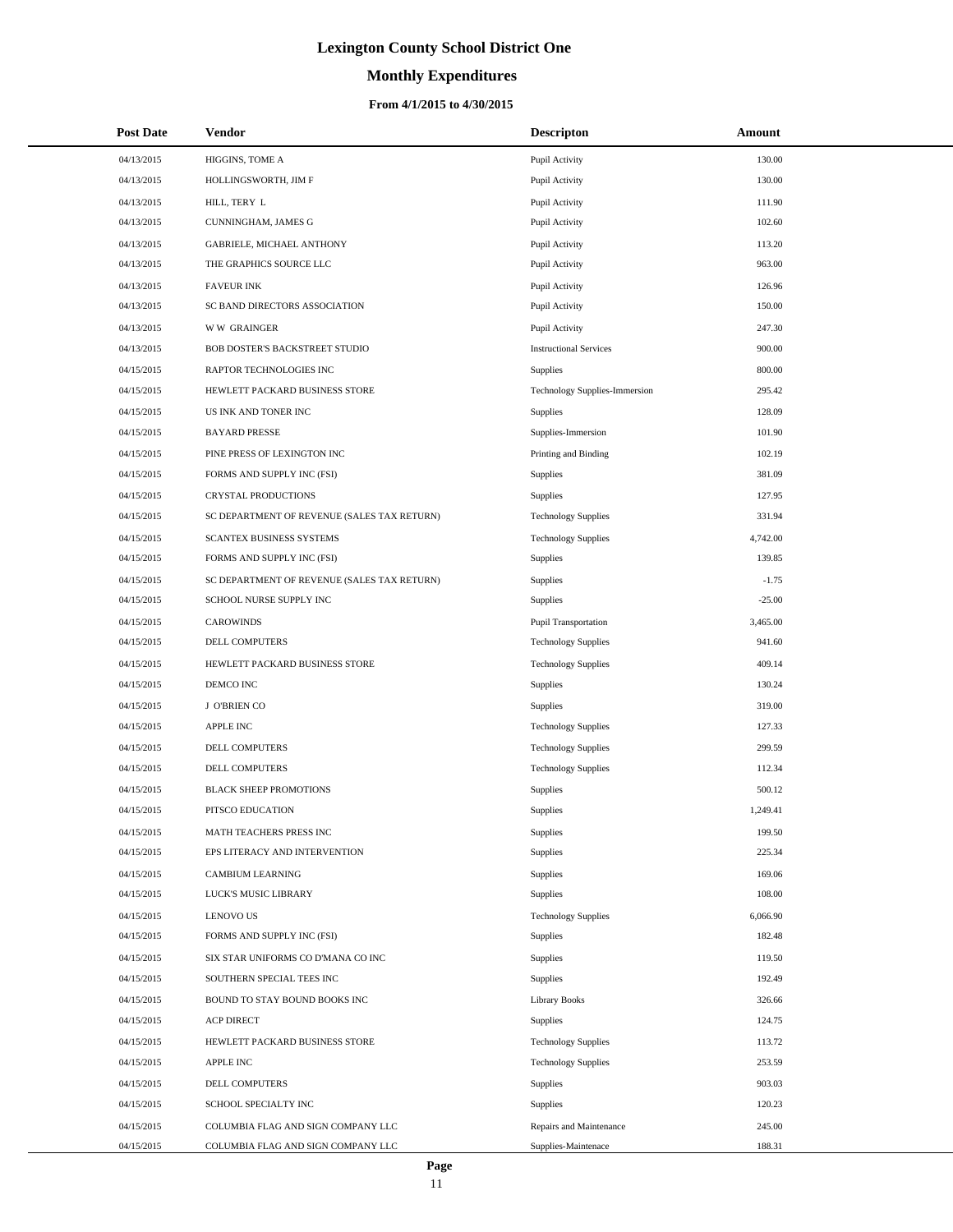# **Monthly Expenditures**

## **From 4/1/2015 to 4/30/2015**

| <b>Post Date</b> | Vendor                                      | <b>Descripton</b>             | Amount   |
|------------------|---------------------------------------------|-------------------------------|----------|
| 04/13/2015       | HIGGINS, TOME A                             | Pupil Activity                | 130.00   |
| 04/13/2015       | HOLLINGSWORTH, JIM F                        | Pupil Activity                | 130.00   |
| 04/13/2015       | HILL, TERY L                                | Pupil Activity                | 111.90   |
| 04/13/2015       | CUNNINGHAM, JAMES G                         | Pupil Activity                | 102.60   |
| 04/13/2015       | <b>GABRIELE, MICHAEL ANTHONY</b>            | Pupil Activity                | 113.20   |
| 04/13/2015       | THE GRAPHICS SOURCE LLC                     | Pupil Activity                | 963.00   |
| 04/13/2015       | <b>FAVEUR INK</b>                           | Pupil Activity                | 126.96   |
| 04/13/2015       | SC BAND DIRECTORS ASSOCIATION               | Pupil Activity                | 150.00   |
| 04/13/2015       | <b>WW GRAINGER</b>                          | Pupil Activity                | 247.30   |
| 04/13/2015       | BOB DOSTER'S BACKSTREET STUDIO              | <b>Instructional Services</b> | 900.00   |
| 04/15/2015       | RAPTOR TECHNOLOGIES INC                     | Supplies                      | 800.00   |
| 04/15/2015       | HEWLETT PACKARD BUSINESS STORE              | Technology Supplies-Immersion | 295.42   |
| 04/15/2015       | US INK AND TONER INC                        | Supplies                      | 128.09   |
| 04/15/2015       | <b>BAYARD PRESSE</b>                        | Supplies-Immersion            | 101.90   |
| 04/15/2015       | PINE PRESS OF LEXINGTON INC                 | Printing and Binding          | 102.19   |
| 04/15/2015       | FORMS AND SUPPLY INC (FSI)                  | Supplies                      | 381.09   |
| 04/15/2015       | CRYSTAL PRODUCTIONS                         | Supplies                      | 127.95   |
| 04/15/2015       | SC DEPARTMENT OF REVENUE (SALES TAX RETURN) | <b>Technology Supplies</b>    | 331.94   |
| 04/15/2015       | SCANTEX BUSINESS SYSTEMS                    | <b>Technology Supplies</b>    | 4,742.00 |
| 04/15/2015       | FORMS AND SUPPLY INC (FSI)                  | Supplies                      | 139.85   |
| 04/15/2015       | SC DEPARTMENT OF REVENUE (SALES TAX RETURN) | Supplies                      | $-1.75$  |
| 04/15/2015       | SCHOOL NURSE SUPPLY INC                     | Supplies                      | $-25.00$ |
| 04/15/2015       | <b>CAROWINDS</b>                            | <b>Pupil Transportation</b>   | 3,465.00 |
| 04/15/2015       | DELL COMPUTERS                              | <b>Technology Supplies</b>    | 941.60   |
| 04/15/2015       | HEWLETT PACKARD BUSINESS STORE              | <b>Technology Supplies</b>    | 409.14   |
| 04/15/2015       | DEMCO INC                                   | Supplies                      | 130.24   |
| 04/15/2015       | J O'BRIEN CO                                | Supplies                      | 319.00   |
| 04/15/2015       | APPLE INC                                   | <b>Technology Supplies</b>    | 127.33   |
| 04/15/2015       | DELL COMPUTERS                              | <b>Technology Supplies</b>    | 299.59   |
| 04/15/2015       | DELL COMPUTERS                              | <b>Technology Supplies</b>    | 112.34   |
| 04/15/2015       | <b>BLACK SHEEP PROMOTIONS</b>               | Supplies                      | 500.12   |
| 04/15/2015       | PITSCO EDUCATION                            | Supplies                      | 1,249.41 |
| 04/15/2015       | MATH TEACHERS PRESS INC                     | Supplies                      | 199.50   |
| 04/15/2015       | EPS LITERACY AND INTERVENTION               | Supplies                      | 225.34   |
| 04/15/2015       | <b>CAMBIUM LEARNING</b>                     | Supplies                      | 169.06   |
| 04/15/2015       | LUCK'S MUSIC LIBRARY                        | Supplies                      | 108.00   |
| 04/15/2015       | <b>LENOVO US</b>                            | <b>Technology Supplies</b>    | 6,066.90 |
| 04/15/2015       | FORMS AND SUPPLY INC (FSI)                  | Supplies                      | 182.48   |
| 04/15/2015       | SIX STAR UNIFORMS CO D'MANA CO INC          | Supplies                      | 119.50   |
| 04/15/2015       | SOUTHERN SPECIAL TEES INC                   | Supplies                      | 192.49   |
| 04/15/2015       | BOUND TO STAY BOUND BOOKS INC               | <b>Library Books</b>          | 326.66   |
| 04/15/2015       | <b>ACP DIRECT</b>                           | Supplies                      | 124.75   |
| 04/15/2015       | HEWLETT PACKARD BUSINESS STORE              | <b>Technology Supplies</b>    | 113.72   |
| 04/15/2015       | APPLE INC                                   | <b>Technology Supplies</b>    | 253.59   |
| 04/15/2015       | DELL COMPUTERS                              | Supplies                      | 903.03   |
| 04/15/2015       | SCHOOL SPECIALTY INC                        | Supplies                      | 120.23   |
| 04/15/2015       | COLUMBIA FLAG AND SIGN COMPANY LLC          | Repairs and Maintenance       | 245.00   |
| 04/15/2015       | COLUMBIA FLAG AND SIGN COMPANY LLC          | Supplies-Maintenace           | 188.31   |

 $\overline{a}$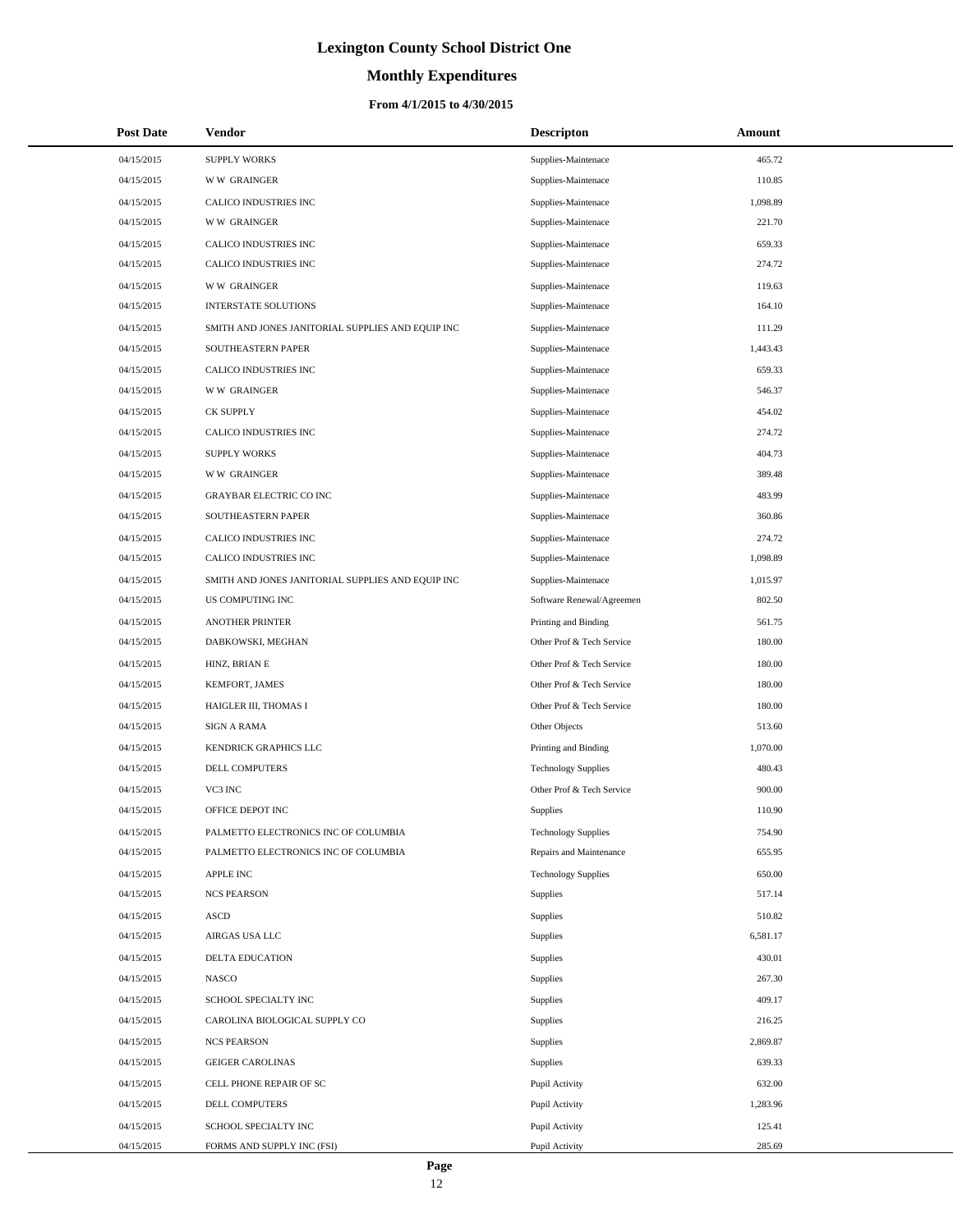# **Monthly Expenditures**

| <b>Post Date</b> | <b>Vendor</b>                                     | <b>Descripton</b>          | Amount   |
|------------------|---------------------------------------------------|----------------------------|----------|
| 04/15/2015       | <b>SUPPLY WORKS</b>                               | Supplies-Maintenace        | 465.72   |
| 04/15/2015       | <b>WW GRAINGER</b>                                | Supplies-Maintenace        | 110.85   |
| 04/15/2015       | CALICO INDUSTRIES INC                             | Supplies-Maintenace        | 1,098.89 |
| 04/15/2015       | <b>WW GRAINGER</b>                                | Supplies-Maintenace        | 221.70   |
| 04/15/2015       | CALICO INDUSTRIES INC                             | Supplies-Maintenace        | 659.33   |
| 04/15/2015       | CALICO INDUSTRIES INC                             | Supplies-Maintenace        | 274.72   |
| 04/15/2015       | <b>WW GRAINGER</b>                                | Supplies-Maintenace        | 119.63   |
| 04/15/2015       | <b>INTERSTATE SOLUTIONS</b>                       | Supplies-Maintenace        | 164.10   |
| 04/15/2015       | SMITH AND JONES JANITORIAL SUPPLIES AND EQUIP INC | Supplies-Maintenace        | 111.29   |
| 04/15/2015       | <b>SOUTHEASTERN PAPER</b>                         | Supplies-Maintenace        | 1,443.43 |
| 04/15/2015       | CALICO INDUSTRIES INC                             | Supplies-Maintenace        | 659.33   |
| 04/15/2015       | <b>WW GRAINGER</b>                                | Supplies-Maintenace        | 546.37   |
| 04/15/2015       | <b>CK SUPPLY</b>                                  | Supplies-Maintenace        | 454.02   |
| 04/15/2015       | CALICO INDUSTRIES INC                             | Supplies-Maintenace        | 274.72   |
| 04/15/2015       | <b>SUPPLY WORKS</b>                               | Supplies-Maintenace        | 404.73   |
| 04/15/2015       | <b>WW GRAINGER</b>                                | Supplies-Maintenace        | 389.48   |
| 04/15/2015       | <b>GRAYBAR ELECTRIC CO INC</b>                    | Supplies-Maintenace        | 483.99   |
| 04/15/2015       | SOUTHEASTERN PAPER                                | Supplies-Maintenace        | 360.86   |
| 04/15/2015       | CALICO INDUSTRIES INC                             | Supplies-Maintenace        | 274.72   |
| 04/15/2015       | CALICO INDUSTRIES INC                             | Supplies-Maintenace        | 1,098.89 |
| 04/15/2015       | SMITH AND JONES JANITORIAL SUPPLIES AND EQUIP INC | Supplies-Maintenace        | 1,015.97 |
| 04/15/2015       | US COMPUTING INC                                  | Software Renewal/Agreemen  | 802.50   |
| 04/15/2015       | <b>ANOTHER PRINTER</b>                            | Printing and Binding       | 561.75   |
| 04/15/2015       | DABKOWSKI, MEGHAN                                 | Other Prof & Tech Service  | 180.00   |
| 04/15/2015       | HINZ, BRIAN E                                     | Other Prof & Tech Service  | 180.00   |
| 04/15/2015       | KEMFORT, JAMES                                    | Other Prof & Tech Service  | 180.00   |
| 04/15/2015       | HAIGLER III, THOMAS I                             | Other Prof & Tech Service  | 180.00   |
| 04/15/2015       | <b>SIGN A RAMA</b>                                | Other Objects              | 513.60   |
| 04/15/2015       | KENDRICK GRAPHICS LLC                             | Printing and Binding       | 1,070.00 |
| 04/15/2015       | DELL COMPUTERS                                    | <b>Technology Supplies</b> | 480.43   |
| 04/15/2015       | VC3 INC                                           | Other Prof & Tech Service  | 900.00   |
| 04/15/2015       | OFFICE DEPOT INC                                  | <b>Supplies</b>            | 110.90   |
| 04/15/2015       | PALMETTO ELECTRONICS INC OF COLUMBIA              | <b>Technology Supplies</b> | 754.90   |
| 04/15/2015       | PALMETTO ELECTRONICS INC OF COLUMBIA              | Repairs and Maintenance    | 655.95   |
| 04/15/2015       | APPLE INC                                         | <b>Technology Supplies</b> | 650.00   |
| 04/15/2015       | <b>NCS PEARSON</b>                                | Supplies                   | 517.14   |
| 04/15/2015       | ASCD                                              | Supplies                   | 510.82   |
| 04/15/2015       | AIRGAS USA LLC                                    | Supplies                   | 6,581.17 |
| 04/15/2015       | <b>DELTA EDUCATION</b>                            | Supplies                   | 430.01   |
| 04/15/2015       | <b>NASCO</b>                                      | Supplies                   | 267.30   |
| 04/15/2015       | SCHOOL SPECIALTY INC                              | Supplies                   | 409.17   |
| 04/15/2015       | CAROLINA BIOLOGICAL SUPPLY CO                     | Supplies                   | 216.25   |
| 04/15/2015       | <b>NCS PEARSON</b>                                | Supplies                   | 2,869.87 |
| 04/15/2015       | <b>GEIGER CAROLINAS</b>                           | Supplies                   | 639.33   |
| 04/15/2015       | CELL PHONE REPAIR OF SC                           | Pupil Activity             | 632.00   |
| 04/15/2015       | DELL COMPUTERS                                    | Pupil Activity             | 1,283.96 |
| 04/15/2015       | SCHOOL SPECIALTY INC                              | Pupil Activity             | 125.41   |
| 04/15/2015       | FORMS AND SUPPLY INC (FSI)                        | Pupil Activity             | 285.69   |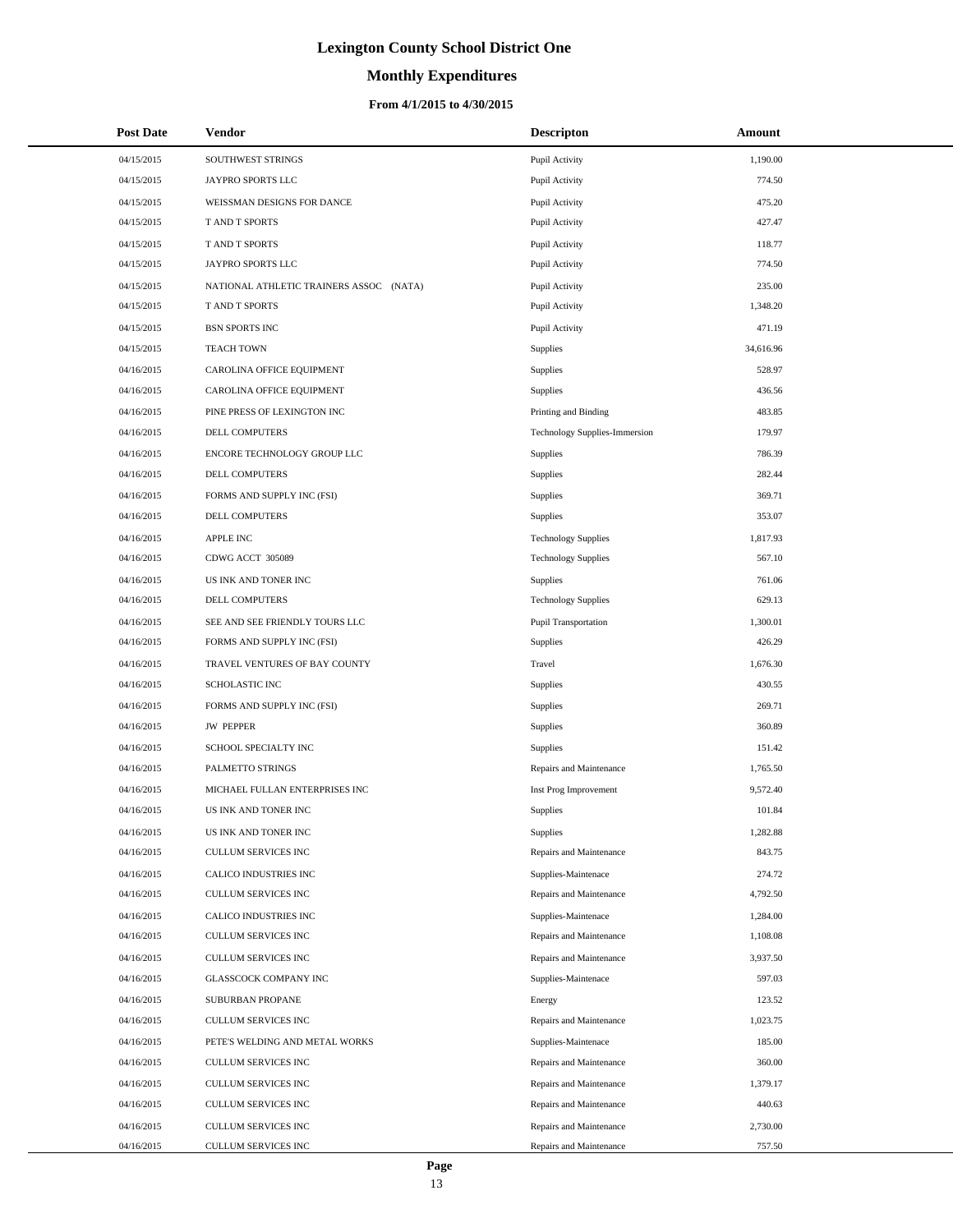# **Monthly Expenditures**

| <b>Post Date</b> | <b>Vendor</b>                           | <b>Descripton</b>             | Amount    |
|------------------|-----------------------------------------|-------------------------------|-----------|
| 04/15/2015       | SOUTHWEST STRINGS                       | Pupil Activity                | 1,190.00  |
| 04/15/2015       | JAYPRO SPORTS LLC                       | Pupil Activity                | 774.50    |
| 04/15/2015       | WEISSMAN DESIGNS FOR DANCE              | Pupil Activity                | 475.20    |
| 04/15/2015       | T AND T SPORTS                          | Pupil Activity                | 427.47    |
| 04/15/2015       | T AND T SPORTS                          | Pupil Activity                | 118.77    |
| 04/15/2015       | JAYPRO SPORTS LLC                       | Pupil Activity                | 774.50    |
| 04/15/2015       | NATIONAL ATHLETIC TRAINERS ASSOC (NATA) | Pupil Activity                | 235.00    |
| 04/15/2015       | T AND T SPORTS                          | Pupil Activity                | 1,348.20  |
| 04/15/2015       | <b>BSN SPORTS INC</b>                   | Pupil Activity                | 471.19    |
| 04/15/2015       | <b>TEACH TOWN</b>                       | Supplies                      | 34,616.96 |
| 04/16/2015       | CAROLINA OFFICE EQUIPMENT               | Supplies                      | 528.97    |
| 04/16/2015       | CAROLINA OFFICE EQUIPMENT               | Supplies                      | 436.56    |
| 04/16/2015       | PINE PRESS OF LEXINGTON INC             | Printing and Binding          | 483.85    |
| 04/16/2015       | DELL COMPUTERS                          | Technology Supplies-Immersion | 179.97    |
| 04/16/2015       | ENCORE TECHNOLOGY GROUP LLC             | Supplies                      | 786.39    |
| 04/16/2015       | DELL COMPUTERS                          | Supplies                      | 282.44    |
| 04/16/2015       | FORMS AND SUPPLY INC (FSI)              | Supplies                      | 369.71    |
| 04/16/2015       | DELL COMPUTERS                          | Supplies                      | 353.07    |
| 04/16/2015       | APPLE INC                               | <b>Technology Supplies</b>    | 1,817.93  |
| 04/16/2015       | CDWG ACCT 305089                        | <b>Technology Supplies</b>    | 567.10    |
| 04/16/2015       | US INK AND TONER INC                    | Supplies                      | 761.06    |
| 04/16/2015       | DELL COMPUTERS                          | <b>Technology Supplies</b>    | 629.13    |
| 04/16/2015       | SEE AND SEE FRIENDLY TOURS LLC          | Pupil Transportation          | 1,300.01  |
| 04/16/2015       | FORMS AND SUPPLY INC (FSI)              | Supplies                      | 426.29    |
| 04/16/2015       | TRAVEL VENTURES OF BAY COUNTY           | Travel                        | 1,676.30  |
| 04/16/2015       | <b>SCHOLASTIC INC</b>                   | Supplies                      | 430.55    |
| 04/16/2015       | FORMS AND SUPPLY INC (FSI)              | Supplies                      | 269.71    |
| 04/16/2015       | <b>JW PEPPER</b>                        | Supplies                      | 360.89    |
| 04/16/2015       | SCHOOL SPECIALTY INC                    | Supplies                      | 151.42    |
| 04/16/2015       | PALMETTO STRINGS                        | Repairs and Maintenance       | 1,765.50  |
| 04/16/2015       | MICHAEL FULLAN ENTERPRISES INC          | Inst Prog Improvement         | 9,572.40  |
| 04/16/2015       | US INK AND TONER INC                    | Supplies                      | 101.84    |
| 04/16/2015       | US INK AND TONER INC                    | Supplies                      | 1,282.88  |
| 04/16/2015       | CULLUM SERVICES INC                     | Repairs and Maintenance       | 843.75    |
| 04/16/2015       | CALICO INDUSTRIES INC                   | Supplies-Maintenace           | 274.72    |
| 04/16/2015       | CULLUM SERVICES INC                     | Repairs and Maintenance       | 4,792.50  |
| 04/16/2015       | CALICO INDUSTRIES INC                   | Supplies-Maintenace           | 1,284.00  |
| 04/16/2015       | CULLUM SERVICES INC                     | Repairs and Maintenance       | 1,108.08  |
| 04/16/2015       | CULLUM SERVICES INC                     | Repairs and Maintenance       | 3,937.50  |
| 04/16/2015       | <b>GLASSCOCK COMPANY INC</b>            | Supplies-Maintenace           | 597.03    |
| 04/16/2015       | SUBURBAN PROPANE                        | Energy                        | 123.52    |
| 04/16/2015       | CULLUM SERVICES INC                     | Repairs and Maintenance       | 1,023.75  |
| 04/16/2015       | PETE'S WELDING AND METAL WORKS          | Supplies-Maintenace           | 185.00    |
| 04/16/2015       | CULLUM SERVICES INC                     | Repairs and Maintenance       | 360.00    |
| 04/16/2015       | CULLUM SERVICES INC                     | Repairs and Maintenance       | 1,379.17  |
| 04/16/2015       | CULLUM SERVICES INC                     | Repairs and Maintenance       | 440.63    |
| 04/16/2015       | CULLUM SERVICES INC                     | Repairs and Maintenance       | 2,730.00  |
| 04/16/2015       | CULLUM SERVICES INC                     | Repairs and Maintenance       | 757.50    |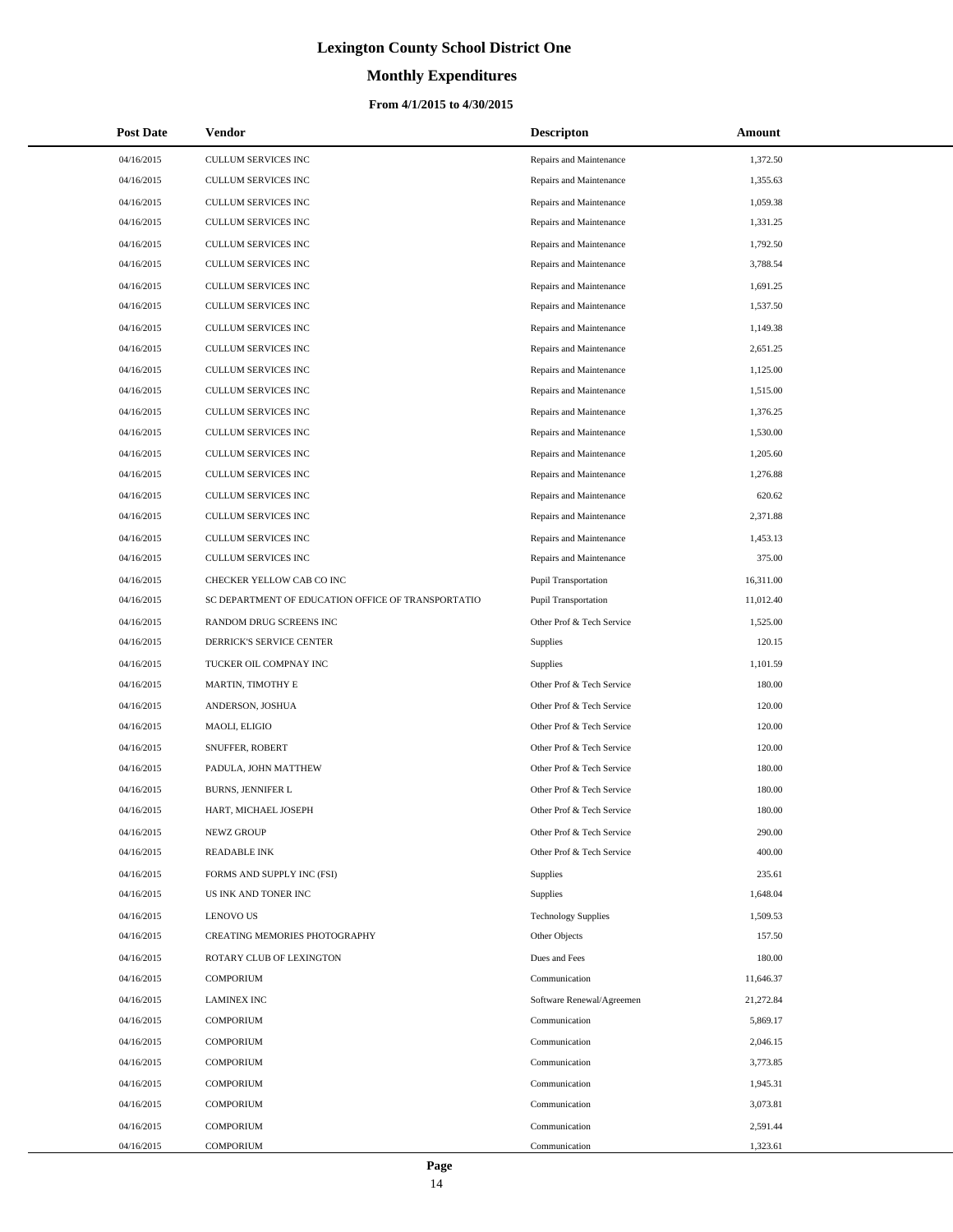# **Monthly Expenditures**

| <b>Post Date</b> | Vendor                                             | <b>Descripton</b>           | Amount    |
|------------------|----------------------------------------------------|-----------------------------|-----------|
| 04/16/2015       | CULLUM SERVICES INC                                | Repairs and Maintenance     | 1,372.50  |
| 04/16/2015       | <b>CULLUM SERVICES INC</b>                         | Repairs and Maintenance     | 1,355.63  |
| 04/16/2015       | <b>CULLUM SERVICES INC</b>                         | Repairs and Maintenance     | 1,059.38  |
| 04/16/2015       | CULLUM SERVICES INC                                | Repairs and Maintenance     | 1,331.25  |
| 04/16/2015       | CULLUM SERVICES INC                                | Repairs and Maintenance     | 1,792.50  |
| 04/16/2015       | CULLUM SERVICES INC                                | Repairs and Maintenance     | 3,788.54  |
| 04/16/2015       | CULLUM SERVICES INC                                | Repairs and Maintenance     | 1,691.25  |
| 04/16/2015       | <b>CULLUM SERVICES INC</b>                         | Repairs and Maintenance     | 1,537.50  |
| 04/16/2015       | CULLUM SERVICES INC                                | Repairs and Maintenance     | 1,149.38  |
| 04/16/2015       | <b>CULLUM SERVICES INC</b>                         | Repairs and Maintenance     | 2,651.25  |
| 04/16/2015       | CULLUM SERVICES INC                                | Repairs and Maintenance     | 1,125.00  |
| 04/16/2015       | CULLUM SERVICES INC                                | Repairs and Maintenance     | 1,515.00  |
| 04/16/2015       | CULLUM SERVICES INC                                | Repairs and Maintenance     | 1,376.25  |
| 04/16/2015       | CULLUM SERVICES INC                                | Repairs and Maintenance     | 1,530.00  |
| 04/16/2015       | CULLUM SERVICES INC                                | Repairs and Maintenance     | 1,205.60  |
| 04/16/2015       | CULLUM SERVICES INC                                | Repairs and Maintenance     | 1,276.88  |
| 04/16/2015       | CULLUM SERVICES INC                                | Repairs and Maintenance     | 620.62    |
| 04/16/2015       | CULLUM SERVICES INC                                | Repairs and Maintenance     | 2,371.88  |
| 04/16/2015       | <b>CULLUM SERVICES INC</b>                         | Repairs and Maintenance     | 1,453.13  |
| 04/16/2015       | CULLUM SERVICES INC                                | Repairs and Maintenance     | 375.00    |
| 04/16/2015       | CHECKER YELLOW CAB CO INC                          | <b>Pupil Transportation</b> | 16,311.00 |
| 04/16/2015       | SC DEPARTMENT OF EDUCATION OFFICE OF TRANSPORTATIO | Pupil Transportation        | 11,012.40 |
| 04/16/2015       | RANDOM DRUG SCREENS INC                            | Other Prof & Tech Service   | 1,525.00  |
| 04/16/2015       | DERRICK'S SERVICE CENTER                           | Supplies                    | 120.15    |
| 04/16/2015       | TUCKER OIL COMPNAY INC                             | Supplies                    | 1,101.59  |
| 04/16/2015       | MARTIN, TIMOTHY E                                  | Other Prof & Tech Service   | 180.00    |
| 04/16/2015       | ANDERSON, JOSHUA                                   | Other Prof & Tech Service   | 120.00    |
| 04/16/2015       | MAOLI, ELIGIO                                      | Other Prof & Tech Service   | 120.00    |
| 04/16/2015       | SNUFFER, ROBERT                                    | Other Prof & Tech Service   | 120.00    |
| 04/16/2015       | PADULA, JOHN MATTHEW                               | Other Prof & Tech Service   | 180.00    |
| 04/16/2015       | BURNS, JENNIFER L                                  | Other Prof & Tech Service   | 180.00    |
| 04/16/2015       | HART, MICHAEL JOSEPH                               | Other Prof & Tech Service   | 180.00    |
| 04/16/2015       | <b>NEWZ GROUP</b>                                  | Other Prof & Tech Service   | 290.00    |
| 04/16/2015       | <b>READABLE INK</b>                                | Other Prof & Tech Service   | 400.00    |
| 04/16/2015       | FORMS AND SUPPLY INC (FSI)                         | Supplies                    | 235.61    |
| 04/16/2015       | US INK AND TONER INC                               | Supplies                    | 1,648.04  |
| 04/16/2015       | <b>LENOVO US</b>                                   | <b>Technology Supplies</b>  | 1,509.53  |
| 04/16/2015       | CREATING MEMORIES PHOTOGRAPHY                      | Other Objects               | 157.50    |
| 04/16/2015       | ROTARY CLUB OF LEXINGTON                           | Dues and Fees               | 180.00    |
| 04/16/2015       | <b>COMPORIUM</b>                                   | Communication               | 11,646.37 |
| 04/16/2015       | <b>LAMINEX INC</b>                                 | Software Renewal/Agreemen   | 21,272.84 |
| 04/16/2015       | <b>COMPORIUM</b>                                   | Communication               | 5,869.17  |
| 04/16/2015       | <b>COMPORIUM</b>                                   | Communication               | 2,046.15  |
| 04/16/2015       | <b>COMPORIUM</b>                                   | Communication               | 3,773.85  |
| 04/16/2015       | <b>COMPORIUM</b>                                   | Communication               | 1,945.31  |
| 04/16/2015       | <b>COMPORIUM</b>                                   | Communication               | 3,073.81  |
| 04/16/2015       | <b>COMPORIUM</b>                                   | Communication               | 2,591.44  |
| 04/16/2015       | <b>COMPORIUM</b>                                   | Communication               | 1,323.61  |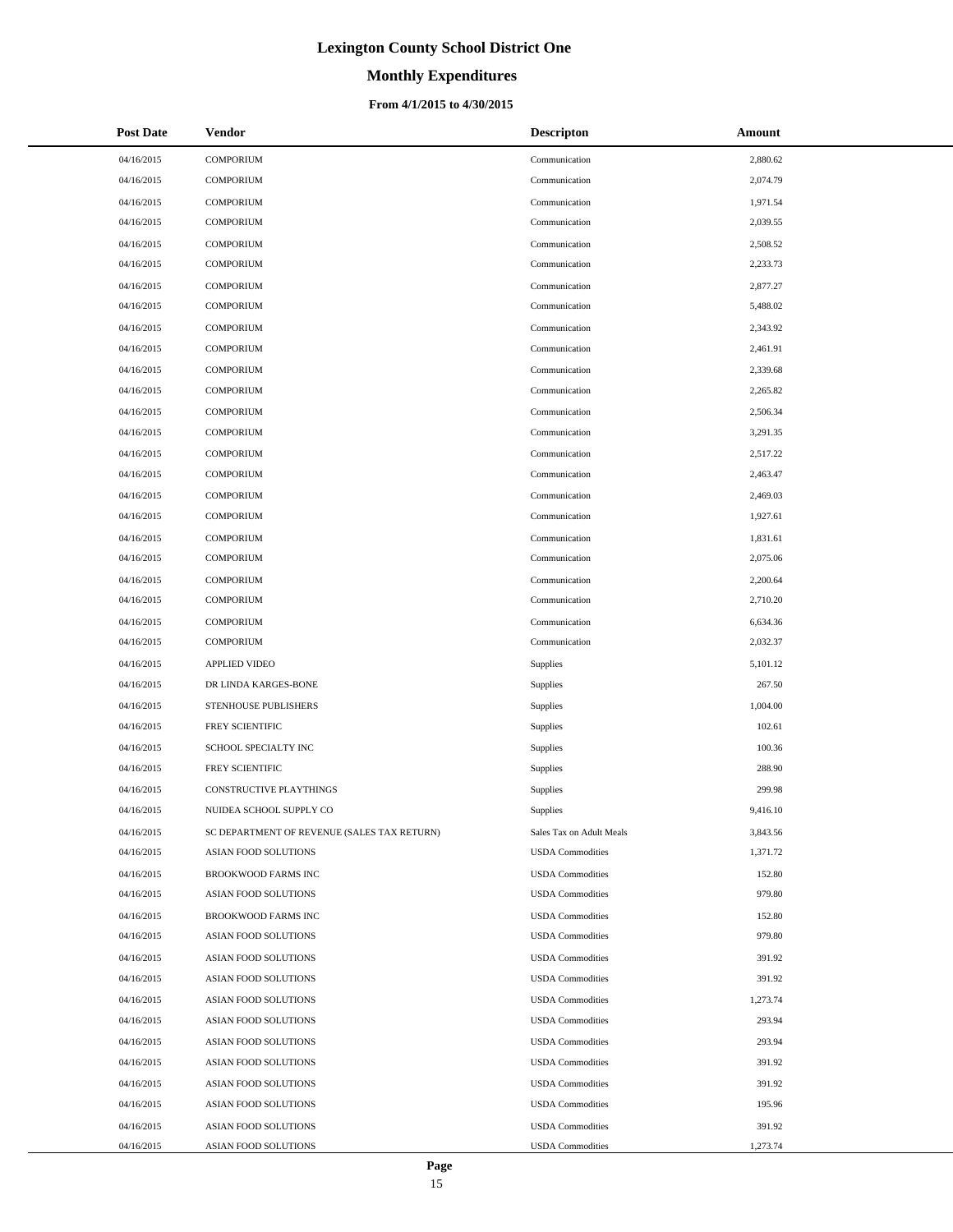# **Monthly Expenditures**

### **From 4/1/2015 to 4/30/2015**

| <b>Post Date</b> | Vendor                                      | <b>Descripton</b>        | Amount   |
|------------------|---------------------------------------------|--------------------------|----------|
| 04/16/2015       | COMPORIUM                                   | Communication            | 2,880.62 |
| 04/16/2015       | <b>COMPORIUM</b>                            | Communication            | 2,074.79 |
| 04/16/2015       | <b>COMPORIUM</b>                            | Communication            | 1,971.54 |
| 04/16/2015       | <b>COMPORIUM</b>                            | Communication            | 2,039.55 |
| 04/16/2015       | <b>COMPORIUM</b>                            | Communication            | 2,508.52 |
| 04/16/2015       | <b>COMPORIUM</b>                            | Communication            | 2,233.73 |
| 04/16/2015       | <b>COMPORIUM</b>                            | Communication            | 2,877.27 |
| 04/16/2015       | COMPORIUM                                   | Communication            | 5,488.02 |
| 04/16/2015       | <b>COMPORIUM</b>                            | Communication            | 2,343.92 |
| 04/16/2015       | <b>COMPORIUM</b>                            | Communication            | 2,461.91 |
| 04/16/2015       | <b>COMPORIUM</b>                            | Communication            | 2,339.68 |
| 04/16/2015       | <b>COMPORIUM</b>                            | Communication            | 2,265.82 |
| 04/16/2015       | <b>COMPORIUM</b>                            | Communication            | 2,506.34 |
| 04/16/2015       | <b>COMPORIUM</b>                            | Communication            | 3,291.35 |
| 04/16/2015       | <b>COMPORIUM</b>                            | Communication            | 2,517.22 |
| 04/16/2015       | <b>COMPORIUM</b>                            | Communication            | 2,463.47 |
| 04/16/2015       | <b>COMPORIUM</b>                            | Communication            | 2,469.03 |
| 04/16/2015       | <b>COMPORIUM</b>                            | Communication            | 1,927.61 |
| 04/16/2015       | <b>COMPORIUM</b>                            | Communication            | 1,831.61 |
| 04/16/2015       | <b>COMPORIUM</b>                            | Communication            | 2,075.06 |
| 04/16/2015       | <b>COMPORIUM</b>                            | Communication            | 2,200.64 |
| 04/16/2015       | <b>COMPORIUM</b>                            | Communication            | 2,710.20 |
| 04/16/2015       | <b>COMPORIUM</b>                            | Communication            | 6,634.36 |
| 04/16/2015       | <b>COMPORIUM</b>                            | Communication            | 2,032.37 |
| 04/16/2015       | APPLIED VIDEO                               | Supplies                 | 5,101.12 |
| 04/16/2015       | DR LINDA KARGES-BONE                        | Supplies                 | 267.50   |
| 04/16/2015       | STENHOUSE PUBLISHERS                        | Supplies                 | 1,004.00 |
| 04/16/2015       | FREY SCIENTIFIC                             | Supplies                 | 102.61   |
| 04/16/2015       | SCHOOL SPECIALTY INC                        | Supplies                 | 100.36   |
| 04/16/2015       | FREY SCIENTIFIC                             | Supplies                 | 288.90   |
| 04/16/2015       | CONSTRUCTIVE PLAYTHINGS                     | Supplies                 | 299.98   |
| 04/16/2015       | NUIDEA SCHOOL SUPPLY CO                     | Supplies                 | 9,416.10 |
| 04/16/2015       | SC DEPARTMENT OF REVENUE (SALES TAX RETURN) | Sales Tax on Adult Meals | 3,843.56 |
| 04/16/2015       | ASIAN FOOD SOLUTIONS                        | <b>USDA</b> Commodities  | 1,371.72 |
| 04/16/2015       | BROOKWOOD FARMS INC                         | <b>USDA</b> Commodities  | 152.80   |
| 04/16/2015       | ASIAN FOOD SOLUTIONS                        | <b>USDA</b> Commodities  | 979.80   |
| 04/16/2015       | BROOKWOOD FARMS INC                         | <b>USDA Commodities</b>  | 152.80   |
| 04/16/2015       | ASIAN FOOD SOLUTIONS                        | <b>USDA Commodities</b>  | 979.80   |
| 04/16/2015       | ASIAN FOOD SOLUTIONS                        | <b>USDA</b> Commodities  | 391.92   |
| 04/16/2015       | ASIAN FOOD SOLUTIONS                        | <b>USDA</b> Commodities  | 391.92   |
| 04/16/2015       | ASIAN FOOD SOLUTIONS                        | <b>USDA</b> Commodities  | 1,273.74 |
| 04/16/2015       | ASIAN FOOD SOLUTIONS                        | <b>USDA Commodities</b>  | 293.94   |
| 04/16/2015       | ASIAN FOOD SOLUTIONS                        | <b>USDA</b> Commodities  | 293.94   |
| 04/16/2015       | ASIAN FOOD SOLUTIONS                        | <b>USDA</b> Commodities  | 391.92   |
| 04/16/2015       | ASIAN FOOD SOLUTIONS                        | <b>USDA</b> Commodities  | 391.92   |
| 04/16/2015       | ASIAN FOOD SOLUTIONS                        | <b>USDA Commodities</b>  | 195.96   |
| 04/16/2015       | ASIAN FOOD SOLUTIONS                        | <b>USDA</b> Commodities  | 391.92   |
| 04/16/2015       | ASIAN FOOD SOLUTIONS                        | <b>USDA</b> Commodities  | 1,273.74 |

÷.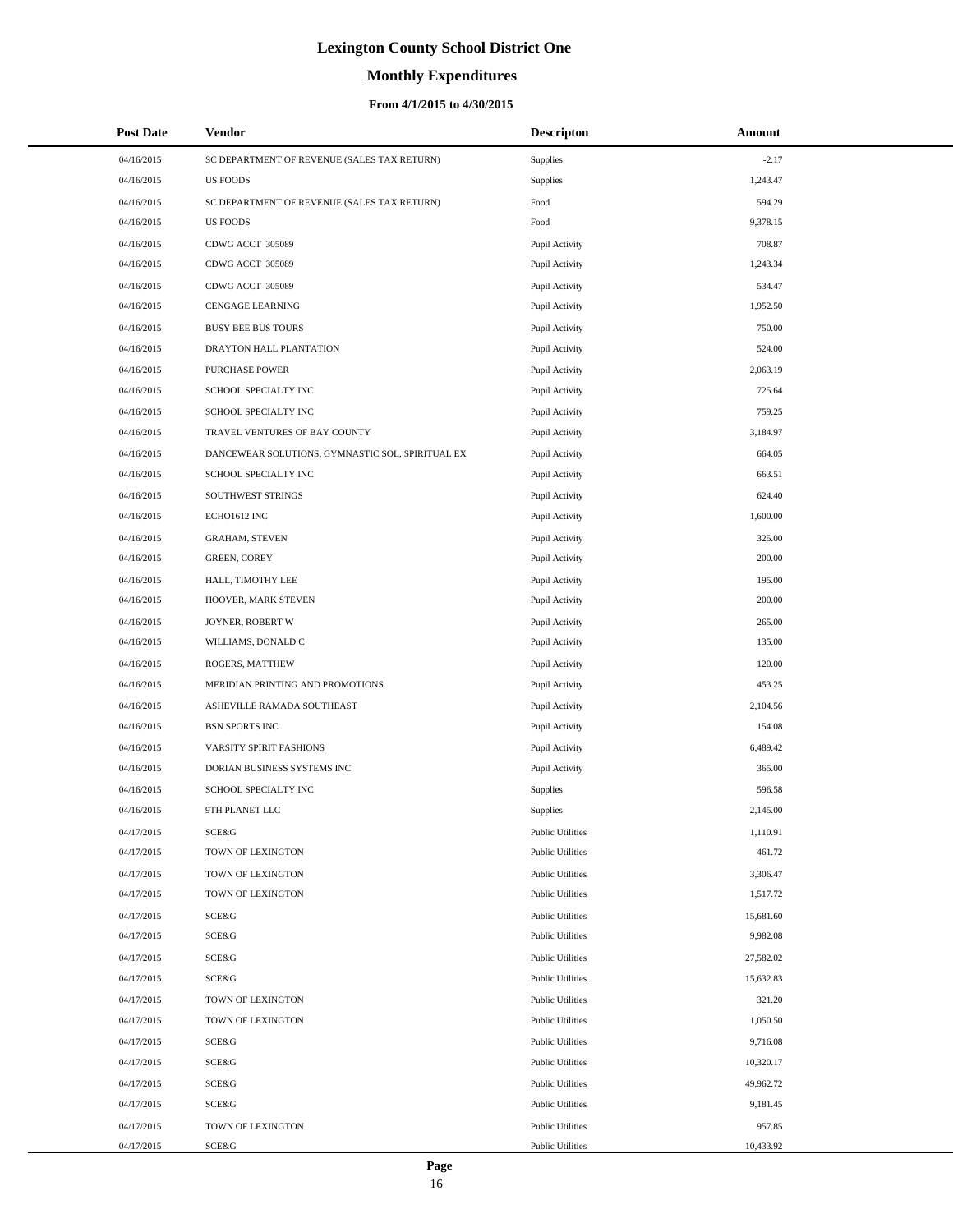# **Monthly Expenditures**

### **From 4/1/2015 to 4/30/2015**

| <b>Post Date</b> | Vendor                                           | <b>Descripton</b>       | Amount    |
|------------------|--------------------------------------------------|-------------------------|-----------|
| 04/16/2015       | SC DEPARTMENT OF REVENUE (SALES TAX RETURN)      | Supplies                | $-2.17$   |
| 04/16/2015       | <b>US FOODS</b>                                  | Supplies                | 1,243.47  |
| 04/16/2015       | SC DEPARTMENT OF REVENUE (SALES TAX RETURN)      | Food                    | 594.29    |
| 04/16/2015       | <b>US FOODS</b>                                  | Food                    | 9,378.15  |
| 04/16/2015       | CDWG ACCT 305089                                 | Pupil Activity          | 708.87    |
| 04/16/2015       | CDWG ACCT 305089                                 | Pupil Activity          | 1,243.34  |
| 04/16/2015       | CDWG ACCT 305089                                 | Pupil Activity          | 534.47    |
| 04/16/2015       | CENGAGE LEARNING                                 | Pupil Activity          | 1,952.50  |
| 04/16/2015       | <b>BUSY BEE BUS TOURS</b>                        | Pupil Activity          | 750.00    |
| 04/16/2015       | DRAYTON HALL PLANTATION                          | Pupil Activity          | 524.00    |
| 04/16/2015       | <b>PURCHASE POWER</b>                            | Pupil Activity          | 2,063.19  |
| 04/16/2015       | SCHOOL SPECIALTY INC                             | Pupil Activity          | 725.64    |
| 04/16/2015       | SCHOOL SPECIALTY INC                             | Pupil Activity          | 759.25    |
| 04/16/2015       | TRAVEL VENTURES OF BAY COUNTY                    | Pupil Activity          | 3,184.97  |
| 04/16/2015       | DANCEWEAR SOLUTIONS, GYMNASTIC SOL, SPIRITUAL EX | Pupil Activity          | 664.05    |
| 04/16/2015       | SCHOOL SPECIALTY INC                             | Pupil Activity          | 663.51    |
| 04/16/2015       | SOUTHWEST STRINGS                                | Pupil Activity          | 624.40    |
| 04/16/2015       | ECHO1612 INC                                     | Pupil Activity          | 1,600.00  |
| 04/16/2015       | <b>GRAHAM, STEVEN</b>                            | Pupil Activity          | 325.00    |
| 04/16/2015       | <b>GREEN, COREY</b>                              | Pupil Activity          | 200.00    |
| 04/16/2015       | HALL, TIMOTHY LEE                                | Pupil Activity          | 195.00    |
| 04/16/2015       | HOOVER, MARK STEVEN                              | Pupil Activity          | 200.00    |
| 04/16/2015       | JOYNER, ROBERT W                                 | Pupil Activity          | 265.00    |
| 04/16/2015       | WILLIAMS, DONALD C                               | Pupil Activity          | 135.00    |
| 04/16/2015       | ROGERS, MATTHEW                                  | Pupil Activity          | 120.00    |
| 04/16/2015       | MERIDIAN PRINTING AND PROMOTIONS                 | Pupil Activity          | 453.25    |
| 04/16/2015       | ASHEVILLE RAMADA SOUTHEAST                       | Pupil Activity          | 2,104.56  |
| 04/16/2015       | <b>BSN SPORTS INC</b>                            | Pupil Activity          | 154.08    |
| 04/16/2015       | VARSITY SPIRIT FASHIONS                          | Pupil Activity          | 6,489.42  |
| 04/16/2015       | DORIAN BUSINESS SYSTEMS INC                      | Pupil Activity          | 365.00    |
| 04/16/2015       | SCHOOL SPECIALTY INC                             | <b>Supplies</b>         | 596.58    |
| 04/16/2015       | 9TH PLANET LLC                                   | Supplies                | 2,145.00  |
| 04/17/2015       | SCE&G                                            | <b>Public Utilities</b> | 1,110.91  |
| 04/17/2015       | TOWN OF LEXINGTON                                | <b>Public Utilities</b> | 461.72    |
| 04/17/2015       | TOWN OF LEXINGTON                                | <b>Public Utilities</b> | 3,306.47  |
| 04/17/2015       | TOWN OF LEXINGTON                                | <b>Public Utilities</b> | 1,517.72  |
| 04/17/2015       | SCE&G                                            | <b>Public Utilities</b> | 15,681.60 |
| 04/17/2015       | SCE&G                                            | <b>Public Utilities</b> | 9,982.08  |
| 04/17/2015       | SCE&G                                            | <b>Public Utilities</b> | 27,582.02 |
| 04/17/2015       | SCE&G                                            | <b>Public Utilities</b> | 15,632.83 |
| 04/17/2015       | TOWN OF LEXINGTON                                | <b>Public Utilities</b> | 321.20    |
| 04/17/2015       | TOWN OF LEXINGTON                                | <b>Public Utilities</b> | 1,050.50  |
| 04/17/2015       | SCE&G                                            | <b>Public Utilities</b> | 9,716.08  |
| 04/17/2015       | SCE&G                                            | <b>Public Utilities</b> | 10,320.17 |
| 04/17/2015       | SCE&G                                            | <b>Public Utilities</b> | 49,962.72 |
| 04/17/2015       | SCE&G                                            | <b>Public Utilities</b> | 9,181.45  |
| 04/17/2015       | TOWN OF LEXINGTON                                | <b>Public Utilities</b> | 957.85    |
| 04/17/2015       | SCE&G                                            | <b>Public Utilities</b> | 10,433.92 |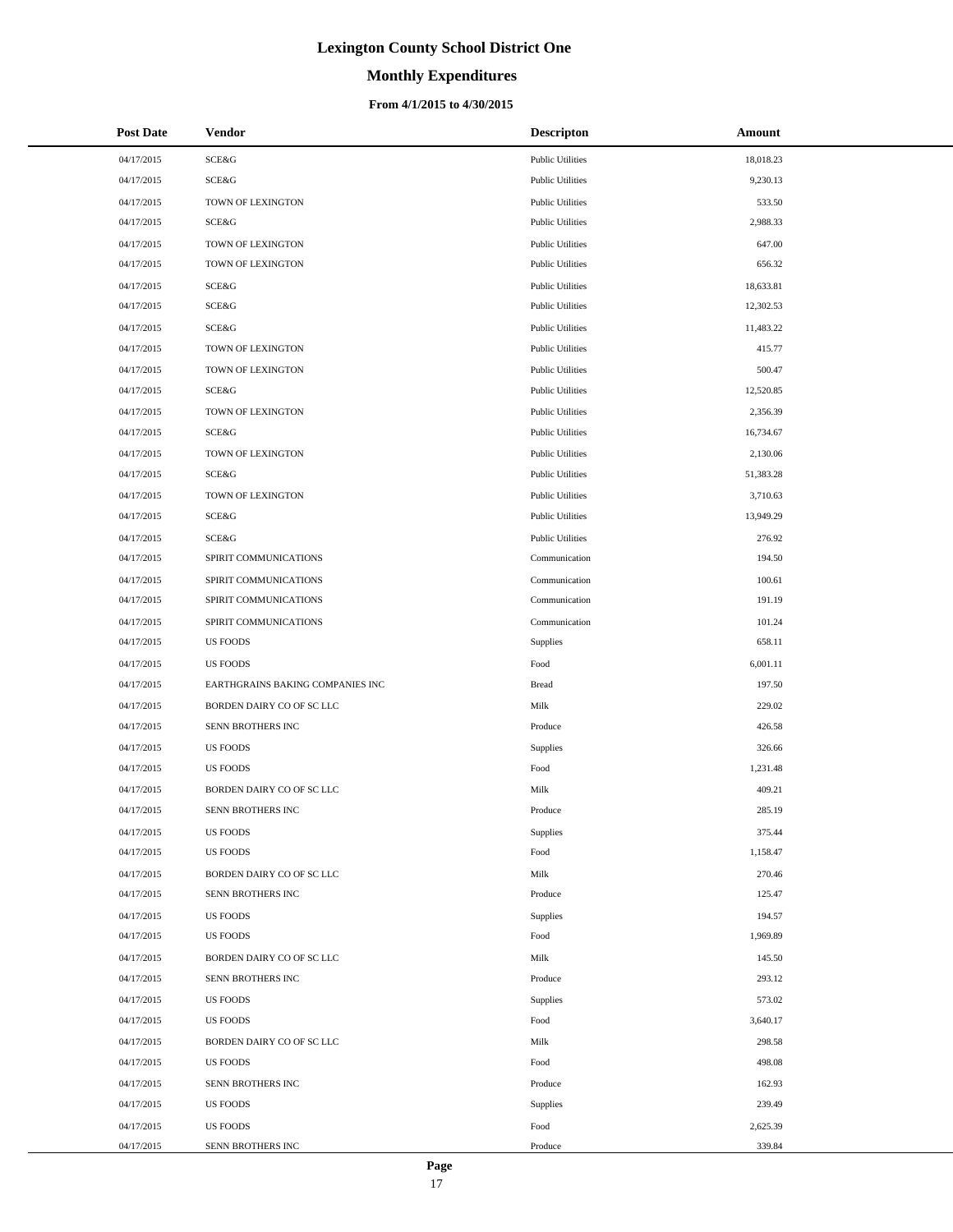# **Monthly Expenditures**

## **From 4/1/2015 to 4/30/2015**

| <b>Post Date</b> | Vendor                           | <b>Descripton</b>       | Amount    |
|------------------|----------------------------------|-------------------------|-----------|
| 04/17/2015       | SCE&G                            | <b>Public Utilities</b> | 18,018.23 |
| 04/17/2015       | SCE&G                            | <b>Public Utilities</b> | 9,230.13  |
| 04/17/2015       | TOWN OF LEXINGTON                | <b>Public Utilities</b> | 533.50    |
| 04/17/2015       | SCE&G                            | <b>Public Utilities</b> | 2,988.33  |
| 04/17/2015       | TOWN OF LEXINGTON                | <b>Public Utilities</b> | 647.00    |
| 04/17/2015       | TOWN OF LEXINGTON                | <b>Public Utilities</b> | 656.32    |
| 04/17/2015       | SCE&G                            | <b>Public Utilities</b> | 18,633.81 |
| 04/17/2015       | SCE&G                            | <b>Public Utilities</b> | 12,302.53 |
| 04/17/2015       | SCE&G                            | <b>Public Utilities</b> | 11,483.22 |
| 04/17/2015       | TOWN OF LEXINGTON                | <b>Public Utilities</b> | 415.77    |
| 04/17/2015       | TOWN OF LEXINGTON                | <b>Public Utilities</b> | 500.47    |
| 04/17/2015       | SCE&G                            | <b>Public Utilities</b> | 12,520.85 |
| 04/17/2015       | TOWN OF LEXINGTON                | <b>Public Utilities</b> | 2,356.39  |
| 04/17/2015       | SCE&G                            | <b>Public Utilities</b> | 16,734.67 |
| 04/17/2015       | TOWN OF LEXINGTON                | <b>Public Utilities</b> | 2,130.06  |
| 04/17/2015       | SCE&G                            | <b>Public Utilities</b> | 51,383.28 |
| 04/17/2015       | TOWN OF LEXINGTON                | <b>Public Utilities</b> | 3,710.63  |
| 04/17/2015       | SCE&G                            | <b>Public Utilities</b> | 13,949.29 |
| 04/17/2015       | <b>SCE&amp;G</b>                 | <b>Public Utilities</b> | 276.92    |
| 04/17/2015       | SPIRIT COMMUNICATIONS            | Communication           | 194.50    |
| 04/17/2015       | SPIRIT COMMUNICATIONS            | Communication           | 100.61    |
| 04/17/2015       | SPIRIT COMMUNICATIONS            | Communication           | 191.19    |
| 04/17/2015       | SPIRIT COMMUNICATIONS            | Communication           | 101.24    |
| 04/17/2015       | <b>US FOODS</b>                  | Supplies                | 658.11    |
| 04/17/2015       | <b>US FOODS</b>                  | Food                    | 6,001.11  |
| 04/17/2015       | EARTHGRAINS BAKING COMPANIES INC | <b>Bread</b>            | 197.50    |
| 04/17/2015       | BORDEN DAIRY CO OF SC LLC        | Milk                    | 229.02    |
| 04/17/2015       | SENN BROTHERS INC                | Produce                 | 426.58    |
| 04/17/2015       | <b>US FOODS</b>                  | Supplies                | 326.66    |
| 04/17/2015       | <b>US FOODS</b>                  | Food                    | 1,231.48  |
| 04/17/2015       | BORDEN DAIRY CO OF SC LLC        | Milk                    | 409.21    |
| 04/17/2015       | SENN BROTHERS INC                | Produce                 | 285.19    |
| 04/17/2015       | <b>US FOODS</b>                  | Supplies                | 375.44    |
| 04/17/2015       | <b>US FOODS</b>                  | Food                    | 1,158.47  |
| 04/17/2015       | BORDEN DAIRY CO OF SC LLC        | Milk                    | 270.46    |
| 04/17/2015       | SENN BROTHERS INC                | Produce                 | 125.47    |
| 04/17/2015       | <b>US FOODS</b>                  | Supplies                | 194.57    |
| 04/17/2015       | <b>US FOODS</b>                  | Food                    | 1,969.89  |
| 04/17/2015       | BORDEN DAIRY CO OF SC LLC        | Milk                    | 145.50    |
| 04/17/2015       | SENN BROTHERS INC                | Produce                 | 293.12    |
| 04/17/2015       | <b>US FOODS</b>                  | Supplies                | 573.02    |
| 04/17/2015       | <b>US FOODS</b>                  | Food                    | 3,640.17  |
| 04/17/2015       | BORDEN DAIRY CO OF SC LLC        | Milk                    | 298.58    |
| 04/17/2015       | <b>US FOODS</b>                  | Food                    | 498.08    |
| 04/17/2015       | SENN BROTHERS INC                | Produce                 | 162.93    |
| 04/17/2015       | <b>US FOODS</b>                  | Supplies                | 239.49    |
| 04/17/2015       | <b>US FOODS</b>                  | Food                    | 2,625.39  |
| 04/17/2015       | SENN BROTHERS INC                | Produce                 | 339.84    |

 $\overline{a}$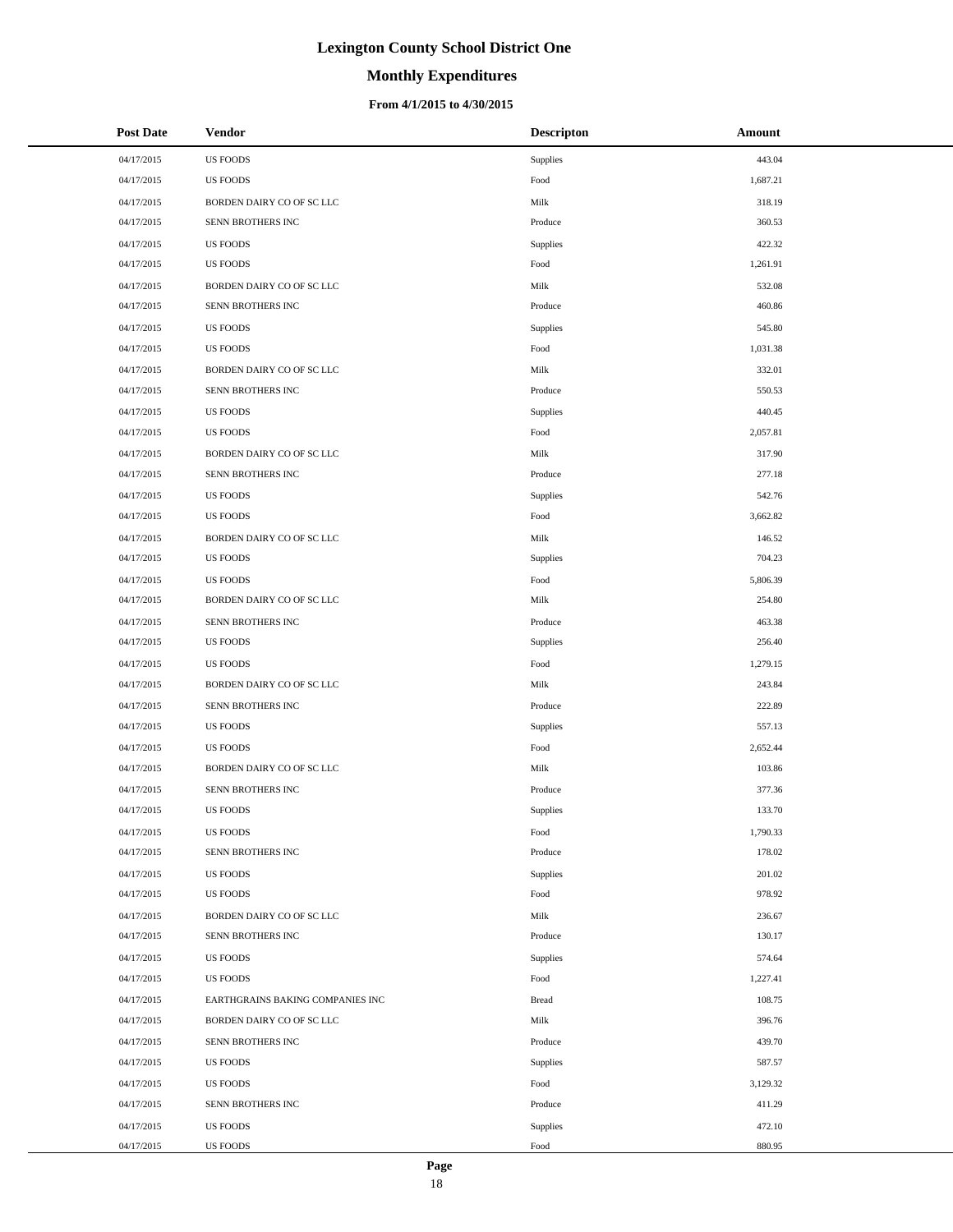# **Monthly Expenditures**

### **From 4/1/2015 to 4/30/2015**

| <b>Post Date</b> | <b>Vendor</b>                    | <b>Descripton</b> | Amount   |
|------------------|----------------------------------|-------------------|----------|
| 04/17/2015       | <b>US FOODS</b>                  | <b>Supplies</b>   | 443.04   |
| 04/17/2015       | <b>US FOODS</b>                  | Food              | 1,687.21 |
| 04/17/2015       | BORDEN DAIRY CO OF SC LLC        | Milk              | 318.19   |
| 04/17/2015       | SENN BROTHERS INC                | Produce           | 360.53   |
| 04/17/2015       | <b>US FOODS</b>                  | <b>Supplies</b>   | 422.32   |
| 04/17/2015       | <b>US FOODS</b>                  | Food              | 1,261.91 |
| 04/17/2015       | BORDEN DAIRY CO OF SC LLC        | Milk              | 532.08   |
| 04/17/2015       | SENN BROTHERS INC                | Produce           | 460.86   |
| 04/17/2015       | <b>US FOODS</b>                  | <b>Supplies</b>   | 545.80   |
| 04/17/2015       | <b>US FOODS</b>                  | Food              | 1,031.38 |
| 04/17/2015       | BORDEN DAIRY CO OF SC LLC        | Milk              | 332.01   |
| 04/17/2015       | SENN BROTHERS INC                | Produce           | 550.53   |
| 04/17/2015       | <b>US FOODS</b>                  | <b>Supplies</b>   | 440.45   |
| 04/17/2015       | <b>US FOODS</b>                  | Food              | 2,057.81 |
| 04/17/2015       | BORDEN DAIRY CO OF SC LLC        | Milk              | 317.90   |
| 04/17/2015       | SENN BROTHERS INC                | Produce           | 277.18   |
| 04/17/2015       | <b>US FOODS</b>                  | Supplies          | 542.76   |
| 04/17/2015       | <b>US FOODS</b>                  | Food              | 3,662.82 |
| 04/17/2015       | BORDEN DAIRY CO OF SC LLC        | Milk              | 146.52   |
| 04/17/2015       | <b>US FOODS</b>                  | Supplies          | 704.23   |
| 04/17/2015       | <b>US FOODS</b>                  | Food              | 5,806.39 |
| 04/17/2015       | BORDEN DAIRY CO OF SC LLC        | Milk              | 254.80   |
| 04/17/2015       | SENN BROTHERS INC                | Produce           | 463.38   |
| 04/17/2015       | <b>US FOODS</b>                  | Supplies          | 256.40   |
| 04/17/2015       | <b>US FOODS</b>                  | Food              | 1,279.15 |
| 04/17/2015       | BORDEN DAIRY CO OF SC LLC        | Milk              | 243.84   |
| 04/17/2015       | SENN BROTHERS INC                | Produce           | 222.89   |
| 04/17/2015       | <b>US FOODS</b>                  | Supplies          | 557.13   |
| 04/17/2015       | <b>US FOODS</b>                  | Food              | 2,652.44 |
| 04/17/2015       | BORDEN DAIRY CO OF SC LLC        | Milk              | 103.86   |
| 04/17/2015       | SENN BROTHERS INC                | Produce           | 377.36   |
| 04/17/2015       | <b>US FOODS</b>                  | <b>Supplies</b>   | 133.70   |
| 04/17/2015       | <b>US FOODS</b>                  | Food              | 1,790.33 |
| 04/17/2015       | SENN BROTHERS INC                | Produce           | 178.02   |
| 04/17/2015       | <b>US FOODS</b>                  | Supplies          | 201.02   |
| 04/17/2015       | <b>US FOODS</b>                  | Food              | 978.92   |
| 04/17/2015       | BORDEN DAIRY CO OF SC LLC        | Milk              | 236.67   |
| 04/17/2015       | SENN BROTHERS INC                | Produce           | 130.17   |
| 04/17/2015       | <b>US FOODS</b>                  | <b>Supplies</b>   | 574.64   |
| 04/17/2015       | <b>US FOODS</b>                  | Food              | 1,227.41 |
| 04/17/2015       | EARTHGRAINS BAKING COMPANIES INC | <b>Bread</b>      | 108.75   |
| 04/17/2015       | BORDEN DAIRY CO OF SC LLC        | Milk              | 396.76   |
| 04/17/2015       | SENN BROTHERS INC                | Produce           | 439.70   |
| 04/17/2015       | <b>US FOODS</b>                  | Supplies          | 587.57   |
| 04/17/2015       | <b>US FOODS</b>                  | Food              | 3,129.32 |
| 04/17/2015       | SENN BROTHERS INC                | Produce           | 411.29   |
| 04/17/2015       | <b>US FOODS</b>                  | Supplies          | 472.10   |
| 04/17/2015       | US FOODS                         | Food              | 880.95   |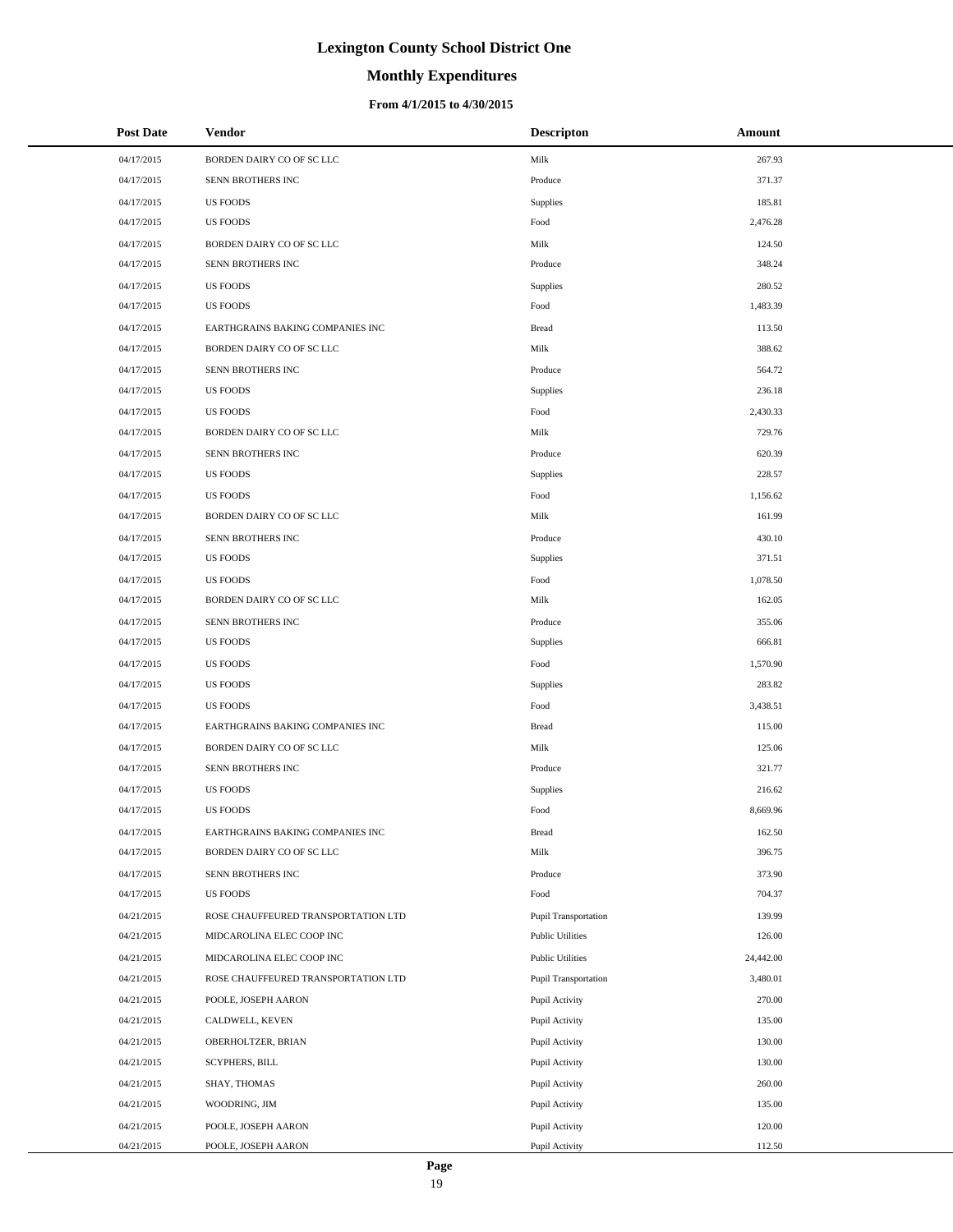# **Monthly Expenditures**

### **From 4/1/2015 to 4/30/2015**

| <b>Post Date</b> | Vendor                              | <b>Descripton</b>           | Amount    |
|------------------|-------------------------------------|-----------------------------|-----------|
| 04/17/2015       | BORDEN DAIRY CO OF SC LLC           | Milk                        | 267.93    |
| 04/17/2015       | SENN BROTHERS INC                   | Produce                     | 371.37    |
| 04/17/2015       | <b>US FOODS</b>                     | Supplies                    | 185.81    |
| 04/17/2015       | <b>US FOODS</b>                     | Food                        | 2,476.28  |
| 04/17/2015       | BORDEN DAIRY CO OF SC LLC           | Milk                        | 124.50    |
| 04/17/2015       | SENN BROTHERS INC                   | Produce                     | 348.24    |
| 04/17/2015       | <b>US FOODS</b>                     | Supplies                    | 280.52    |
| 04/17/2015       | <b>US FOODS</b>                     | Food                        | 1,483.39  |
| 04/17/2015       | EARTHGRAINS BAKING COMPANIES INC    | <b>Bread</b>                | 113.50    |
| 04/17/2015       | BORDEN DAIRY CO OF SC LLC           | Milk                        | 388.62    |
| 04/17/2015       | SENN BROTHERS INC                   | Produce                     | 564.72    |
| 04/17/2015       | <b>US FOODS</b>                     | Supplies                    | 236.18    |
| 04/17/2015       | <b>US FOODS</b>                     | Food                        | 2,430.33  |
| 04/17/2015       | BORDEN DAIRY CO OF SC LLC           | Milk                        | 729.76    |
| 04/17/2015       | SENN BROTHERS INC                   | Produce                     | 620.39    |
| 04/17/2015       | <b>US FOODS</b>                     | Supplies                    | 228.57    |
| 04/17/2015       | <b>US FOODS</b>                     | Food                        | 1,156.62  |
| 04/17/2015       | BORDEN DAIRY CO OF SC LLC           | Milk                        | 161.99    |
| 04/17/2015       | SENN BROTHERS INC                   | Produce                     | 430.10    |
| 04/17/2015       | <b>US FOODS</b>                     | Supplies                    | 371.51    |
| 04/17/2015       | <b>US FOODS</b>                     | Food                        | 1,078.50  |
| 04/17/2015       | BORDEN DAIRY CO OF SC LLC           | Milk                        | 162.05    |
| 04/17/2015       | SENN BROTHERS INC                   | Produce                     | 355.06    |
| 04/17/2015       | <b>US FOODS</b>                     | Supplies                    | 666.81    |
| 04/17/2015       | <b>US FOODS</b>                     | Food                        | 1,570.90  |
| 04/17/2015       | <b>US FOODS</b>                     | Supplies                    | 283.82    |
| 04/17/2015       | <b>US FOODS</b>                     | Food                        | 3,438.51  |
| 04/17/2015       | EARTHGRAINS BAKING COMPANIES INC    | <b>Bread</b>                | 115.00    |
| 04/17/2015       | BORDEN DAIRY CO OF SC LLC           | Milk                        | 125.06    |
| 04/17/2015       | SENN BROTHERS INC                   | Produce                     | 321.77    |
| 04/17/2015       | <b>US FOODS</b>                     | Supplies                    | 216.62    |
| 04/17/2015       | <b>US FOODS</b>                     | Food                        | 8,669.96  |
| 04/17/2015       | EARTHGRAINS BAKING COMPANIES INC    | <b>Bread</b>                | 162.50    |
| 04/17/2015       | BORDEN DAIRY CO OF SC LLC           | Milk                        | 396.75    |
| 04/17/2015       | SENN BROTHERS INC                   | Produce                     | 373.90    |
| 04/17/2015       | <b>US FOODS</b>                     | Food                        | 704.37    |
| 04/21/2015       | ROSE CHAUFFEURED TRANSPORTATION LTD | Pupil Transportation        | 139.99    |
| 04/21/2015       | MIDCAROLINA ELEC COOP INC           | <b>Public Utilities</b>     | 126.00    |
| 04/21/2015       | MIDCAROLINA ELEC COOP INC           | <b>Public Utilities</b>     | 24,442.00 |
| 04/21/2015       | ROSE CHAUFFEURED TRANSPORTATION LTD | <b>Pupil Transportation</b> | 3,480.01  |
| 04/21/2015       | POOLE, JOSEPH AARON                 | Pupil Activity              | 270.00    |
| 04/21/2015       | CALDWELL, KEVEN                     | Pupil Activity              | 135.00    |
| 04/21/2015       | OBERHOLTZER, BRIAN                  | Pupil Activity              | 130.00    |
| 04/21/2015       | <b>SCYPHERS, BILL</b>               | Pupil Activity              | 130.00    |
| 04/21/2015       | SHAY, THOMAS                        | Pupil Activity              | 260.00    |
| 04/21/2015       | WOODRING, JIM                       | Pupil Activity              | 135.00    |
| 04/21/2015       | POOLE, JOSEPH AARON                 | Pupil Activity              | 120.00    |
| 04/21/2015       | POOLE, JOSEPH AARON                 | Pupil Activity              | 112.50    |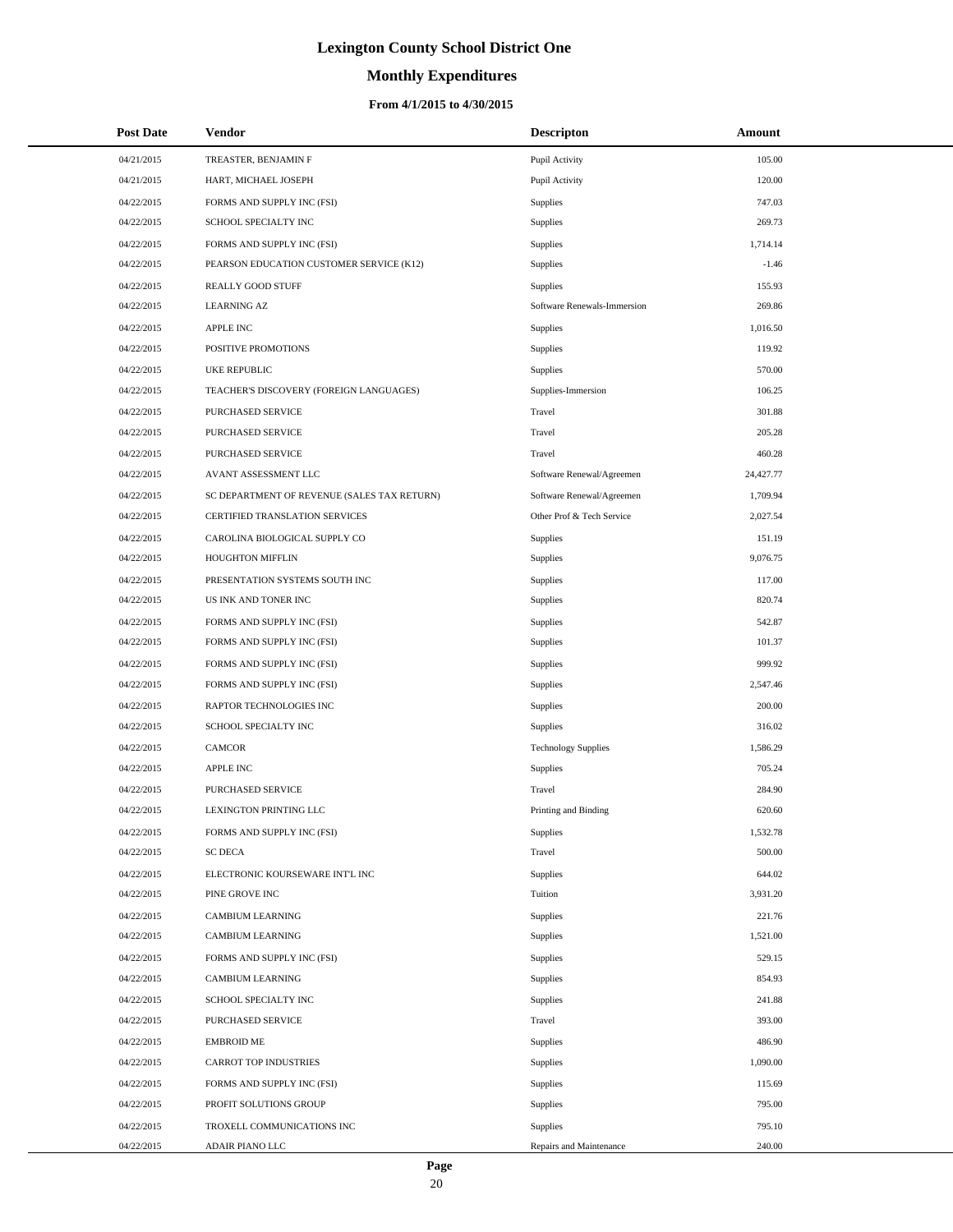# **Monthly Expenditures**

## **From 4/1/2015 to 4/30/2015**

| <b>Post Date</b> | <b>Vendor</b>                               | <b>Descripton</b>           | Amount    |
|------------------|---------------------------------------------|-----------------------------|-----------|
| 04/21/2015       | TREASTER, BENJAMIN F                        | Pupil Activity              | 105.00    |
| 04/21/2015       | HART, MICHAEL JOSEPH                        | Pupil Activity              | 120.00    |
| 04/22/2015       | FORMS AND SUPPLY INC (FSI)                  | <b>Supplies</b>             | 747.03    |
| 04/22/2015       | SCHOOL SPECIALTY INC                        | Supplies                    | 269.73    |
| 04/22/2015       | FORMS AND SUPPLY INC (FSI)                  | Supplies                    | 1,714.14  |
| 04/22/2015       | PEARSON EDUCATION CUSTOMER SERVICE (K12)    | Supplies                    | $-1.46$   |
| 04/22/2015       | REALLY GOOD STUFF                           | Supplies                    | 155.93    |
| 04/22/2015       | <b>LEARNING AZ</b>                          | Software Renewals-Immersion | 269.86    |
| 04/22/2015       | <b>APPLE INC</b>                            | Supplies                    | 1,016.50  |
| 04/22/2015       | POSITIVE PROMOTIONS                         | Supplies                    | 119.92    |
| 04/22/2015       | <b>UKE REPUBLIC</b>                         | Supplies                    | 570.00    |
| 04/22/2015       | TEACHER'S DISCOVERY (FOREIGN LANGUAGES)     | Supplies-Immersion          | 106.25    |
| 04/22/2015       | PURCHASED SERVICE                           | Travel                      | 301.88    |
| 04/22/2015       | <b>PURCHASED SERVICE</b>                    | Travel                      | 205.28    |
| 04/22/2015       | PURCHASED SERVICE                           | Travel                      | 460.28    |
| 04/22/2015       | AVANT ASSESSMENT LLC                        | Software Renewal/Agreemen   | 24,427.77 |
| 04/22/2015       | SC DEPARTMENT OF REVENUE (SALES TAX RETURN) | Software Renewal/Agreemen   | 1,709.94  |
| 04/22/2015       | <b>CERTIFIED TRANSLATION SERVICES</b>       | Other Prof & Tech Service   | 2,027.54  |
| 04/22/2015       | CAROLINA BIOLOGICAL SUPPLY CO               | <b>Supplies</b>             | 151.19    |
| 04/22/2015       | HOUGHTON MIFFLIN                            | Supplies                    | 9,076.75  |
| 04/22/2015       | PRESENTATION SYSTEMS SOUTH INC              | Supplies                    | 117.00    |
| 04/22/2015       | US INK AND TONER INC                        | Supplies                    | 820.74    |
| 04/22/2015       | FORMS AND SUPPLY INC (FSI)                  | Supplies                    | 542.87    |
| 04/22/2015       | FORMS AND SUPPLY INC (FSI)                  | Supplies                    | 101.37    |
| 04/22/2015       | FORMS AND SUPPLY INC (FSI)                  | Supplies                    | 999.92    |
| 04/22/2015       | FORMS AND SUPPLY INC (FSI)                  | Supplies                    | 2,547.46  |
| 04/22/2015       | RAPTOR TECHNOLOGIES INC                     | Supplies                    | 200.00    |
| 04/22/2015       | SCHOOL SPECIALTY INC                        | Supplies                    | 316.02    |
| 04/22/2015       | <b>CAMCOR</b>                               | <b>Technology Supplies</b>  | 1,586.29  |
| 04/22/2015       | APPLE INC                                   | Supplies                    | 705.24    |
| 04/22/2015       | PURCHASED SERVICE                           | Travel                      | 284.90    |
| 04/22/2015       | LEXINGTON PRINTING LLC                      | Printing and Binding        | 620.60    |
| 04/22/2015       | FORMS AND SUPPLY INC (FSI)                  | Supplies                    | 1,532.78  |
| 04/22/2015       | <b>SC DECA</b>                              | Travel                      | 500.00    |
| 04/22/2015       | ELECTRONIC KOURSEWARE INT'L INC             | Supplies                    | 644.02    |
| 04/22/2015       | PINE GROVE INC                              | Tuition                     | 3,931.20  |
| 04/22/2015       | <b>CAMBIUM LEARNING</b>                     | Supplies                    | 221.76    |
| 04/22/2015       | CAMBIUM LEARNING                            | Supplies                    | 1,521.00  |
| 04/22/2015       | FORMS AND SUPPLY INC (FSI)                  | Supplies                    | 529.15    |
| 04/22/2015       | CAMBIUM LEARNING                            | Supplies                    | 854.93    |
| 04/22/2015       | SCHOOL SPECIALTY INC                        | Supplies                    | 241.88    |
| 04/22/2015       | PURCHASED SERVICE                           | Travel                      | 393.00    |
| 04/22/2015       | <b>EMBROID ME</b>                           | Supplies                    | 486.90    |
| 04/22/2015       | <b>CARROT TOP INDUSTRIES</b>                | Supplies                    | 1,090.00  |
| 04/22/2015       | FORMS AND SUPPLY INC (FSI)                  | Supplies                    | 115.69    |
| 04/22/2015       | PROFIT SOLUTIONS GROUP                      | Supplies                    | 795.00    |
| 04/22/2015       | TROXELL COMMUNICATIONS INC                  | Supplies                    | 795.10    |
| 04/22/2015       | ADAIR PIANO LLC                             | Repairs and Maintenance     | 240.00    |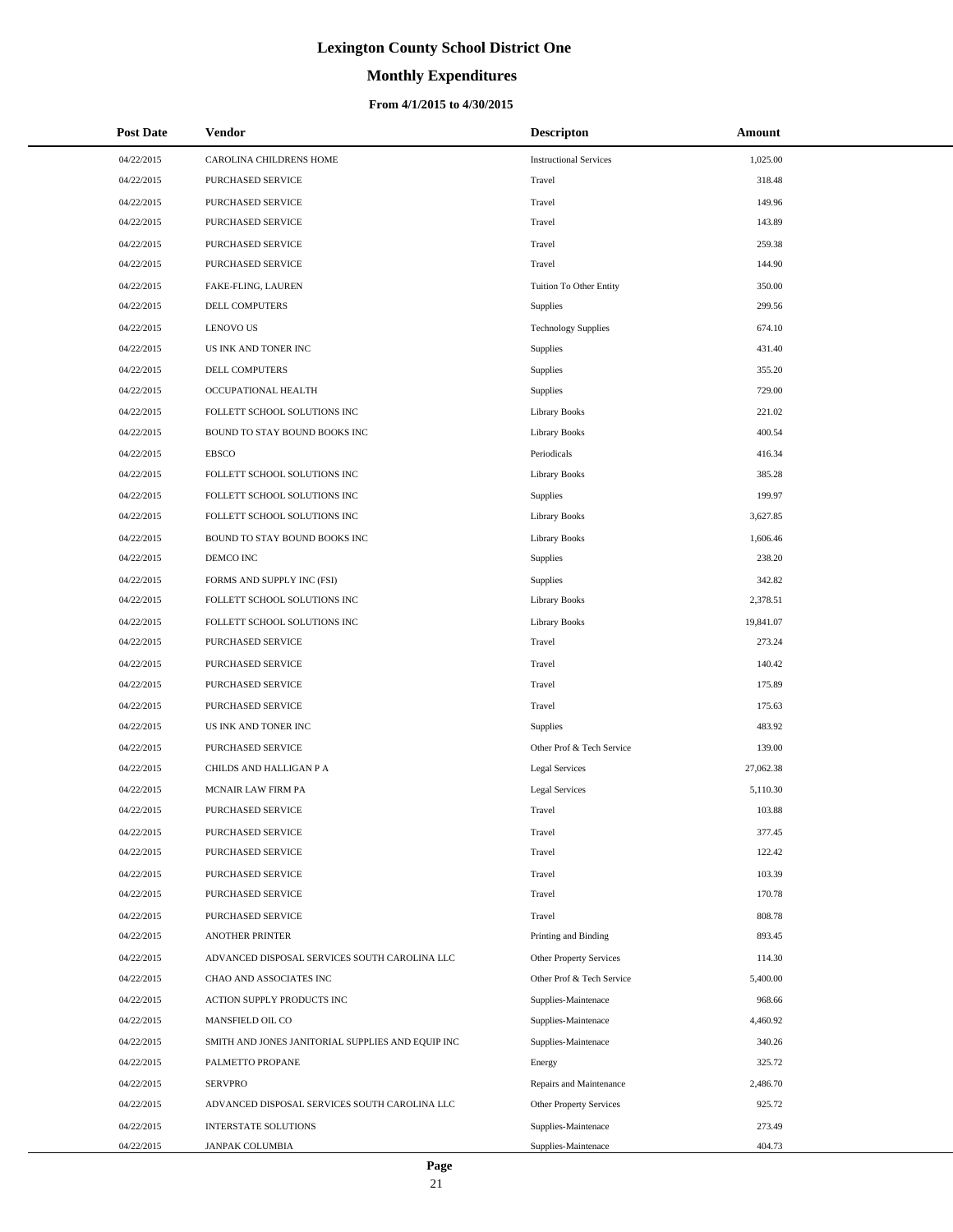# **Monthly Expenditures**

### **From 4/1/2015 to 4/30/2015**

| <b>Post Date</b> | Vendor                                            | <b>Descripton</b>             | Amount    |
|------------------|---------------------------------------------------|-------------------------------|-----------|
| 04/22/2015       | CAROLINA CHILDRENS HOME                           | <b>Instructional Services</b> | 1,025.00  |
| 04/22/2015       | PURCHASED SERVICE                                 | Travel                        | 318.48    |
| 04/22/2015       | PURCHASED SERVICE                                 | Travel                        | 149.96    |
| 04/22/2015       | PURCHASED SERVICE                                 | Travel                        | 143.89    |
| 04/22/2015       | PURCHASED SERVICE                                 | Travel                        | 259.38    |
| 04/22/2015       | PURCHASED SERVICE                                 | Travel                        | 144.90    |
| 04/22/2015       | FAKE-FLING, LAUREN                                | Tuition To Other Entity       | 350.00    |
| 04/22/2015       | DELL COMPUTERS                                    | Supplies                      | 299.56    |
| 04/22/2015       | <b>LENOVO US</b>                                  | <b>Technology Supplies</b>    | 674.10    |
| 04/22/2015       | US INK AND TONER INC                              | Supplies                      | 431.40    |
| 04/22/2015       | DELL COMPUTERS                                    | Supplies                      | 355.20    |
| 04/22/2015       | OCCUPATIONAL HEALTH                               | Supplies                      | 729.00    |
| 04/22/2015       | FOLLETT SCHOOL SOLUTIONS INC                      | <b>Library Books</b>          | 221.02    |
| 04/22/2015       | BOUND TO STAY BOUND BOOKS INC                     | <b>Library Books</b>          | 400.54    |
| 04/22/2015       | <b>EBSCO</b>                                      | Periodicals                   | 416.34    |
| 04/22/2015       | FOLLETT SCHOOL SOLUTIONS INC                      | <b>Library Books</b>          | 385.28    |
| 04/22/2015       | FOLLETT SCHOOL SOLUTIONS INC                      | <b>Supplies</b>               | 199.97    |
| 04/22/2015       | FOLLETT SCHOOL SOLUTIONS INC                      | <b>Library Books</b>          | 3,627.85  |
| 04/22/2015       | BOUND TO STAY BOUND BOOKS INC                     | <b>Library Books</b>          | 1,606.46  |
| 04/22/2015       | DEMCO INC                                         | Supplies                      | 238.20    |
| 04/22/2015       | FORMS AND SUPPLY INC (FSI)                        | Supplies                      | 342.82    |
| 04/22/2015       | FOLLETT SCHOOL SOLUTIONS INC                      | <b>Library Books</b>          | 2,378.51  |
| 04/22/2015       | FOLLETT SCHOOL SOLUTIONS INC                      | <b>Library Books</b>          | 19,841.07 |
| 04/22/2015       | PURCHASED SERVICE                                 | Travel                        | 273.24    |
| 04/22/2015       | PURCHASED SERVICE                                 | Travel                        | 140.42    |
| 04/22/2015       | PURCHASED SERVICE                                 | Travel                        | 175.89    |
| 04/22/2015       | PURCHASED SERVICE                                 | Travel                        | 175.63    |
| 04/22/2015       | US INK AND TONER INC                              | Supplies                      | 483.92    |
| 04/22/2015       | <b>PURCHASED SERVICE</b>                          | Other Prof & Tech Service     | 139.00    |
| 04/22/2015       | CHILDS AND HALLIGAN P A                           | Legal Services                | 27,062.38 |
| 04/22/2015       | MCNAIR LAW FIRM PA                                | Legal Services                | 5,110.30  |
| 04/22/2015       | PURCHASED SERVICE                                 | Travel                        | 103.88    |
| 04/22/2015       | PURCHASED SERVICE                                 | Travel                        | 377.45    |
| 04/22/2015       | PURCHASED SERVICE                                 | Travel                        | 122.42    |
| 04/22/2015       | PURCHASED SERVICE                                 | Travel                        | 103.39    |
| 04/22/2015       | <b>PURCHASED SERVICE</b>                          | Travel                        | 170.78    |
| 04/22/2015       | PURCHASED SERVICE                                 | Travel                        | 808.78    |
| 04/22/2015       | <b>ANOTHER PRINTER</b>                            | Printing and Binding          | 893.45    |
| 04/22/2015       | ADVANCED DISPOSAL SERVICES SOUTH CAROLINA LLC     | Other Property Services       | 114.30    |
| 04/22/2015       | CHAO AND ASSOCIATES INC                           | Other Prof & Tech Service     | 5,400.00  |
| 04/22/2015       | ACTION SUPPLY PRODUCTS INC                        | Supplies-Maintenace           | 968.66    |
| 04/22/2015       | MANSFIELD OIL CO                                  | Supplies-Maintenace           | 4,460.92  |
| 04/22/2015       | SMITH AND JONES JANITORIAL SUPPLIES AND EQUIP INC | Supplies-Maintenace           | 340.26    |
| 04/22/2015       | PALMETTO PROPANE                                  | Energy                        | 325.72    |
| 04/22/2015       | <b>SERVPRO</b>                                    | Repairs and Maintenance       | 2,486.70  |
| 04/22/2015       | ADVANCED DISPOSAL SERVICES SOUTH CAROLINA LLC     | Other Property Services       | 925.72    |
| 04/22/2015       | <b>INTERSTATE SOLUTIONS</b>                       | Supplies-Maintenace           | 273.49    |
| 04/22/2015       | JANPAK COLUMBIA                                   | Supplies-Maintenace           | 404.73    |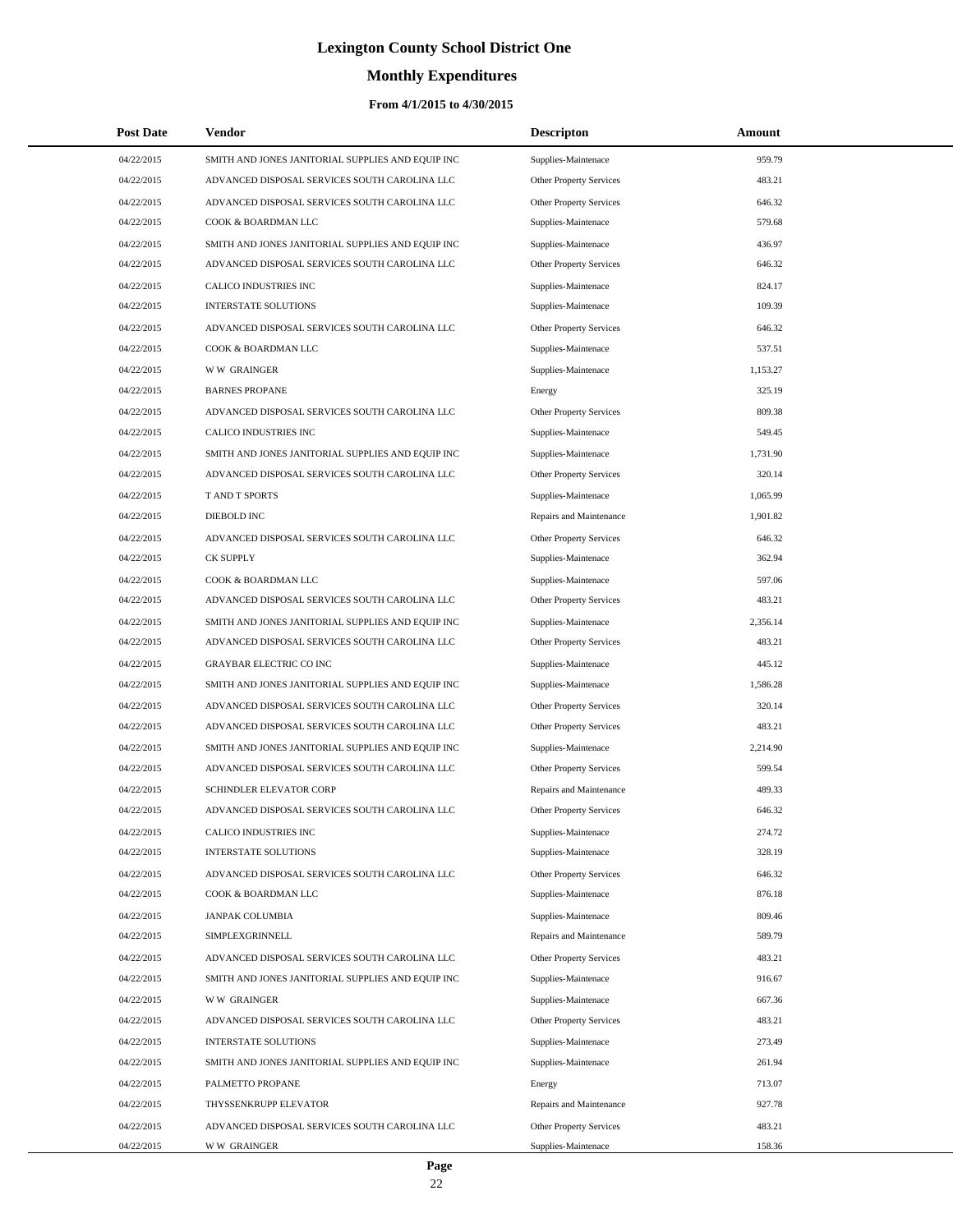# **Monthly Expenditures**

| <b>Post Date</b> | Vendor                                            | <b>Descripton</b>              | Amount   |
|------------------|---------------------------------------------------|--------------------------------|----------|
| 04/22/2015       | SMITH AND JONES JANITORIAL SUPPLIES AND EQUIP INC | Supplies-Maintenace            | 959.79   |
| 04/22/2015       | ADVANCED DISPOSAL SERVICES SOUTH CAROLINA LLC     | Other Property Services        | 483.21   |
| 04/22/2015       | ADVANCED DISPOSAL SERVICES SOUTH CAROLINA LLC     | Other Property Services        | 646.32   |
| 04/22/2015       | COOK & BOARDMAN LLC                               | Supplies-Maintenace            | 579.68   |
| 04/22/2015       | SMITH AND JONES JANITORIAL SUPPLIES AND EQUIP INC | Supplies-Maintenace            | 436.97   |
| 04/22/2015       | ADVANCED DISPOSAL SERVICES SOUTH CAROLINA LLC     | Other Property Services        | 646.32   |
| 04/22/2015       | CALICO INDUSTRIES INC                             | Supplies-Maintenace            | 824.17   |
| 04/22/2015       | <b>INTERSTATE SOLUTIONS</b>                       | Supplies-Maintenace            | 109.39   |
| 04/22/2015       | ADVANCED DISPOSAL SERVICES SOUTH CAROLINA LLC     | Other Property Services        | 646.32   |
| 04/22/2015       | COOK & BOARDMAN LLC                               | Supplies-Maintenace            | 537.51   |
| 04/22/2015       | <b>WW GRAINGER</b>                                | Supplies-Maintenace            | 1,153.27 |
| 04/22/2015       | <b>BARNES PROPANE</b>                             | Energy                         | 325.19   |
| 04/22/2015       | ADVANCED DISPOSAL SERVICES SOUTH CAROLINA LLC     | Other Property Services        | 809.38   |
| 04/22/2015       | CALICO INDUSTRIES INC                             | Supplies-Maintenace            | 549.45   |
| 04/22/2015       | SMITH AND JONES JANITORIAL SUPPLIES AND EQUIP INC | Supplies-Maintenace            | 1,731.90 |
| 04/22/2015       | ADVANCED DISPOSAL SERVICES SOUTH CAROLINA LLC     | <b>Other Property Services</b> | 320.14   |
| 04/22/2015       | T AND T SPORTS                                    | Supplies-Maintenace            | 1,065.99 |
| 04/22/2015       | <b>DIEBOLD INC</b>                                | Repairs and Maintenance        | 1,901.82 |
| 04/22/2015       | ADVANCED DISPOSAL SERVICES SOUTH CAROLINA LLC     | Other Property Services        | 646.32   |
| 04/22/2015       | <b>CK SUPPLY</b>                                  | Supplies-Maintenace            | 362.94   |
| 04/22/2015       | COOK & BOARDMAN LLC                               | Supplies-Maintenace            | 597.06   |
| 04/22/2015       | ADVANCED DISPOSAL SERVICES SOUTH CAROLINA LLC     | Other Property Services        | 483.21   |
| 04/22/2015       | SMITH AND JONES JANITORIAL SUPPLIES AND EQUIP INC | Supplies-Maintenace            | 2,356.14 |
| 04/22/2015       | ADVANCED DISPOSAL SERVICES SOUTH CAROLINA LLC     | Other Property Services        | 483.21   |
| 04/22/2015       | <b>GRAYBAR ELECTRIC CO INC</b>                    | Supplies-Maintenace            | 445.12   |
| 04/22/2015       | SMITH AND JONES JANITORIAL SUPPLIES AND EQUIP INC | Supplies-Maintenace            | 1,586.28 |
| 04/22/2015       | ADVANCED DISPOSAL SERVICES SOUTH CAROLINA LLC     | Other Property Services        | 320.14   |
| 04/22/2015       | ADVANCED DISPOSAL SERVICES SOUTH CAROLINA LLC     | Other Property Services        | 483.21   |
| 04/22/2015       | SMITH AND JONES JANITORIAL SUPPLIES AND EQUIP INC | Supplies-Maintenace            | 2,214.90 |
| 04/22/2015       | ADVANCED DISPOSAL SERVICES SOUTH CAROLINA LLC     | Other Property Services        | 599.54   |
| 04/22/2015       | SCHINDLER ELEVATOR CORP                           | Repairs and Maintenance        | 489.33   |
| 04/22/2015       | ADVANCED DISPOSAL SERVICES SOUTH CAROLINA LLC     | <b>Other Property Services</b> | 646.32   |
| 04/22/2015       | CALICO INDUSTRIES INC                             | Supplies-Maintenace            | 274.72   |
| 04/22/2015       | <b>INTERSTATE SOLUTIONS</b>                       | Supplies-Maintenace            | 328.19   |
| 04/22/2015       | ADVANCED DISPOSAL SERVICES SOUTH CAROLINA LLC     | Other Property Services        | 646.32   |
| 04/22/2015       | COOK & BOARDMAN LLC                               | Supplies-Maintenace            | 876.18   |
| 04/22/2015       | <b>JANPAK COLUMBIA</b>                            | Supplies-Maintenace            | 809.46   |
| 04/22/2015       | SIMPLEXGRINNELL                                   | Repairs and Maintenance        | 589.79   |
| 04/22/2015       | ADVANCED DISPOSAL SERVICES SOUTH CAROLINA LLC     | Other Property Services        | 483.21   |
| 04/22/2015       | SMITH AND JONES JANITORIAL SUPPLIES AND EQUIP INC | Supplies-Maintenace            | 916.67   |
| 04/22/2015       | <b>WW GRAINGER</b>                                | Supplies-Maintenace            | 667.36   |
| 04/22/2015       | ADVANCED DISPOSAL SERVICES SOUTH CAROLINA LLC     | Other Property Services        | 483.21   |
| 04/22/2015       | <b>INTERSTATE SOLUTIONS</b>                       | Supplies-Maintenace            | 273.49   |
| 04/22/2015       | SMITH AND JONES JANITORIAL SUPPLIES AND EQUIP INC | Supplies-Maintenace            | 261.94   |
| 04/22/2015       | PALMETTO PROPANE                                  | Energy                         | 713.07   |
| 04/22/2015       | THYSSENKRUPP ELEVATOR                             | Repairs and Maintenance        | 927.78   |
| 04/22/2015       | ADVANCED DISPOSAL SERVICES SOUTH CAROLINA LLC     | Other Property Services        | 483.21   |
| 04/22/2015       | <b>WW GRAINGER</b>                                | Supplies-Maintenace            | 158.36   |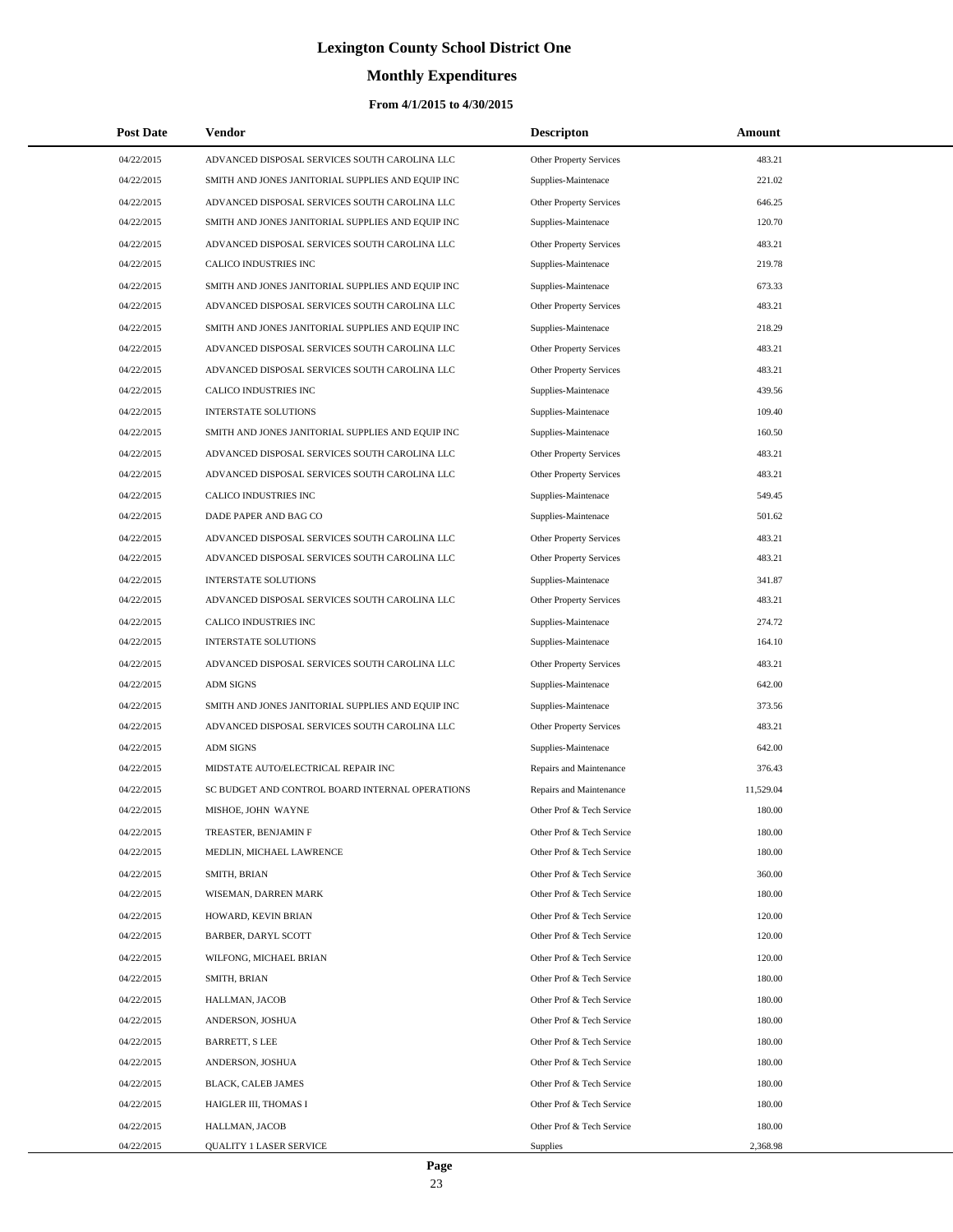# **Monthly Expenditures**

| <b>Post Date</b> | <b>Vendor</b>                                     | <b>Descripton</b>              | Amount    |
|------------------|---------------------------------------------------|--------------------------------|-----------|
| 04/22/2015       | ADVANCED DISPOSAL SERVICES SOUTH CAROLINA LLC     | Other Property Services        | 483.21    |
| 04/22/2015       | SMITH AND JONES JANITORIAL SUPPLIES AND EQUIP INC | Supplies-Maintenace            | 221.02    |
| 04/22/2015       | ADVANCED DISPOSAL SERVICES SOUTH CAROLINA LLC     | Other Property Services        | 646.25    |
| 04/22/2015       | SMITH AND JONES JANITORIAL SUPPLIES AND EQUIP INC | Supplies-Maintenace            | 120.70    |
| 04/22/2015       | ADVANCED DISPOSAL SERVICES SOUTH CAROLINA LLC     | Other Property Services        | 483.21    |
| 04/22/2015       | CALICO INDUSTRIES INC                             | Supplies-Maintenace            | 219.78    |
| 04/22/2015       | SMITH AND JONES JANITORIAL SUPPLIES AND EQUIP INC | Supplies-Maintenace            | 673.33    |
| 04/22/2015       | ADVANCED DISPOSAL SERVICES SOUTH CAROLINA LLC     | Other Property Services        | 483.21    |
| 04/22/2015       | SMITH AND JONES JANITORIAL SUPPLIES AND EQUIP INC | Supplies-Maintenace            | 218.29    |
| 04/22/2015       | ADVANCED DISPOSAL SERVICES SOUTH CAROLINA LLC     | Other Property Services        | 483.21    |
| 04/22/2015       | ADVANCED DISPOSAL SERVICES SOUTH CAROLINA LLC     | Other Property Services        | 483.21    |
| 04/22/2015       | CALICO INDUSTRIES INC                             | Supplies-Maintenace            | 439.56    |
| 04/22/2015       | <b>INTERSTATE SOLUTIONS</b>                       | Supplies-Maintenace            | 109.40    |
| 04/22/2015       | SMITH AND JONES JANITORIAL SUPPLIES AND EQUIP INC | Supplies-Maintenace            | 160.50    |
| 04/22/2015       | ADVANCED DISPOSAL SERVICES SOUTH CAROLINA LLC     | Other Property Services        | 483.21    |
| 04/22/2015       | ADVANCED DISPOSAL SERVICES SOUTH CAROLINA LLC     | <b>Other Property Services</b> | 483.21    |
| 04/22/2015       | CALICO INDUSTRIES INC                             | Supplies-Maintenace            | 549.45    |
| 04/22/2015       | DADE PAPER AND BAG CO                             | Supplies-Maintenace            | 501.62    |
| 04/22/2015       | ADVANCED DISPOSAL SERVICES SOUTH CAROLINA LLC     | Other Property Services        | 483.21    |
| 04/22/2015       | ADVANCED DISPOSAL SERVICES SOUTH CAROLINA LLC     | Other Property Services        | 483.21    |
| 04/22/2015       | <b>INTERSTATE SOLUTIONS</b>                       | Supplies-Maintenace            | 341.87    |
| 04/22/2015       | ADVANCED DISPOSAL SERVICES SOUTH CAROLINA LLC     | Other Property Services        | 483.21    |
| 04/22/2015       | CALICO INDUSTRIES INC                             | Supplies-Maintenace            | 274.72    |
| 04/22/2015       | <b>INTERSTATE SOLUTIONS</b>                       | Supplies-Maintenace            | 164.10    |
| 04/22/2015       | ADVANCED DISPOSAL SERVICES SOUTH CAROLINA LLC     | Other Property Services        | 483.21    |
| 04/22/2015       | <b>ADM SIGNS</b>                                  | Supplies-Maintenace            | 642.00    |
| 04/22/2015       | SMITH AND JONES JANITORIAL SUPPLIES AND EQUIP INC | Supplies-Maintenace            | 373.56    |
| 04/22/2015       | ADVANCED DISPOSAL SERVICES SOUTH CAROLINA LLC     | Other Property Services        | 483.21    |
| 04/22/2015       | <b>ADM SIGNS</b>                                  | Supplies-Maintenace            | 642.00    |
| 04/22/2015       | MIDSTATE AUTO/ELECTRICAL REPAIR INC               | Repairs and Maintenance        | 376.43    |
| 04/22/2015       | SC BUDGET AND CONTROL BOARD INTERNAL OPERATIONS   | Repairs and Maintenance        | 11,529.04 |
| 04/22/2015       | MISHOE, JOHN WAYNE                                | Other Prof & Tech Service      | 180.00    |
| 04/22/2015       | TREASTER, BENJAMIN F                              | Other Prof & Tech Service      | 180.00    |
| 04/22/2015       | MEDLIN, MICHAEL LAWRENCE                          | Other Prof & Tech Service      | 180.00    |
| 04/22/2015       | SMITH, BRIAN                                      | Other Prof & Tech Service      | 360.00    |
| 04/22/2015       | WISEMAN, DARREN MARK                              | Other Prof & Tech Service      | 180.00    |
| 04/22/2015       | HOWARD, KEVIN BRIAN                               | Other Prof & Tech Service      | 120.00    |
| 04/22/2015       | BARBER, DARYL SCOTT                               | Other Prof & Tech Service      | 120.00    |
| 04/22/2015       | WILFONG, MICHAEL BRIAN                            | Other Prof & Tech Service      | 120.00    |
| 04/22/2015       | SMITH, BRIAN                                      | Other Prof & Tech Service      | 180.00    |
| 04/22/2015       | HALLMAN, JACOB                                    | Other Prof & Tech Service      | 180.00    |
| 04/22/2015       | ANDERSON, JOSHUA                                  | Other Prof & Tech Service      | 180.00    |
| 04/22/2015       | BARRETT, S LEE                                    | Other Prof & Tech Service      | 180.00    |
| 04/22/2015       | ANDERSON, JOSHUA                                  | Other Prof & Tech Service      | 180.00    |
| 04/22/2015       | BLACK, CALEB JAMES                                | Other Prof & Tech Service      | 180.00    |
| 04/22/2015       | HAIGLER III, THOMAS I                             | Other Prof & Tech Service      | 180.00    |
| 04/22/2015       | HALLMAN, JACOB                                    | Other Prof & Tech Service      | 180.00    |
| 04/22/2015       | <b>QUALITY 1 LASER SERVICE</b>                    | Supplies                       | 2,368.98  |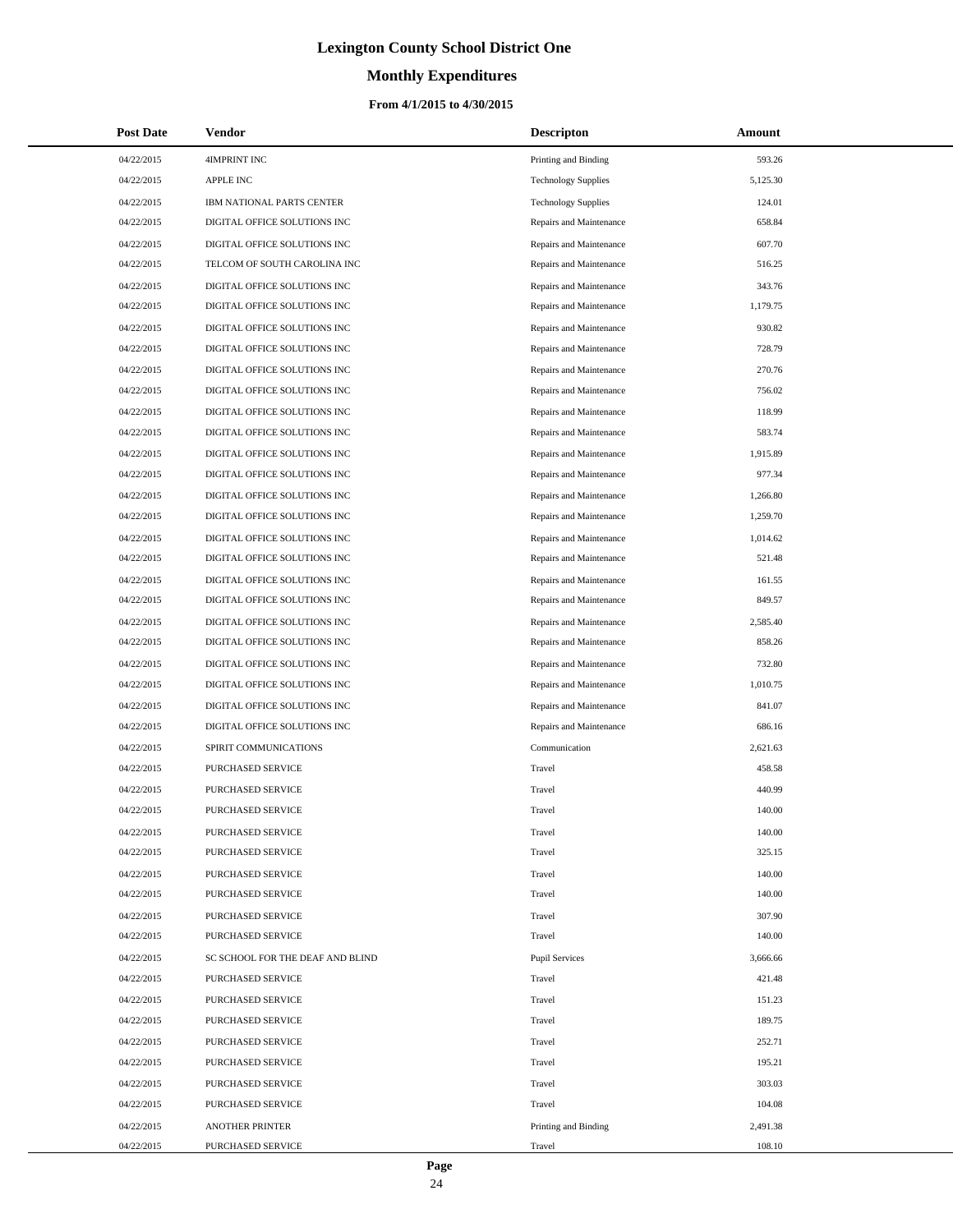# **Monthly Expenditures**

### **From 4/1/2015 to 4/30/2015**

| <b>Post Date</b> | <b>Vendor</b>                    | <b>Descripton</b>          | Amount   |
|------------------|----------------------------------|----------------------------|----------|
| 04/22/2015       | 4IMPRINT INC                     | Printing and Binding       | 593.26   |
| 04/22/2015       | <b>APPLE INC</b>                 | <b>Technology Supplies</b> | 5,125.30 |
| 04/22/2015       | IBM NATIONAL PARTS CENTER        | <b>Technology Supplies</b> | 124.01   |
| 04/22/2015       | DIGITAL OFFICE SOLUTIONS INC     | Repairs and Maintenance    | 658.84   |
| 04/22/2015       | DIGITAL OFFICE SOLUTIONS INC     | Repairs and Maintenance    | 607.70   |
| 04/22/2015       | TELCOM OF SOUTH CAROLINA INC     | Repairs and Maintenance    | 516.25   |
| 04/22/2015       | DIGITAL OFFICE SOLUTIONS INC     | Repairs and Maintenance    | 343.76   |
| 04/22/2015       | DIGITAL OFFICE SOLUTIONS INC     | Repairs and Maintenance    | 1,179.75 |
| 04/22/2015       | DIGITAL OFFICE SOLUTIONS INC     | Repairs and Maintenance    | 930.82   |
| 04/22/2015       | DIGITAL OFFICE SOLUTIONS INC     | Repairs and Maintenance    | 728.79   |
| 04/22/2015       | DIGITAL OFFICE SOLUTIONS INC     | Repairs and Maintenance    | 270.76   |
| 04/22/2015       | DIGITAL OFFICE SOLUTIONS INC     | Repairs and Maintenance    | 756.02   |
| 04/22/2015       | DIGITAL OFFICE SOLUTIONS INC     | Repairs and Maintenance    | 118.99   |
| 04/22/2015       | DIGITAL OFFICE SOLUTIONS INC     | Repairs and Maintenance    | 583.74   |
| 04/22/2015       | DIGITAL OFFICE SOLUTIONS INC     | Repairs and Maintenance    | 1,915.89 |
| 04/22/2015       | DIGITAL OFFICE SOLUTIONS INC     | Repairs and Maintenance    | 977.34   |
| 04/22/2015       | DIGITAL OFFICE SOLUTIONS INC     | Repairs and Maintenance    | 1,266.80 |
| 04/22/2015       | DIGITAL OFFICE SOLUTIONS INC     | Repairs and Maintenance    | 1,259.70 |
| 04/22/2015       | DIGITAL OFFICE SOLUTIONS INC     | Repairs and Maintenance    | 1,014.62 |
| 04/22/2015       | DIGITAL OFFICE SOLUTIONS INC     | Repairs and Maintenance    | 521.48   |
| 04/22/2015       | DIGITAL OFFICE SOLUTIONS INC     | Repairs and Maintenance    | 161.55   |
| 04/22/2015       | DIGITAL OFFICE SOLUTIONS INC     | Repairs and Maintenance    | 849.57   |
| 04/22/2015       | DIGITAL OFFICE SOLUTIONS INC     | Repairs and Maintenance    | 2,585.40 |
| 04/22/2015       | DIGITAL OFFICE SOLUTIONS INC     | Repairs and Maintenance    | 858.26   |
| 04/22/2015       | DIGITAL OFFICE SOLUTIONS INC     | Repairs and Maintenance    | 732.80   |
| 04/22/2015       | DIGITAL OFFICE SOLUTIONS INC     | Repairs and Maintenance    | 1,010.75 |
| 04/22/2015       | DIGITAL OFFICE SOLUTIONS INC     | Repairs and Maintenance    | 841.07   |
| 04/22/2015       | DIGITAL OFFICE SOLUTIONS INC     | Repairs and Maintenance    | 686.16   |
| 04/22/2015       | SPIRIT COMMUNICATIONS            | Communication              | 2,621.63 |
| 04/22/2015       | PURCHASED SERVICE                | Travel                     | 458.58   |
| 04/22/2015       | PURCHASED SERVICE                | Travel                     | 440.99   |
| 04/22/2015       | PURCHASED SERVICE                | Travel                     | 140.00   |
| 04/22/2015       | PURCHASED SERVICE                | Travel                     | 140.00   |
| 04/22/2015       | PURCHASED SERVICE                | Travel                     | 325.15   |
| 04/22/2015       | PURCHASED SERVICE                | Travel                     | 140.00   |
| 04/22/2015       | PURCHASED SERVICE                | Travel                     | 140.00   |
| 04/22/2015       | PURCHASED SERVICE                | Travel                     | 307.90   |
| 04/22/2015       | PURCHASED SERVICE                | Travel                     | 140.00   |
| 04/22/2015       | SC SCHOOL FOR THE DEAF AND BLIND | <b>Pupil Services</b>      | 3,666.66 |
| 04/22/2015       | PURCHASED SERVICE                | Travel                     | 421.48   |
| 04/22/2015       | PURCHASED SERVICE                | Travel                     | 151.23   |
| 04/22/2015       | PURCHASED SERVICE                | Travel                     | 189.75   |
| 04/22/2015       | PURCHASED SERVICE                | Travel                     | 252.71   |
| 04/22/2015       | PURCHASED SERVICE                | Travel                     | 195.21   |
| 04/22/2015       | PURCHASED SERVICE                | Travel                     | 303.03   |
| 04/22/2015       | PURCHASED SERVICE                | Travel                     | 104.08   |
| 04/22/2015       | <b>ANOTHER PRINTER</b>           | Printing and Binding       | 2,491.38 |
| 04/22/2015       | PURCHASED SERVICE                | Travel                     | 108.10   |

 $\overline{a}$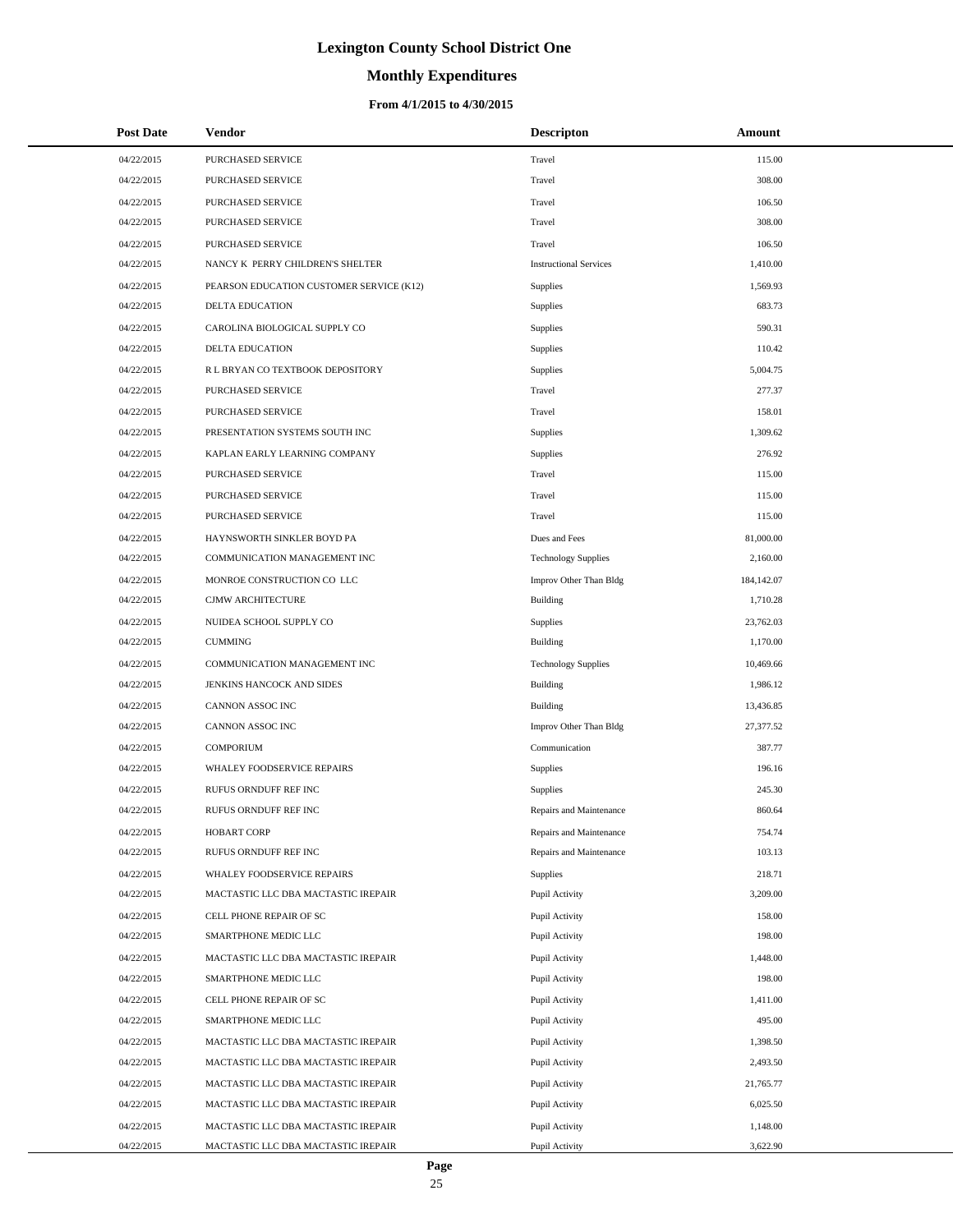# **Monthly Expenditures**

### **From 4/1/2015 to 4/30/2015**

| <b>Post Date</b> | Vendor                                   | <b>Descripton</b>             | Amount     |
|------------------|------------------------------------------|-------------------------------|------------|
| 04/22/2015       | PURCHASED SERVICE                        | Travel                        | 115.00     |
| 04/22/2015       | PURCHASED SERVICE                        | Travel                        | 308.00     |
| 04/22/2015       | PURCHASED SERVICE                        | Travel                        | 106.50     |
| 04/22/2015       | PURCHASED SERVICE                        | Travel                        | 308.00     |
| 04/22/2015       | PURCHASED SERVICE                        | Travel                        | 106.50     |
| 04/22/2015       | NANCY K PERRY CHILDREN'S SHELTER         | <b>Instructional Services</b> | 1,410.00   |
| 04/22/2015       | PEARSON EDUCATION CUSTOMER SERVICE (K12) | Supplies                      | 1,569.93   |
| 04/22/2015       | DELTA EDUCATION                          | Supplies                      | 683.73     |
| 04/22/2015       | CAROLINA BIOLOGICAL SUPPLY CO            | Supplies                      | 590.31     |
| 04/22/2015       | <b>DELTA EDUCATION</b>                   | Supplies                      | 110.42     |
| 04/22/2015       | R L BRYAN CO TEXTBOOK DEPOSITORY         | Supplies                      | 5,004.75   |
| 04/22/2015       | PURCHASED SERVICE                        | Travel                        | 277.37     |
| 04/22/2015       | PURCHASED SERVICE                        | Travel                        | 158.01     |
| 04/22/2015       | PRESENTATION SYSTEMS SOUTH INC           | Supplies                      | 1,309.62   |
| 04/22/2015       | KAPLAN EARLY LEARNING COMPANY            | Supplies                      | 276.92     |
| 04/22/2015       | PURCHASED SERVICE                        | Travel                        | 115.00     |
| 04/22/2015       | PURCHASED SERVICE                        | Travel                        | 115.00     |
| 04/22/2015       | PURCHASED SERVICE                        | Travel                        | 115.00     |
| 04/22/2015       | HAYNSWORTH SINKLER BOYD PA               | Dues and Fees                 | 81,000.00  |
| 04/22/2015       | COMMUNICATION MANAGEMENT INC             | <b>Technology Supplies</b>    | 2,160.00   |
| 04/22/2015       | MONROE CONSTRUCTION CO LLC               | Improv Other Than Bldg        | 184,142.07 |
| 04/22/2015       | CJMW ARCHITECTURE                        | <b>Building</b>               | 1,710.28   |
| 04/22/2015       | NUIDEA SCHOOL SUPPLY CO                  | Supplies                      | 23,762.03  |
| 04/22/2015       | <b>CUMMING</b>                           | <b>Building</b>               | 1,170.00   |
| 04/22/2015       | COMMUNICATION MANAGEMENT INC             | <b>Technology Supplies</b>    | 10,469.66  |
| 04/22/2015       | JENKINS HANCOCK AND SIDES                | <b>Building</b>               | 1,986.12   |
| 04/22/2015       | CANNON ASSOC INC                         | Building                      | 13,436.85  |
| 04/22/2015       | CANNON ASSOC INC                         | Improv Other Than Bldg        | 27,377.52  |
| 04/22/2015       | <b>COMPORIUM</b>                         | Communication                 | 387.77     |
| 04/22/2015       | WHALEY FOODSERVICE REPAIRS               | Supplies                      | 196.16     |
| 04/22/2015       | RUFUS ORNDUFF REF INC                    | Supplies                      | 245.30     |
| 04/22/2015       | RUFUS ORNDUFF REF INC                    | Repairs and Maintenance       | 860.64     |
| 04/22/2015       | <b>HOBART CORP</b>                       | Repairs and Maintenance       | 754.74     |
| 04/22/2015       | RUFUS ORNDUFF REF INC                    | Repairs and Maintenance       | 103.13     |
| 04/22/2015       | WHALEY FOODSERVICE REPAIRS               | Supplies                      | 218.71     |
| 04/22/2015       | MACTASTIC LLC DBA MACTASTIC IREPAIR      | Pupil Activity                | 3,209.00   |
| 04/22/2015       | CELL PHONE REPAIR OF SC                  | Pupil Activity                | 158.00     |
| 04/22/2015       | SMARTPHONE MEDIC LLC                     | Pupil Activity                | 198.00     |
| 04/22/2015       | MACTASTIC LLC DBA MACTASTIC IREPAIR      | Pupil Activity                | 1,448.00   |
| 04/22/2015       | SMARTPHONE MEDIC LLC                     | Pupil Activity                | 198.00     |
| 04/22/2015       | CELL PHONE REPAIR OF SC                  | Pupil Activity                | 1,411.00   |
| 04/22/2015       | SMARTPHONE MEDIC LLC                     | Pupil Activity                | 495.00     |
| 04/22/2015       | MACTASTIC LLC DBA MACTASTIC IREPAIR      | Pupil Activity                | 1,398.50   |
| 04/22/2015       | MACTASTIC LLC DBA MACTASTIC IREPAIR      | Pupil Activity                | 2,493.50   |
| 04/22/2015       | MACTASTIC LLC DBA MACTASTIC IREPAIR      | Pupil Activity                | 21,765.77  |
| 04/22/2015       | MACTASTIC LLC DBA MACTASTIC IREPAIR      | Pupil Activity                | 6,025.50   |
| 04/22/2015       | MACTASTIC LLC DBA MACTASTIC IREPAIR      | Pupil Activity                | 1,148.00   |
| 04/22/2015       | MACTASTIC LLC DBA MACTASTIC IREPAIR      | Pupil Activity                | 3,622.90   |

÷.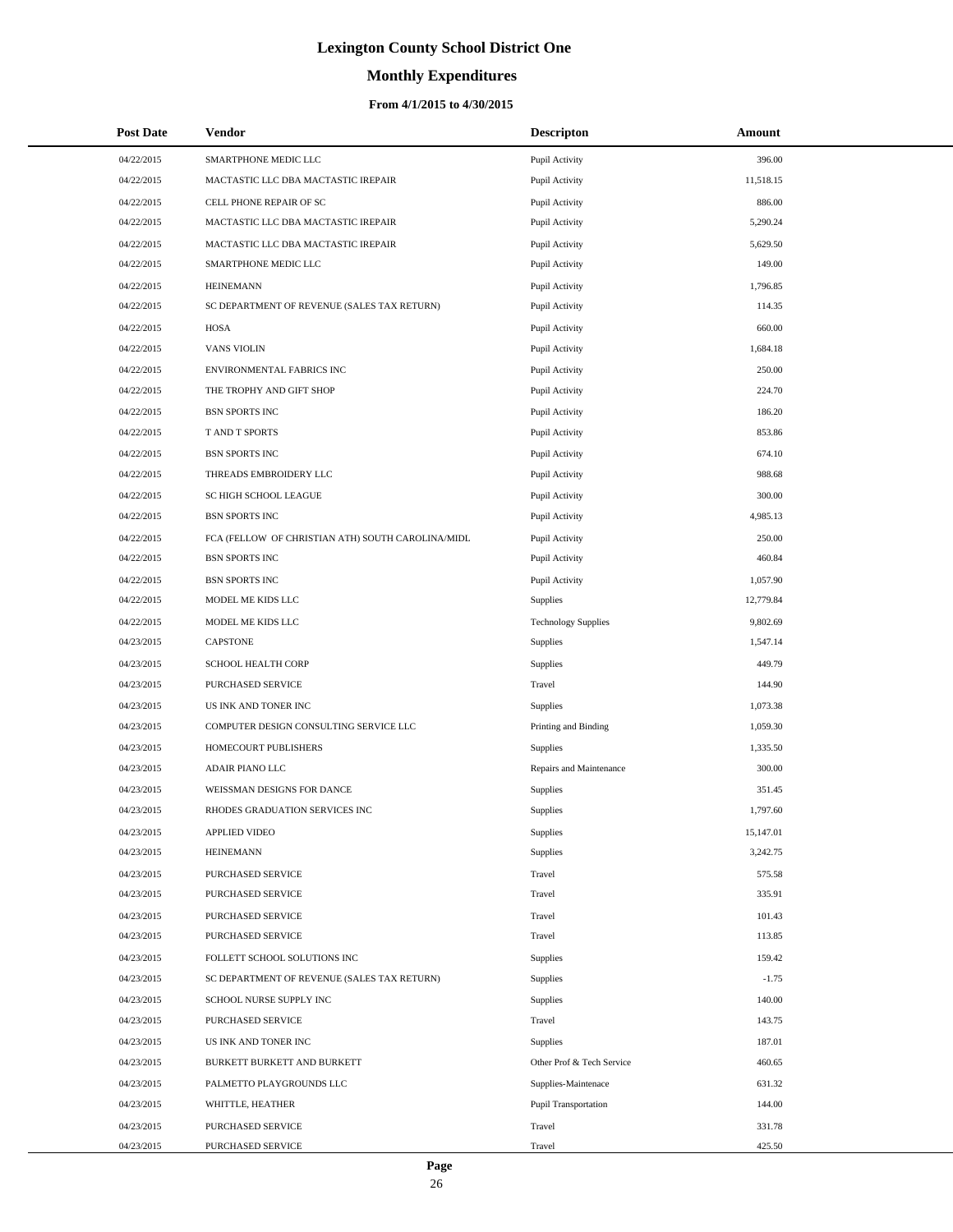# **Monthly Expenditures**

## **From 4/1/2015 to 4/30/2015**

| <b>Post Date</b> | Vendor                                            | <b>Descripton</b>           | Amount    |
|------------------|---------------------------------------------------|-----------------------------|-----------|
| 04/22/2015       | SMARTPHONE MEDIC LLC                              | Pupil Activity              | 396.00    |
| 04/22/2015       | MACTASTIC LLC DBA MACTASTIC IREPAIR               | Pupil Activity              | 11,518.15 |
| 04/22/2015       | CELL PHONE REPAIR OF SC                           | Pupil Activity              | 886.00    |
| 04/22/2015       | MACTASTIC LLC DBA MACTASTIC IREPAIR               | Pupil Activity              | 5,290.24  |
| 04/22/2015       | MACTASTIC LLC DBA MACTASTIC IREPAIR               | Pupil Activity              | 5,629.50  |
| 04/22/2015       | SMARTPHONE MEDIC LLC                              | Pupil Activity              | 149.00    |
| 04/22/2015       | <b>HEINEMANN</b>                                  | Pupil Activity              | 1,796.85  |
| 04/22/2015       | SC DEPARTMENT OF REVENUE (SALES TAX RETURN)       | Pupil Activity              | 114.35    |
| 04/22/2015       | HOSA                                              | Pupil Activity              | 660.00    |
| 04/22/2015       | <b>VANS VIOLIN</b>                                | Pupil Activity              | 1,684.18  |
| 04/22/2015       | ENVIRONMENTAL FABRICS INC                         | Pupil Activity              | 250.00    |
| 04/22/2015       | THE TROPHY AND GIFT SHOP                          | Pupil Activity              | 224.70    |
| 04/22/2015       | <b>BSN SPORTS INC</b>                             | Pupil Activity              | 186.20    |
| 04/22/2015       | T AND T SPORTS                                    | Pupil Activity              | 853.86    |
| 04/22/2015       | <b>BSN SPORTS INC</b>                             | Pupil Activity              | 674.10    |
| 04/22/2015       | THREADS EMBROIDERY LLC                            | Pupil Activity              | 988.68    |
| 04/22/2015       | SC HIGH SCHOOL LEAGUE                             | Pupil Activity              | 300.00    |
| 04/22/2015       | <b>BSN SPORTS INC</b>                             | Pupil Activity              | 4,985.13  |
| 04/22/2015       | FCA (FELLOW OF CHRISTIAN ATH) SOUTH CAROLINA/MIDL | Pupil Activity              | 250.00    |
| 04/22/2015       | <b>BSN SPORTS INC</b>                             | Pupil Activity              | 460.84    |
| 04/22/2015       | <b>BSN SPORTS INC</b>                             | Pupil Activity              | 1,057.90  |
| 04/22/2015       | MODEL ME KIDS LLC                                 | Supplies                    | 12,779.84 |
| 04/22/2015       | MODEL ME KIDS LLC                                 | <b>Technology Supplies</b>  | 9,802.69  |
| 04/23/2015       | <b>CAPSTONE</b>                                   | Supplies                    | 1,547.14  |
| 04/23/2015       | <b>SCHOOL HEALTH CORP</b>                         | Supplies                    | 449.79    |
| 04/23/2015       | PURCHASED SERVICE                                 | Travel                      | 144.90    |
| 04/23/2015       | US INK AND TONER INC                              | Supplies                    | 1,073.38  |
| 04/23/2015       | COMPUTER DESIGN CONSULTING SERVICE LLC            | Printing and Binding        | 1,059.30  |
| 04/23/2015       | HOMECOURT PUBLISHERS                              | Supplies                    | 1,335.50  |
| 04/23/2015       | <b>ADAIR PIANO LLC</b>                            | Repairs and Maintenance     | 300.00    |
| 04/23/2015       | WEISSMAN DESIGNS FOR DANCE                        | Supplies                    | 351.45    |
| 04/23/2015       | RHODES GRADUATION SERVICES INC                    | Supplies                    | 1,797.60  |
| 04/23/2015       | APPLIED VIDEO                                     | Supplies                    | 15,147.01 |
| 04/23/2015       | <b>HEINEMANN</b>                                  | Supplies                    | 3,242.75  |
| 04/23/2015       | PURCHASED SERVICE                                 | Travel                      | 575.58    |
| 04/23/2015       | PURCHASED SERVICE                                 | Travel                      | 335.91    |
| 04/23/2015       | PURCHASED SERVICE                                 | Travel                      | 101.43    |
| 04/23/2015       | PURCHASED SERVICE                                 | Travel                      | 113.85    |
| 04/23/2015       | FOLLETT SCHOOL SOLUTIONS INC                      | Supplies                    | 159.42    |
| 04/23/2015       | SC DEPARTMENT OF REVENUE (SALES TAX RETURN)       | Supplies                    | $-1.75$   |
| 04/23/2015       | SCHOOL NURSE SUPPLY INC                           | Supplies                    | 140.00    |
| 04/23/2015       | PURCHASED SERVICE                                 | Travel                      | 143.75    |
| 04/23/2015       | US INK AND TONER INC                              | Supplies                    | 187.01    |
| 04/23/2015       | BURKETT BURKETT AND BURKETT                       | Other Prof & Tech Service   | 460.65    |
| 04/23/2015       | PALMETTO PLAYGROUNDS LLC                          | Supplies-Maintenace         | 631.32    |
| 04/23/2015       | WHITTLE, HEATHER                                  | <b>Pupil Transportation</b> | 144.00    |
| 04/23/2015       | PURCHASED SERVICE                                 | Travel                      | 331.78    |
| 04/23/2015       | PURCHASED SERVICE                                 | Travel                      | 425.50    |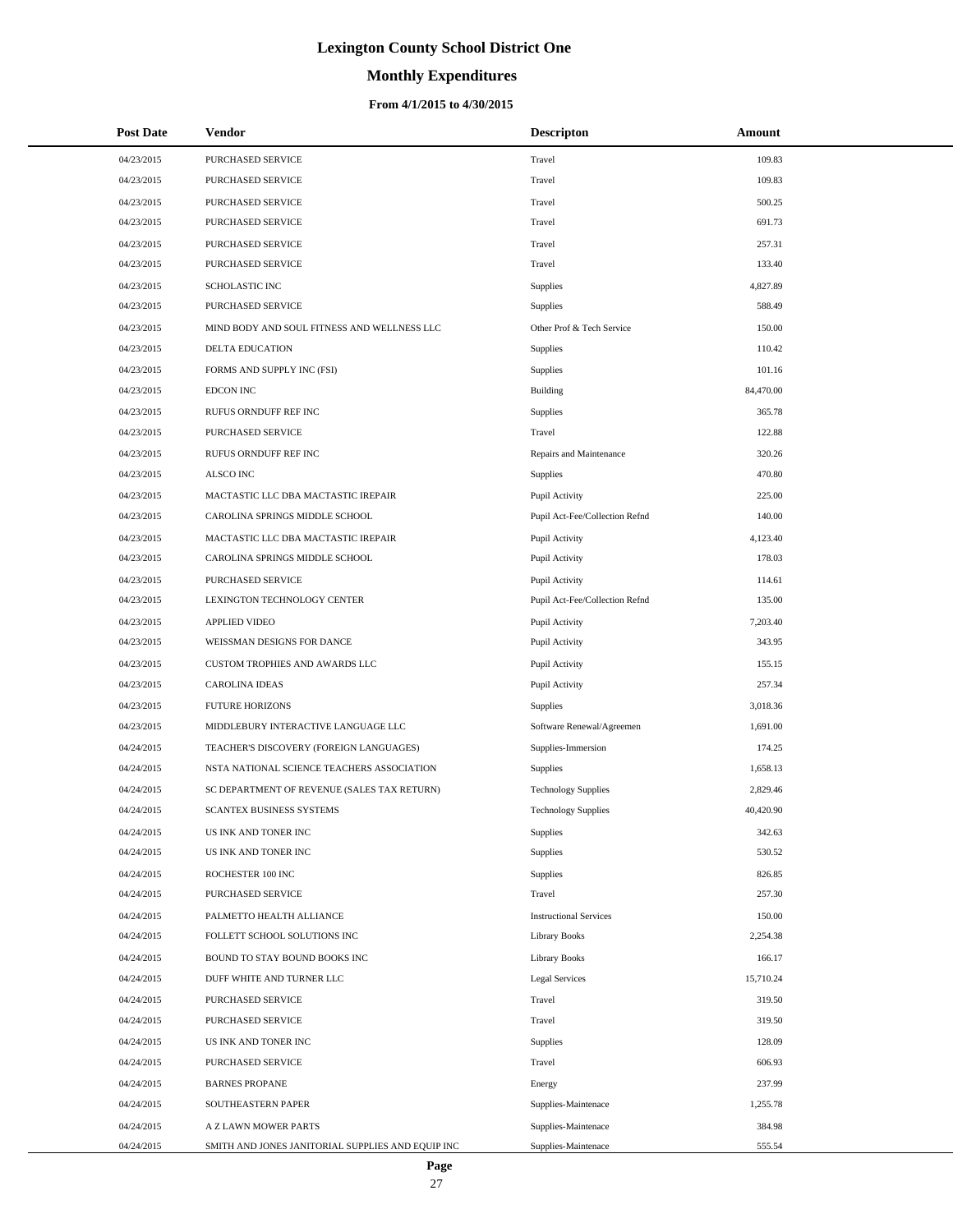# **Monthly Expenditures**

### **From 4/1/2015 to 4/30/2015**

| <b>Post Date</b> | <b>Vendor</b>                                     | <b>Descripton</b>              | Amount    |
|------------------|---------------------------------------------------|--------------------------------|-----------|
| 04/23/2015       | PURCHASED SERVICE                                 | Travel                         | 109.83    |
| 04/23/2015       | PURCHASED SERVICE                                 | Travel                         | 109.83    |
| 04/23/2015       | PURCHASED SERVICE                                 | Travel                         | 500.25    |
| 04/23/2015       | PURCHASED SERVICE                                 | Travel                         | 691.73    |
| 04/23/2015       | PURCHASED SERVICE                                 | Travel                         | 257.31    |
| 04/23/2015       | PURCHASED SERVICE                                 | Travel                         | 133.40    |
| 04/23/2015       | <b>SCHOLASTIC INC</b>                             | Supplies                       | 4,827.89  |
| 04/23/2015       | PURCHASED SERVICE                                 | Supplies                       | 588.49    |
| 04/23/2015       | MIND BODY AND SOUL FITNESS AND WELLNESS LLC       | Other Prof & Tech Service      | 150.00    |
| 04/23/2015       | DELTA EDUCATION                                   | Supplies                       | 110.42    |
| 04/23/2015       | FORMS AND SUPPLY INC (FSI)                        | Supplies                       | 101.16    |
| 04/23/2015       | <b>EDCON INC</b>                                  | Building                       | 84,470.00 |
| 04/23/2015       | RUFUS ORNDUFF REF INC                             | Supplies                       | 365.78    |
| 04/23/2015       | PURCHASED SERVICE                                 | Travel                         | 122.88    |
| 04/23/2015       | RUFUS ORNDUFF REF INC                             | Repairs and Maintenance        | 320.26    |
| 04/23/2015       | <b>ALSCO INC</b>                                  | Supplies                       | 470.80    |
| 04/23/2015       | MACTASTIC LLC DBA MACTASTIC IREPAIR               | Pupil Activity                 | 225.00    |
| 04/23/2015       | CAROLINA SPRINGS MIDDLE SCHOOL                    | Pupil Act-Fee/Collection Refnd | 140.00    |
| 04/23/2015       | MACTASTIC LLC DBA MACTASTIC IREPAIR               | Pupil Activity                 | 4,123.40  |
| 04/23/2015       | CAROLINA SPRINGS MIDDLE SCHOOL                    | Pupil Activity                 | 178.03    |
| 04/23/2015       | PURCHASED SERVICE                                 | Pupil Activity                 | 114.61    |
| 04/23/2015       | LEXINGTON TECHNOLOGY CENTER                       | Pupil Act-Fee/Collection Refnd | 135.00    |
| 04/23/2015       | <b>APPLIED VIDEO</b>                              | Pupil Activity                 | 7,203.40  |
| 04/23/2015       | WEISSMAN DESIGNS FOR DANCE                        | Pupil Activity                 | 343.95    |
| 04/23/2015       | CUSTOM TROPHIES AND AWARDS LLC                    | Pupil Activity                 | 155.15    |
| 04/23/2015       | <b>CAROLINA IDEAS</b>                             | Pupil Activity                 | 257.34    |
| 04/23/2015       | <b>FUTURE HORIZONS</b>                            | Supplies                       | 3,018.36  |
| 04/23/2015       | MIDDLEBURY INTERACTIVE LANGUAGE LLC               | Software Renewal/Agreemen      | 1,691.00  |
| 04/24/2015       | TEACHER'S DISCOVERY (FOREIGN LANGUAGES)           | Supplies-Immersion             | 174.25    |
| 04/24/2015       | NSTA NATIONAL SCIENCE TEACHERS ASSOCIATION        | Supplies                       | 1,658.13  |
| 04/24/2015       | SC DEPARTMENT OF REVENUE (SALES TAX RETURN)       | <b>Technology Supplies</b>     | 2,829.46  |
| 04/24/2015       | <b>SCANTEX BUSINESS SYSTEMS</b>                   | <b>Technology Supplies</b>     | 40,420.90 |
| 04/24/2015       | US INK AND TONER INC                              | Supplies                       | 342.63    |
| 04/24/2015       | US INK AND TONER INC                              | Supplies                       | 530.52    |
| 04/24/2015       | ROCHESTER 100 INC                                 | Supplies                       | 826.85    |
| 04/24/2015       | PURCHASED SERVICE                                 | Travel                         | 257.30    |
| 04/24/2015       | PALMETTO HEALTH ALLIANCE                          | <b>Instructional Services</b>  | 150.00    |
| 04/24/2015       | FOLLETT SCHOOL SOLUTIONS INC                      | <b>Library Books</b>           | 2,254.38  |
| 04/24/2015       | BOUND TO STAY BOUND BOOKS INC                     | <b>Library Books</b>           | 166.17    |
| 04/24/2015       | DUFF WHITE AND TURNER LLC                         | <b>Legal Services</b>          | 15,710.24 |
| 04/24/2015       | PURCHASED SERVICE                                 | Travel                         | 319.50    |
| 04/24/2015       | PURCHASED SERVICE                                 | Travel                         | 319.50    |
| 04/24/2015       | US INK AND TONER INC                              | Supplies                       | 128.09    |
| 04/24/2015       | PURCHASED SERVICE                                 | Travel                         | 606.93    |
| 04/24/2015       | <b>BARNES PROPANE</b>                             | Energy                         | 237.99    |
| 04/24/2015       | SOUTHEASTERN PAPER                                | Supplies-Maintenace            | 1,255.78  |
| 04/24/2015       | A Z LAWN MOWER PARTS                              | Supplies-Maintenace            | 384.98    |
| 04/24/2015       | SMITH AND JONES JANITORIAL SUPPLIES AND EQUIP INC | Supplies-Maintenace            | 555.54    |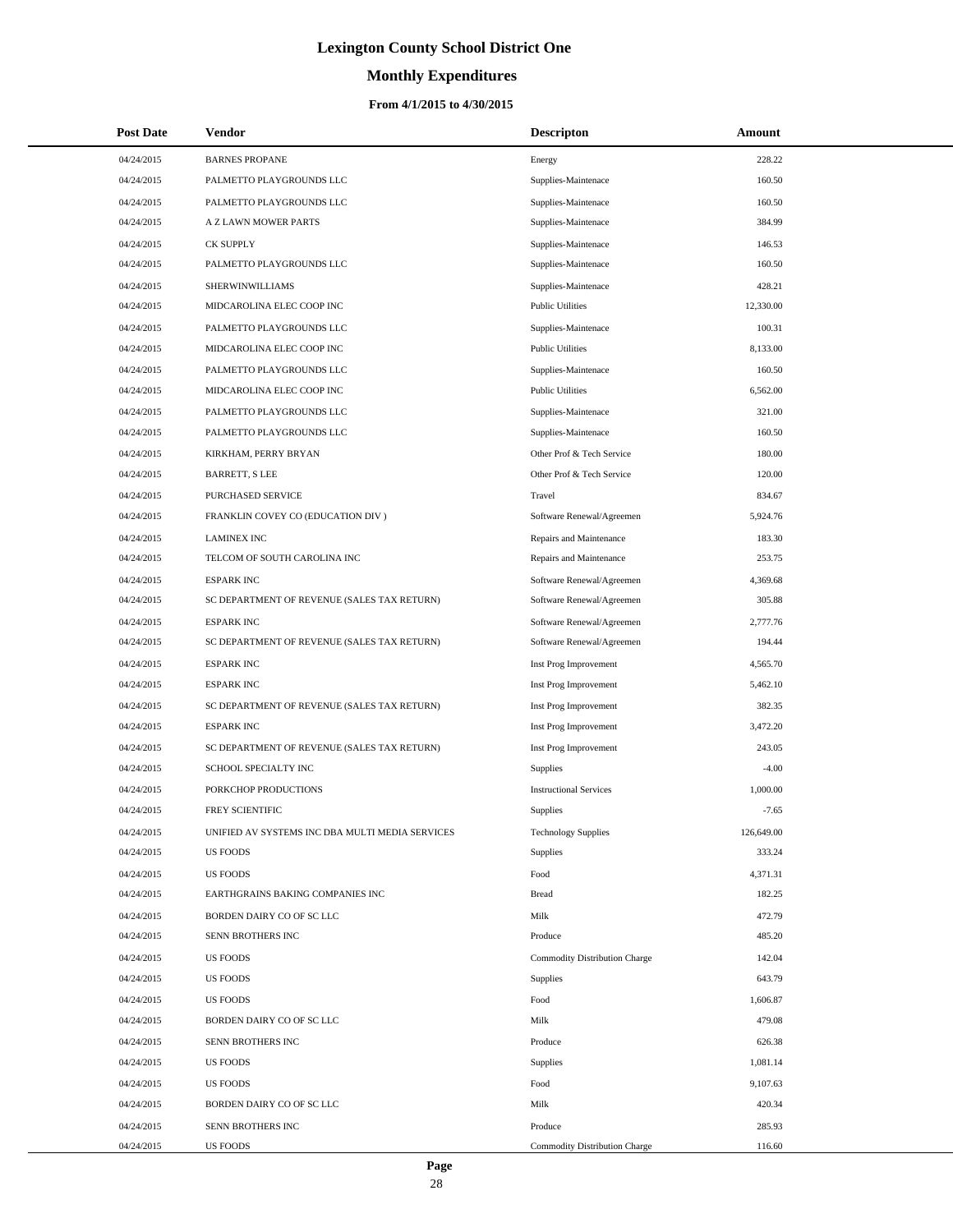# **Monthly Expenditures**

| <b>Post Date</b> | Vendor                                          | <b>Descripton</b>                    | Amount     |
|------------------|-------------------------------------------------|--------------------------------------|------------|
| 04/24/2015       | <b>BARNES PROPANE</b>                           | Energy                               | 228.22     |
| 04/24/2015       | PALMETTO PLAYGROUNDS LLC                        | Supplies-Maintenace                  | 160.50     |
| 04/24/2015       | PALMETTO PLAYGROUNDS LLC                        | Supplies-Maintenace                  | 160.50     |
| 04/24/2015       | A Z LAWN MOWER PARTS                            | Supplies-Maintenace                  | 384.99     |
| 04/24/2015       | <b>CK SUPPLY</b>                                | Supplies-Maintenace                  | 146.53     |
| 04/24/2015       | PALMETTO PLAYGROUNDS LLC                        | Supplies-Maintenace                  | 160.50     |
| 04/24/2015       | <b>SHERWINWILLIAMS</b>                          | Supplies-Maintenace                  | 428.21     |
| 04/24/2015       | MIDCAROLINA ELEC COOP INC                       | <b>Public Utilities</b>              | 12,330.00  |
| 04/24/2015       | PALMETTO PLAYGROUNDS LLC                        | Supplies-Maintenace                  | 100.31     |
| 04/24/2015       | MIDCAROLINA ELEC COOP INC                       | <b>Public Utilities</b>              | 8,133.00   |
| 04/24/2015       | PALMETTO PLAYGROUNDS LLC                        | Supplies-Maintenace                  | 160.50     |
| 04/24/2015       | MIDCAROLINA ELEC COOP INC                       | <b>Public Utilities</b>              | 6,562.00   |
| 04/24/2015       | PALMETTO PLAYGROUNDS LLC                        | Supplies-Maintenace                  | 321.00     |
| 04/24/2015       | PALMETTO PLAYGROUNDS LLC                        | Supplies-Maintenace                  | 160.50     |
| 04/24/2015       | KIRKHAM, PERRY BRYAN                            | Other Prof & Tech Service            | 180.00     |
| 04/24/2015       | <b>BARRETT, S LEE</b>                           | Other Prof & Tech Service            | 120.00     |
| 04/24/2015       | PURCHASED SERVICE                               | Travel                               | 834.67     |
| 04/24/2015       | FRANKLIN COVEY CO (EDUCATION DIV)               | Software Renewal/Agreemen            | 5,924.76   |
| 04/24/2015       | <b>LAMINEX INC</b>                              | Repairs and Maintenance              | 183.30     |
| 04/24/2015       | TELCOM OF SOUTH CAROLINA INC                    | Repairs and Maintenance              | 253.75     |
| 04/24/2015       | <b>ESPARK INC</b>                               | Software Renewal/Agreemen            | 4,369.68   |
| 04/24/2015       | SC DEPARTMENT OF REVENUE (SALES TAX RETURN)     | Software Renewal/Agreemen            | 305.88     |
| 04/24/2015       | <b>ESPARK INC</b>                               | Software Renewal/Agreemen            | 2,777.76   |
| 04/24/2015       | SC DEPARTMENT OF REVENUE (SALES TAX RETURN)     | Software Renewal/Agreemen            | 194.44     |
| 04/24/2015       | <b>ESPARK INC</b>                               | Inst Prog Improvement                | 4,565.70   |
| 04/24/2015       | <b>ESPARK INC</b>                               | Inst Prog Improvement                | 5,462.10   |
| 04/24/2015       | SC DEPARTMENT OF REVENUE (SALES TAX RETURN)     | Inst Prog Improvement                | 382.35     |
| 04/24/2015       | <b>ESPARK INC</b>                               | Inst Prog Improvement                | 3,472.20   |
| 04/24/2015       | SC DEPARTMENT OF REVENUE (SALES TAX RETURN)     | Inst Prog Improvement                | 243.05     |
| 04/24/2015       | SCHOOL SPECIALTY INC                            | <b>Supplies</b>                      | $-4.00$    |
| 04/24/2015       | PORKCHOP PRODUCTIONS                            | <b>Instructional Services</b>        | 1,000.00   |
| 04/24/2015       | FREY SCIENTIFIC                                 | Supplies                             | $-7.65$    |
| 04/24/2015       | UNIFIED AV SYSTEMS INC DBA MULTI MEDIA SERVICES | <b>Technology Supplies</b>           | 126,649.00 |
| 04/24/2015       | <b>US FOODS</b>                                 | Supplies                             | 333.24     |
| 04/24/2015       | <b>US FOODS</b>                                 | Food                                 | 4,371.31   |
| 04/24/2015       | EARTHGRAINS BAKING COMPANIES INC                | <b>Bread</b>                         | 182.25     |
| 04/24/2015       | BORDEN DAIRY CO OF SC LLC                       | Milk                                 | 472.79     |
| 04/24/2015       | SENN BROTHERS INC                               | Produce                              | 485.20     |
| 04/24/2015       | <b>US FOODS</b>                                 | Commodity Distribution Charge        | 142.04     |
| 04/24/2015       | <b>US FOODS</b>                                 | Supplies                             | 643.79     |
| 04/24/2015       | <b>US FOODS</b>                                 | Food                                 | 1,606.87   |
| 04/24/2015       | BORDEN DAIRY CO OF SC LLC                       | Milk                                 | 479.08     |
| 04/24/2015       | SENN BROTHERS INC                               | Produce                              | 626.38     |
| 04/24/2015       | <b>US FOODS</b>                                 | Supplies                             | 1,081.14   |
| 04/24/2015       | <b>US FOODS</b>                                 | Food                                 | 9,107.63   |
| 04/24/2015       | BORDEN DAIRY CO OF SC LLC                       | Milk                                 | 420.34     |
| 04/24/2015       | SENN BROTHERS INC                               | Produce                              | 285.93     |
| 04/24/2015       | <b>US FOODS</b>                                 | <b>Commodity Distribution Charge</b> | 116.60     |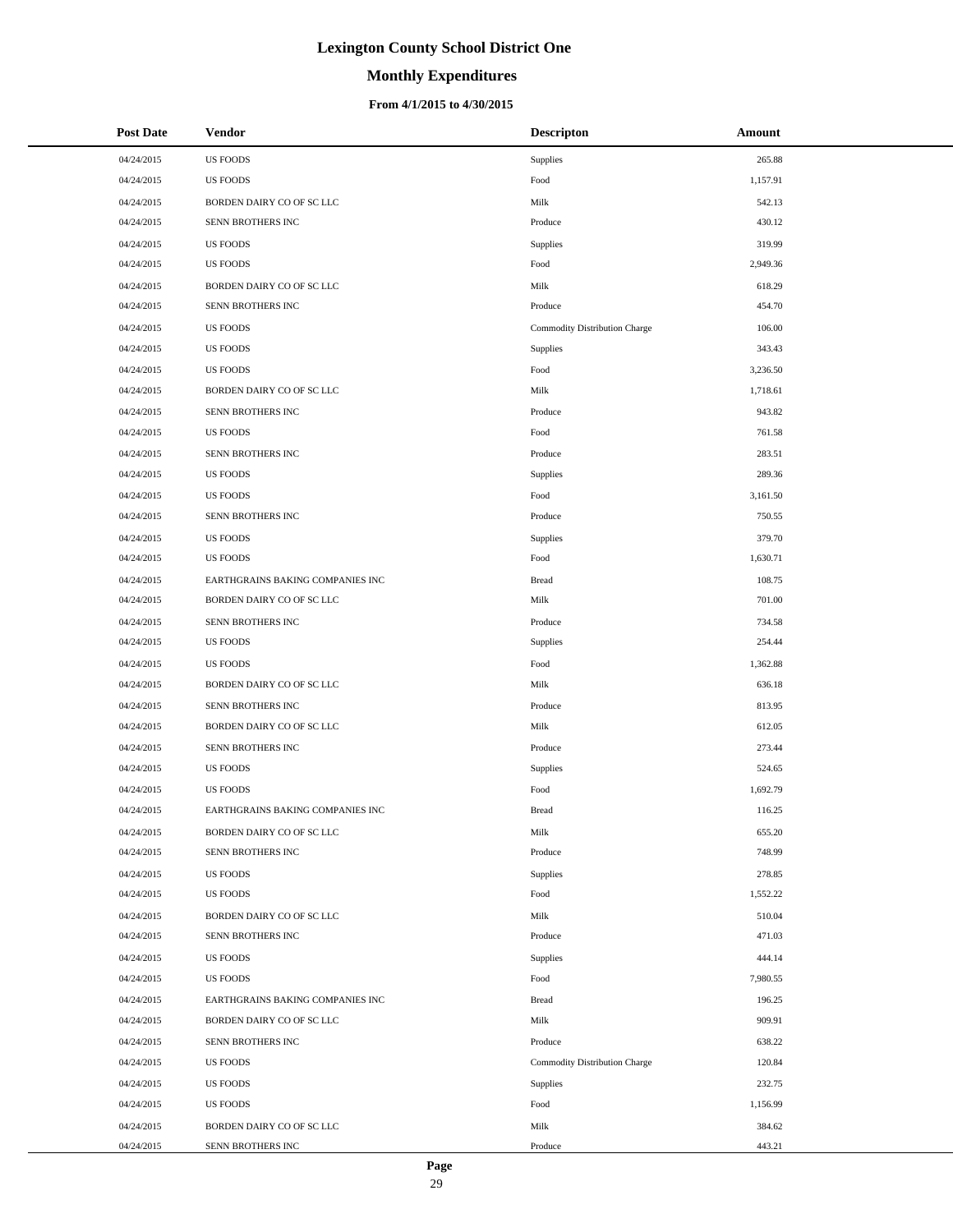# **Monthly Expenditures**

### **From 4/1/2015 to 4/30/2015**

| <b>Post Date</b> | <b>Vendor</b>                    | <b>Descripton</b>             | Amount   |
|------------------|----------------------------------|-------------------------------|----------|
| 04/24/2015       | <b>US FOODS</b>                  | Supplies                      | 265.88   |
| 04/24/2015       | <b>US FOODS</b>                  | Food                          | 1,157.91 |
| 04/24/2015       | BORDEN DAIRY CO OF SC LLC        | Milk                          | 542.13   |
| 04/24/2015       | SENN BROTHERS INC                | Produce                       | 430.12   |
| 04/24/2015       | <b>US FOODS</b>                  | Supplies                      | 319.99   |
| 04/24/2015       | <b>US FOODS</b>                  | Food                          | 2,949.36 |
| 04/24/2015       | BORDEN DAIRY CO OF SC LLC        | Milk                          | 618.29   |
| 04/24/2015       | SENN BROTHERS INC                | Produce                       | 454.70   |
| 04/24/2015       | <b>US FOODS</b>                  | Commodity Distribution Charge | 106.00   |
| 04/24/2015       | <b>US FOODS</b>                  | Supplies                      | 343.43   |
| 04/24/2015       | <b>US FOODS</b>                  | Food                          | 3,236.50 |
| 04/24/2015       | BORDEN DAIRY CO OF SC LLC        | Milk                          | 1,718.61 |
| 04/24/2015       | SENN BROTHERS INC                | Produce                       | 943.82   |
| 04/24/2015       | <b>US FOODS</b>                  | Food                          | 761.58   |
| 04/24/2015       | SENN BROTHERS INC                | Produce                       | 283.51   |
| 04/24/2015       | <b>US FOODS</b>                  | <b>Supplies</b>               | 289.36   |
| 04/24/2015       | <b>US FOODS</b>                  | Food                          | 3,161.50 |
| 04/24/2015       | SENN BROTHERS INC                | Produce                       | 750.55   |
| 04/24/2015       | <b>US FOODS</b>                  | Supplies                      | 379.70   |
| 04/24/2015       | <b>US FOODS</b>                  | Food                          | 1,630.71 |
| 04/24/2015       | EARTHGRAINS BAKING COMPANIES INC | <b>Bread</b>                  | 108.75   |
| 04/24/2015       | BORDEN DAIRY CO OF SC LLC        | Milk                          | 701.00   |
| 04/24/2015       | SENN BROTHERS INC                | Produce                       | 734.58   |
| 04/24/2015       | <b>US FOODS</b>                  | Supplies                      | 254.44   |
| 04/24/2015       | <b>US FOODS</b>                  | Food                          | 1,362.88 |
| 04/24/2015       | BORDEN DAIRY CO OF SC LLC        | Milk                          | 636.18   |
| 04/24/2015       | SENN BROTHERS INC                | Produce                       | 813.95   |
| 04/24/2015       | BORDEN DAIRY CO OF SC LLC        | Milk                          | 612.05   |
| 04/24/2015       | SENN BROTHERS INC                | Produce                       | 273.44   |
| 04/24/2015       | <b>US FOODS</b>                  | Supplies                      | 524.65   |
| 04/24/2015       | <b>US FOODS</b>                  | Food                          | 1,692.79 |
| 04/24/2015       | EARTHGRAINS BAKING COMPANIES INC | <b>Bread</b>                  | 116.25   |
| 04/24/2015       | BORDEN DAIRY CO OF SC LLC        | Milk                          | 655.20   |
| 04/24/2015       | SENN BROTHERS INC                | Produce                       | 748.99   |
| 04/24/2015       | <b>US FOODS</b>                  | Supplies                      | 278.85   |
| 04/24/2015       | <b>US FOODS</b>                  | Food                          | 1,552.22 |
| 04/24/2015       | BORDEN DAIRY CO OF SC LLC        | Milk                          | 510.04   |
| 04/24/2015       | SENN BROTHERS INC                | Produce                       | 471.03   |
| 04/24/2015       | <b>US FOODS</b>                  | Supplies                      | 444.14   |
| 04/24/2015       | <b>US FOODS</b>                  | Food                          | 7,980.55 |
| 04/24/2015       | EARTHGRAINS BAKING COMPANIES INC | <b>Bread</b>                  | 196.25   |
| 04/24/2015       | BORDEN DAIRY CO OF SC LLC        | Milk                          | 909.91   |
| 04/24/2015       | SENN BROTHERS INC                | Produce                       | 638.22   |
| 04/24/2015       | <b>US FOODS</b>                  | Commodity Distribution Charge | 120.84   |
| 04/24/2015       | <b>US FOODS</b>                  | <b>Supplies</b>               | 232.75   |
| 04/24/2015       | <b>US FOODS</b>                  | Food                          | 1,156.99 |
| 04/24/2015       | BORDEN DAIRY CO OF SC LLC        | Milk                          | 384.62   |
| 04/24/2015       | SENN BROTHERS INC                | Produce                       | 443.21   |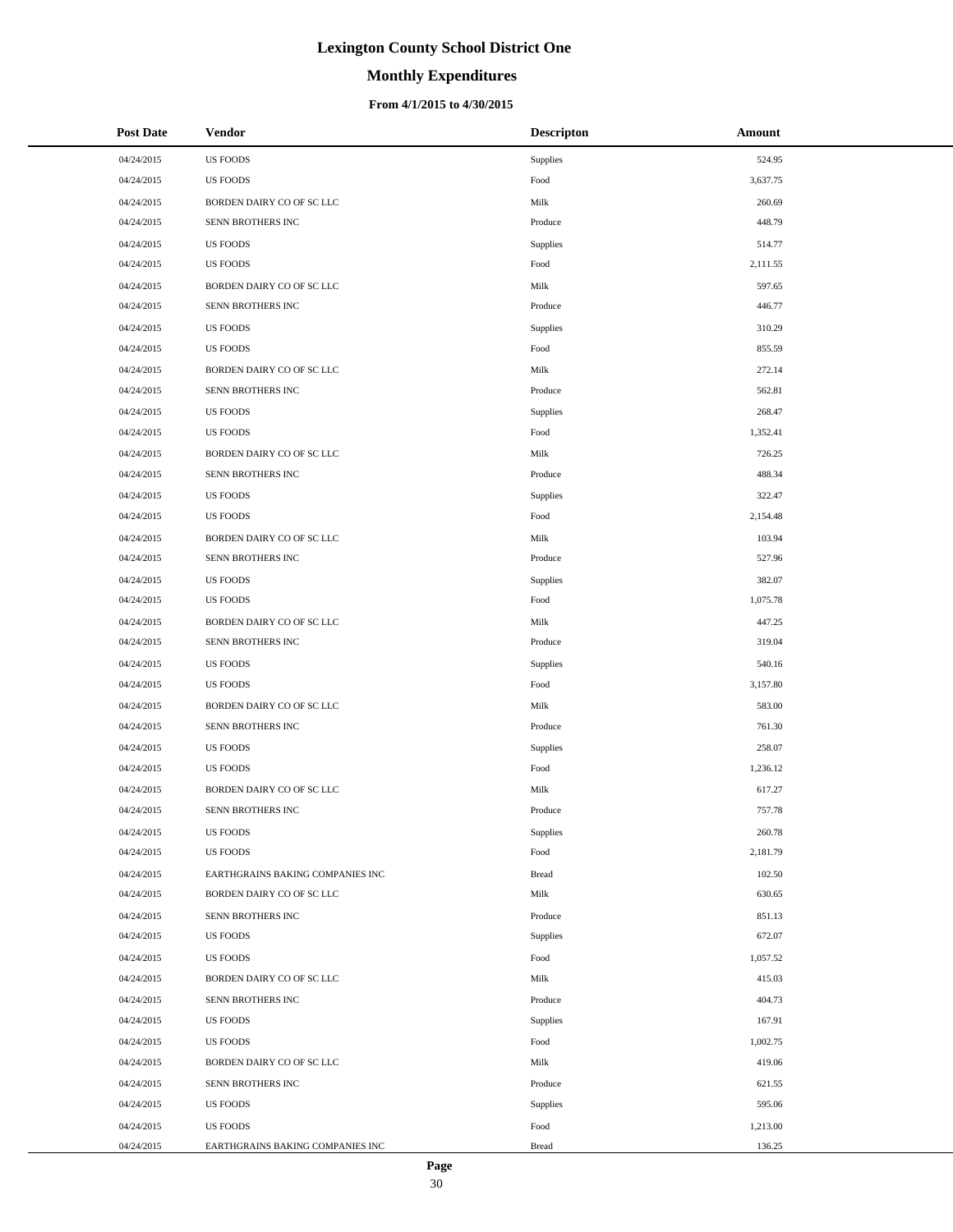# **Monthly Expenditures**

| <b>Post Date</b> | Vendor                           | <b>Descripton</b> | Amount   |
|------------------|----------------------------------|-------------------|----------|
| 04/24/2015       | <b>US FOODS</b>                  | Supplies          | 524.95   |
| 04/24/2015       | <b>US FOODS</b>                  | Food              | 3,637.75 |
| 04/24/2015       | BORDEN DAIRY CO OF SC LLC        | Milk              | 260.69   |
| 04/24/2015       | SENN BROTHERS INC                | Produce           | 448.79   |
| 04/24/2015       | <b>US FOODS</b>                  | Supplies          | 514.77   |
| 04/24/2015       | <b>US FOODS</b>                  | Food              | 2,111.55 |
| 04/24/2015       | BORDEN DAIRY CO OF SC LLC        | Milk              | 597.65   |
| 04/24/2015       | SENN BROTHERS INC                | Produce           | 446.77   |
| 04/24/2015       | <b>US FOODS</b>                  | Supplies          | 310.29   |
| 04/24/2015       | <b>US FOODS</b>                  | Food              | 855.59   |
| 04/24/2015       | BORDEN DAIRY CO OF SC LLC        | Milk              | 272.14   |
| 04/24/2015       | SENN BROTHERS INC                | Produce           | 562.81   |
| 04/24/2015       | <b>US FOODS</b>                  | Supplies          | 268.47   |
| 04/24/2015       | <b>US FOODS</b>                  | Food              | 1,352.41 |
| 04/24/2015       | BORDEN DAIRY CO OF SC LLC        | Milk              | 726.25   |
| 04/24/2015       | SENN BROTHERS INC                | Produce           | 488.34   |
| 04/24/2015       | <b>US FOODS</b>                  | Supplies          | 322.47   |
| 04/24/2015       | <b>US FOODS</b>                  | Food              | 2,154.48 |
| 04/24/2015       | BORDEN DAIRY CO OF SC LLC        | Milk              | 103.94   |
| 04/24/2015       | SENN BROTHERS INC                | Produce           | 527.96   |
| 04/24/2015       | <b>US FOODS</b>                  | Supplies          | 382.07   |
| 04/24/2015       | <b>US FOODS</b>                  | Food              | 1,075.78 |
| 04/24/2015       | BORDEN DAIRY CO OF SC LLC        | Milk              | 447.25   |
| 04/24/2015       | SENN BROTHERS INC                | Produce           | 319.04   |
| 04/24/2015       | <b>US FOODS</b>                  | Supplies          | 540.16   |
| 04/24/2015       | US FOODS                         | Food              | 3,157.80 |
| 04/24/2015       | BORDEN DAIRY CO OF SC LLC        | Milk              | 583.00   |
| 04/24/2015       | SENN BROTHERS INC                | Produce           | 761.30   |
| 04/24/2015       | <b>US FOODS</b>                  | Supplies          | 258.07   |
| 04/24/2015       | <b>US FOODS</b>                  | Food              | 1,236.12 |
| 04/24/2015       | BORDEN DAIRY CO OF SC LLC        | Milk              | 617.27   |
| 04/24/2015       | SENN BROTHERS INC                | Produce           | 757.78   |
| 04/24/2015       | US FOODS                         | Supplies          | 260.78   |
| 04/24/2015       | <b>US FOODS</b>                  | Food              | 2,181.79 |
| 04/24/2015       | EARTHGRAINS BAKING COMPANIES INC | <b>Bread</b>      | 102.50   |
| 04/24/2015       | BORDEN DAIRY CO OF SC LLC        | Milk              | 630.65   |
| 04/24/2015       | SENN BROTHERS INC                | Produce           | 851.13   |
| 04/24/2015       | US FOODS                         | Supplies          | 672.07   |
| 04/24/2015       | <b>US FOODS</b>                  | Food              | 1,057.52 |
| 04/24/2015       | BORDEN DAIRY CO OF SC LLC        | Milk              | 415.03   |
| 04/24/2015       | SENN BROTHERS INC                | Produce           | 404.73   |
| 04/24/2015       | <b>US FOODS</b>                  | Supplies          | 167.91   |
| 04/24/2015       | <b>US FOODS</b>                  | Food              | 1,002.75 |
| 04/24/2015       | BORDEN DAIRY CO OF SC LLC        | Milk              | 419.06   |
| 04/24/2015       | SENN BROTHERS INC                | Produce           | 621.55   |
| 04/24/2015       | US FOODS                         | Supplies          | 595.06   |
| 04/24/2015       | <b>US FOODS</b>                  | Food              | 1,213.00 |
| 04/24/2015       | EARTHGRAINS BAKING COMPANIES INC | <b>Bread</b>      | 136.25   |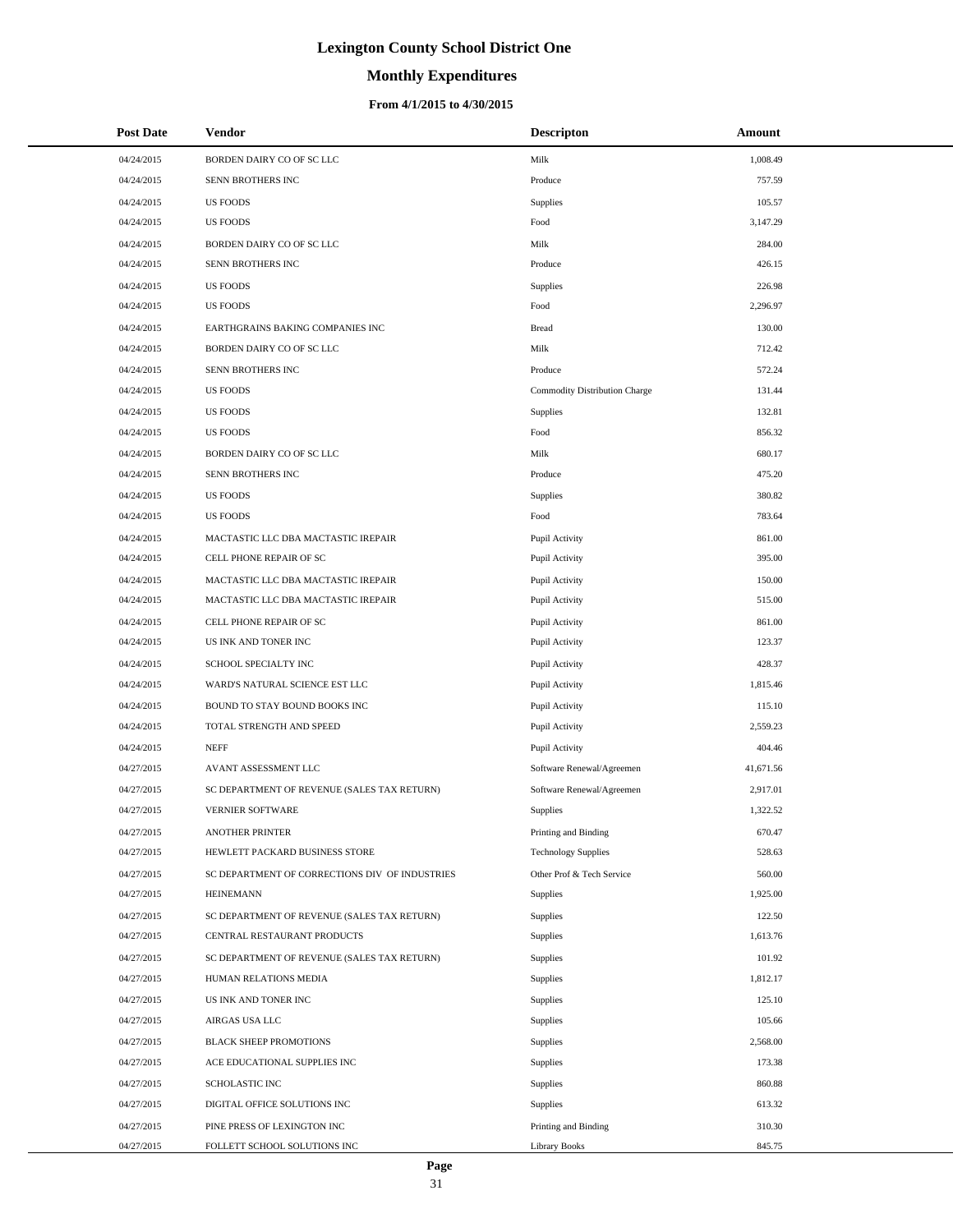# **Monthly Expenditures**

### **From 4/1/2015 to 4/30/2015**

| <b>Post Date</b> | Vendor                                         | <b>Descripton</b>             | Amount    |
|------------------|------------------------------------------------|-------------------------------|-----------|
| 04/24/2015       | BORDEN DAIRY CO OF SC LLC                      | Milk                          | 1,008.49  |
| 04/24/2015       | SENN BROTHERS INC                              | Produce                       | 757.59    |
| 04/24/2015       | <b>US FOODS</b>                                | <b>Supplies</b>               | 105.57    |
| 04/24/2015       | <b>US FOODS</b>                                | Food                          | 3,147.29  |
| 04/24/2015       | BORDEN DAIRY CO OF SC LLC                      | Milk                          | 284.00    |
| 04/24/2015       | SENN BROTHERS INC                              | Produce                       | 426.15    |
| 04/24/2015       | <b>US FOODS</b>                                | <b>Supplies</b>               | 226.98    |
| 04/24/2015       | <b>US FOODS</b>                                | Food                          | 2,296.97  |
| 04/24/2015       | EARTHGRAINS BAKING COMPANIES INC               | <b>Bread</b>                  | 130.00    |
| 04/24/2015       | BORDEN DAIRY CO OF SC LLC                      | Milk                          | 712.42    |
| 04/24/2015       | SENN BROTHERS INC                              | Produce                       | 572.24    |
| 04/24/2015       | <b>US FOODS</b>                                | Commodity Distribution Charge | 131.44    |
| 04/24/2015       | <b>US FOODS</b>                                | <b>Supplies</b>               | 132.81    |
| 04/24/2015       | <b>US FOODS</b>                                | Food                          | 856.32    |
| 04/24/2015       | BORDEN DAIRY CO OF SC LLC                      | Milk                          | 680.17    |
| 04/24/2015       | SENN BROTHERS INC                              | Produce                       | 475.20    |
| 04/24/2015       | <b>US FOODS</b>                                | <b>Supplies</b>               | 380.82    |
| 04/24/2015       | <b>US FOODS</b>                                | Food                          | 783.64    |
| 04/24/2015       | MACTASTIC LLC DBA MACTASTIC IREPAIR            | Pupil Activity                | 861.00    |
| 04/24/2015       | CELL PHONE REPAIR OF SC                        | Pupil Activity                | 395.00    |
| 04/24/2015       | MACTASTIC LLC DBA MACTASTIC IREPAIR            | Pupil Activity                | 150.00    |
| 04/24/2015       | MACTASTIC LLC DBA MACTASTIC IREPAIR            | Pupil Activity                | 515.00    |
| 04/24/2015       | CELL PHONE REPAIR OF SC                        | Pupil Activity                | 861.00    |
| 04/24/2015       | US INK AND TONER INC                           | Pupil Activity                | 123.37    |
| 04/24/2015       | SCHOOL SPECIALTY INC                           | Pupil Activity                | 428.37    |
| 04/24/2015       | WARD'S NATURAL SCIENCE EST LLC                 | Pupil Activity                | 1,815.46  |
| 04/24/2015       | BOUND TO STAY BOUND BOOKS INC                  | Pupil Activity                | 115.10    |
| 04/24/2015       | TOTAL STRENGTH AND SPEED                       | Pupil Activity                | 2,559.23  |
| 04/24/2015       | <b>NEFF</b>                                    | Pupil Activity                | 404.46    |
| 04/27/2015       | AVANT ASSESSMENT LLC                           | Software Renewal/Agreemen     | 41,671.56 |
| 04/27/2015       | SC DEPARTMENT OF REVENUE (SALES TAX RETURN)    | Software Renewal/Agreemen     | 2,917.01  |
| 04/27/2015       | <b>VERNIER SOFTWARE</b>                        | Supplies                      | 1,322.52  |
| 04/27/2015       | <b>ANOTHER PRINTER</b>                         | Printing and Binding          | 670.47    |
| 04/27/2015       | HEWLETT PACKARD BUSINESS STORE                 | <b>Technology Supplies</b>    | 528.63    |
| 04/27/2015       | SC DEPARTMENT OF CORRECTIONS DIV OF INDUSTRIES | Other Prof & Tech Service     | 560.00    |
| 04/27/2015       | <b>HEINEMANN</b>                               | Supplies                      | 1,925.00  |
| 04/27/2015       | SC DEPARTMENT OF REVENUE (SALES TAX RETURN)    | Supplies                      | 122.50    |
| 04/27/2015       | CENTRAL RESTAURANT PRODUCTS                    | Supplies                      | 1,613.76  |
| 04/27/2015       | SC DEPARTMENT OF REVENUE (SALES TAX RETURN)    | Supplies                      | 101.92    |
| 04/27/2015       | HUMAN RELATIONS MEDIA                          | Supplies                      | 1,812.17  |
| 04/27/2015       | US INK AND TONER INC                           | Supplies                      | 125.10    |
| 04/27/2015       | AIRGAS USA LLC                                 | Supplies                      | 105.66    |
| 04/27/2015       | <b>BLACK SHEEP PROMOTIONS</b>                  | Supplies                      | 2,568.00  |
| 04/27/2015       | ACE EDUCATIONAL SUPPLIES INC                   | Supplies                      | 173.38    |
| 04/27/2015       | SCHOLASTIC INC                                 | Supplies                      | 860.88    |
| 04/27/2015       | DIGITAL OFFICE SOLUTIONS INC                   | Supplies                      | 613.32    |
| 04/27/2015       | PINE PRESS OF LEXINGTON INC                    | Printing and Binding          | 310.30    |
| 04/27/2015       | FOLLETT SCHOOL SOLUTIONS INC                   | <b>Library Books</b>          | 845.75    |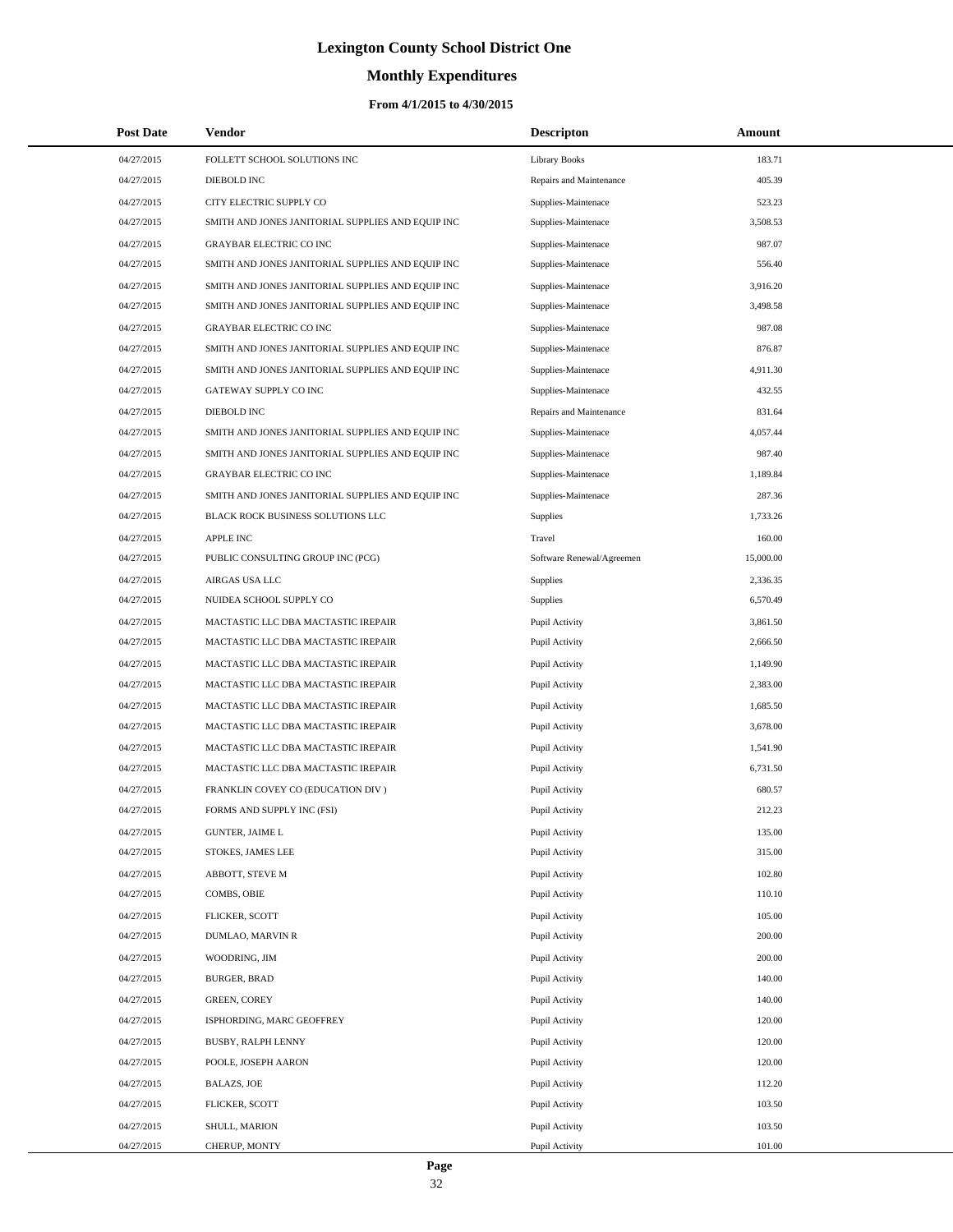# **Monthly Expenditures**

## **From 4/1/2015 to 4/30/2015**

| <b>Post Date</b> | <b>Vendor</b>                                     | <b>Descripton</b>         | Amount    |  |
|------------------|---------------------------------------------------|---------------------------|-----------|--|
| 04/27/2015       | FOLLETT SCHOOL SOLUTIONS INC                      | <b>Library Books</b>      | 183.71    |  |
| 04/27/2015       | DIEBOLD INC                                       | Repairs and Maintenance   | 405.39    |  |
| 04/27/2015       | CITY ELECTRIC SUPPLY CO                           | Supplies-Maintenace       | 523.23    |  |
| 04/27/2015       | SMITH AND JONES JANITORIAL SUPPLIES AND EQUIP INC | Supplies-Maintenace       | 3,508.53  |  |
| 04/27/2015       | <b>GRAYBAR ELECTRIC CO INC</b>                    | Supplies-Maintenace       | 987.07    |  |
| 04/27/2015       | SMITH AND JONES JANITORIAL SUPPLIES AND EQUIP INC | Supplies-Maintenace       | 556.40    |  |
| 04/27/2015       | SMITH AND JONES JANITORIAL SUPPLIES AND EQUIP INC | Supplies-Maintenace       | 3,916.20  |  |
| 04/27/2015       | SMITH AND JONES JANITORIAL SUPPLIES AND EQUIP INC | Supplies-Maintenace       | 3,498.58  |  |
| 04/27/2015       | <b>GRAYBAR ELECTRIC CO INC</b>                    | Supplies-Maintenace       | 987.08    |  |
| 04/27/2015       | SMITH AND JONES JANITORIAL SUPPLIES AND EQUIP INC | Supplies-Maintenace       | 876.87    |  |
| 04/27/2015       | SMITH AND JONES JANITORIAL SUPPLIES AND EQUIP INC | Supplies-Maintenace       | 4,911.30  |  |
| 04/27/2015       | GATEWAY SUPPLY CO INC                             | Supplies-Maintenace       | 432.55    |  |
| 04/27/2015       | DIEBOLD INC                                       | Repairs and Maintenance   | 831.64    |  |
| 04/27/2015       | SMITH AND JONES JANITORIAL SUPPLIES AND EQUIP INC | Supplies-Maintenace       | 4,057.44  |  |
| 04/27/2015       | SMITH AND JONES JANITORIAL SUPPLIES AND EQUIP INC | Supplies-Maintenace       | 987.40    |  |
| 04/27/2015       | <b>GRAYBAR ELECTRIC CO INC</b>                    | Supplies-Maintenace       | 1,189.84  |  |
| 04/27/2015       | SMITH AND JONES JANITORIAL SUPPLIES AND EQUIP INC | Supplies-Maintenace       | 287.36    |  |
| 04/27/2015       | BLACK ROCK BUSINESS SOLUTIONS LLC                 | Supplies                  | 1,733.26  |  |
| 04/27/2015       | APPLE INC                                         | Travel                    | 160.00    |  |
| 04/27/2015       | PUBLIC CONSULTING GROUP INC (PCG)                 | Software Renewal/Agreemen | 15,000.00 |  |
| 04/27/2015       | AIRGAS USA LLC                                    | Supplies                  | 2,336.35  |  |
| 04/27/2015       | NUIDEA SCHOOL SUPPLY CO                           | Supplies                  | 6,570.49  |  |
| 04/27/2015       | MACTASTIC LLC DBA MACTASTIC IREPAIR               | Pupil Activity            | 3,861.50  |  |
| 04/27/2015       | MACTASTIC LLC DBA MACTASTIC IREPAIR               | Pupil Activity            | 2,666.50  |  |
| 04/27/2015       | MACTASTIC LLC DBA MACTASTIC IREPAIR               | Pupil Activity            | 1,149.90  |  |
| 04/27/2015       | MACTASTIC LLC DBA MACTASTIC IREPAIR               | Pupil Activity            | 2,383.00  |  |
| 04/27/2015       | MACTASTIC LLC DBA MACTASTIC IREPAIR               | Pupil Activity            | 1,685.50  |  |
| 04/27/2015       | MACTASTIC LLC DBA MACTASTIC IREPAIR               | Pupil Activity            | 3,678.00  |  |
| 04/27/2015       | MACTASTIC LLC DBA MACTASTIC IREPAIR               | Pupil Activity            | 1,541.90  |  |
| 04/27/2015       | MACTASTIC LLC DBA MACTASTIC IREPAIR               | Pupil Activity            | 6,731.50  |  |
| 04/27/2015       | FRANKLIN COVEY CO (EDUCATION DIV )                | Pupil Activity            | 680.57    |  |
| 04/27/2015       | FORMS AND SUPPLY INC (FSI)                        | Pupil Activity            | 212.23    |  |
| 04/27/2015       | <b>GUNTER, JAIME L</b>                            | Pupil Activity            | 135.00    |  |
| 04/27/2015       | STOKES, JAMES LEE                                 | Pupil Activity            | 315.00    |  |
| 04/27/2015       | ABBOTT, STEVE M                                   | Pupil Activity            | 102.80    |  |
| 04/27/2015       | COMBS, OBIE                                       | Pupil Activity            | 110.10    |  |
| 04/27/2015       | FLICKER, SCOTT                                    | Pupil Activity            | 105.00    |  |
| 04/27/2015       | DUMLAO, MARVIN R                                  | Pupil Activity            | 200.00    |  |
| 04/27/2015       | WOODRING, JIM                                     | Pupil Activity            | 200.00    |  |
| 04/27/2015       | BURGER, BRAD                                      | Pupil Activity            | 140.00    |  |
| 04/27/2015       | <b>GREEN, COREY</b>                               | Pupil Activity            | 140.00    |  |
| 04/27/2015       | ISPHORDING, MARC GEOFFREY                         | Pupil Activity            | 120.00    |  |
| 04/27/2015       | BUSBY, RALPH LENNY                                | Pupil Activity            | 120.00    |  |
| 04/27/2015       | POOLE, JOSEPH AARON                               | Pupil Activity            | 120.00    |  |
| 04/27/2015       | <b>BALAZS, JOE</b>                                | Pupil Activity            | 112.20    |  |
| 04/27/2015       | FLICKER, SCOTT                                    | Pupil Activity            | 103.50    |  |
| 04/27/2015       | SHULL, MARION                                     | Pupil Activity            | 103.50    |  |
| 04/27/2015       | CHERUP, MONTY                                     | Pupil Activity            | 101.00    |  |

÷.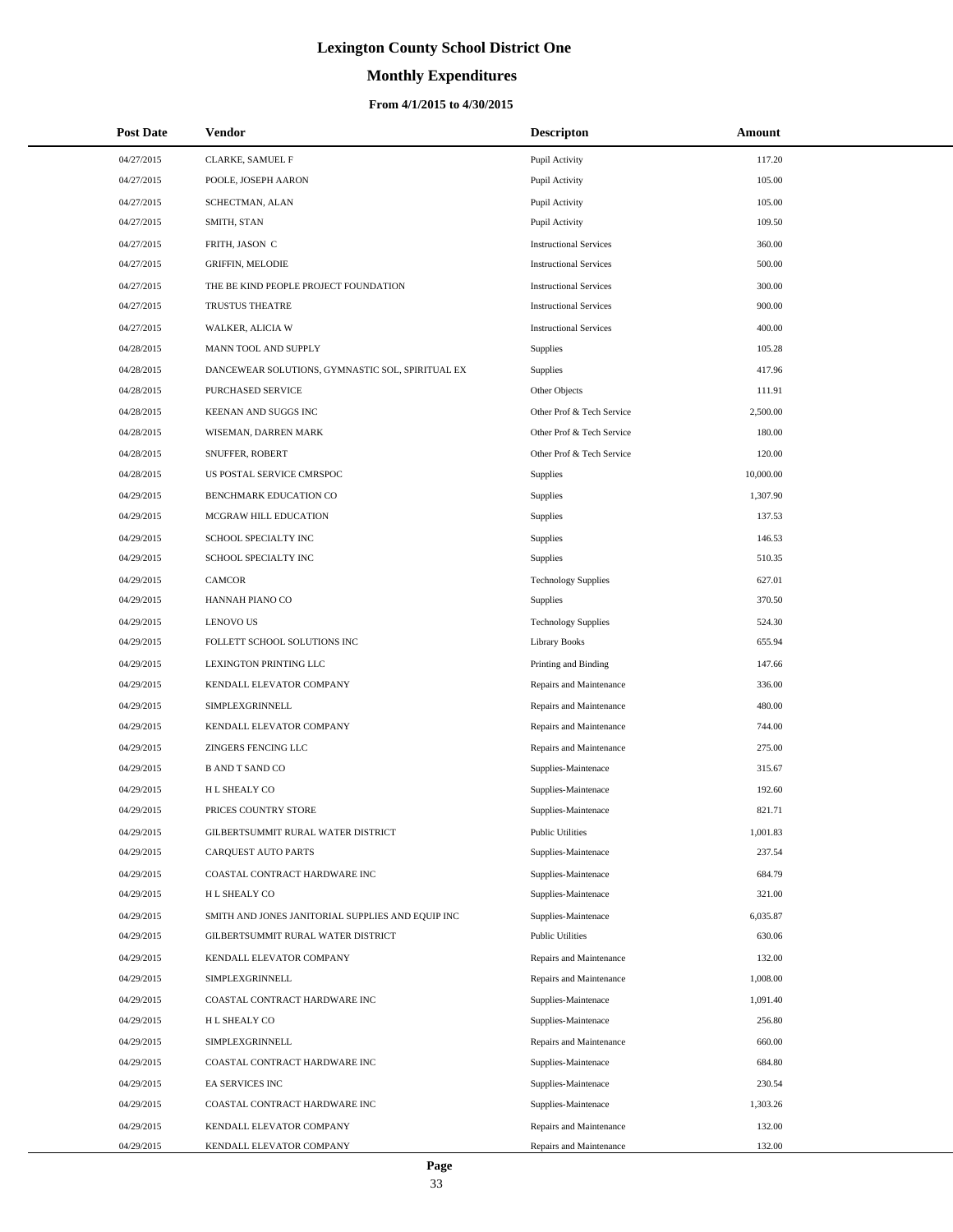# **Monthly Expenditures**

## **From 4/1/2015 to 4/30/2015**

| <b>Post Date</b> | Vendor                                            | <b>Descripton</b>             | Amount    |
|------------------|---------------------------------------------------|-------------------------------|-----------|
| 04/27/2015       | CLARKE, SAMUEL F                                  | Pupil Activity                | 117.20    |
| 04/27/2015       | POOLE, JOSEPH AARON                               | Pupil Activity                | 105.00    |
| 04/27/2015       | SCHECTMAN, ALAN                                   | Pupil Activity                | 105.00    |
| 04/27/2015       | SMITH, STAN                                       | Pupil Activity                | 109.50    |
| 04/27/2015       | FRITH, JASON C                                    | <b>Instructional Services</b> | 360.00    |
| 04/27/2015       | <b>GRIFFIN, MELODIE</b>                           | <b>Instructional Services</b> | 500.00    |
| 04/27/2015       | THE BE KIND PEOPLE PROJECT FOUNDATION             | <b>Instructional Services</b> | 300.00    |
| 04/27/2015       | TRUSTUS THEATRE                                   | <b>Instructional Services</b> | 900.00    |
| 04/27/2015       | WALKER, ALICIA W                                  | <b>Instructional Services</b> | 400.00    |
| 04/28/2015       | MANN TOOL AND SUPPLY                              | Supplies                      | 105.28    |
| 04/28/2015       | DANCEWEAR SOLUTIONS, GYMNASTIC SOL, SPIRITUAL EX  | Supplies                      | 417.96    |
| 04/28/2015       | PURCHASED SERVICE                                 | Other Objects                 | 111.91    |
| 04/28/2015       | KEENAN AND SUGGS INC                              | Other Prof & Tech Service     | 2,500.00  |
| 04/28/2015       | WISEMAN, DARREN MARK                              | Other Prof & Tech Service     | 180.00    |
| 04/28/2015       | SNUFFER, ROBERT                                   | Other Prof & Tech Service     | 120.00    |
| 04/28/2015       | US POSTAL SERVICE CMRSPOC                         | Supplies                      | 10,000.00 |
| 04/29/2015       | BENCHMARK EDUCATION CO                            | Supplies                      | 1,307.90  |
| 04/29/2015       | MCGRAW HILL EDUCATION                             | Supplies                      | 137.53    |
| 04/29/2015       | SCHOOL SPECIALTY INC                              | Supplies                      | 146.53    |
| 04/29/2015       | SCHOOL SPECIALTY INC                              | Supplies                      | 510.35    |
| 04/29/2015       | CAMCOR                                            | <b>Technology Supplies</b>    | 627.01    |
| 04/29/2015       | HANNAH PIANO CO                                   | <b>Supplies</b>               | 370.50    |
| 04/29/2015       | <b>LENOVO US</b>                                  | <b>Technology Supplies</b>    | 524.30    |
| 04/29/2015       | FOLLETT SCHOOL SOLUTIONS INC                      | Library Books                 | 655.94    |
| 04/29/2015       | LEXINGTON PRINTING LLC                            | Printing and Binding          | 147.66    |
| 04/29/2015       | KENDALL ELEVATOR COMPANY                          | Repairs and Maintenance       | 336.00    |
| 04/29/2015       | SIMPLEXGRINNELL                                   | Repairs and Maintenance       | 480.00    |
| 04/29/2015       | KENDALL ELEVATOR COMPANY                          | Repairs and Maintenance       | 744.00    |
| 04/29/2015       | <b>ZINGERS FENCING LLC</b>                        | Repairs and Maintenance       | 275.00    |
| 04/29/2015       | <b>B AND T SAND CO</b>                            | Supplies-Maintenace           | 315.67    |
| 04/29/2015       | H L SHEALY CO                                     | Supplies-Maintenace           | 192.60    |
| 04/29/2015       | PRICES COUNTRY STORE                              | Supplies-Maintenace           | 821.71    |
| 04/29/2015       | GILBERTSUMMIT RURAL WATER DISTRICT                | <b>Public Utilities</b>       | 1,001.83  |
| 04/29/2015       | CARQUEST AUTO PARTS                               | Supplies-Maintenace           | 237.54    |
| 04/29/2015       | COASTAL CONTRACT HARDWARE INC                     | Supplies-Maintenace           | 684.79    |
| 04/29/2015       | H L SHEALY CO                                     | Supplies-Maintenace           | 321.00    |
| 04/29/2015       | SMITH AND JONES JANITORIAL SUPPLIES AND EQUIP INC | Supplies-Maintenace           | 6,035.87  |
| 04/29/2015       | GILBERTSUMMIT RURAL WATER DISTRICT                | <b>Public Utilities</b>       | 630.06    |
| 04/29/2015       | KENDALL ELEVATOR COMPANY                          | Repairs and Maintenance       | 132.00    |
| 04/29/2015       | SIMPLEXGRINNELL                                   | Repairs and Maintenance       | 1,008.00  |
| 04/29/2015       | COASTAL CONTRACT HARDWARE INC                     | Supplies-Maintenace           | 1,091.40  |
| 04/29/2015       | H L SHEALY CO                                     | Supplies-Maintenace           | 256.80    |
| 04/29/2015       | SIMPLEXGRINNELL                                   | Repairs and Maintenance       | 660.00    |
| 04/29/2015       | COASTAL CONTRACT HARDWARE INC                     | Supplies-Maintenace           | 684.80    |
| 04/29/2015       | EA SERVICES INC                                   | Supplies-Maintenace           | 230.54    |
| 04/29/2015       | COASTAL CONTRACT HARDWARE INC                     | Supplies-Maintenace           | 1,303.26  |
| 04/29/2015       | KENDALL ELEVATOR COMPANY                          | Repairs and Maintenance       | 132.00    |
| 04/29/2015       | KENDALL ELEVATOR COMPANY                          | Repairs and Maintenance       | 132.00    |

 $\overline{a}$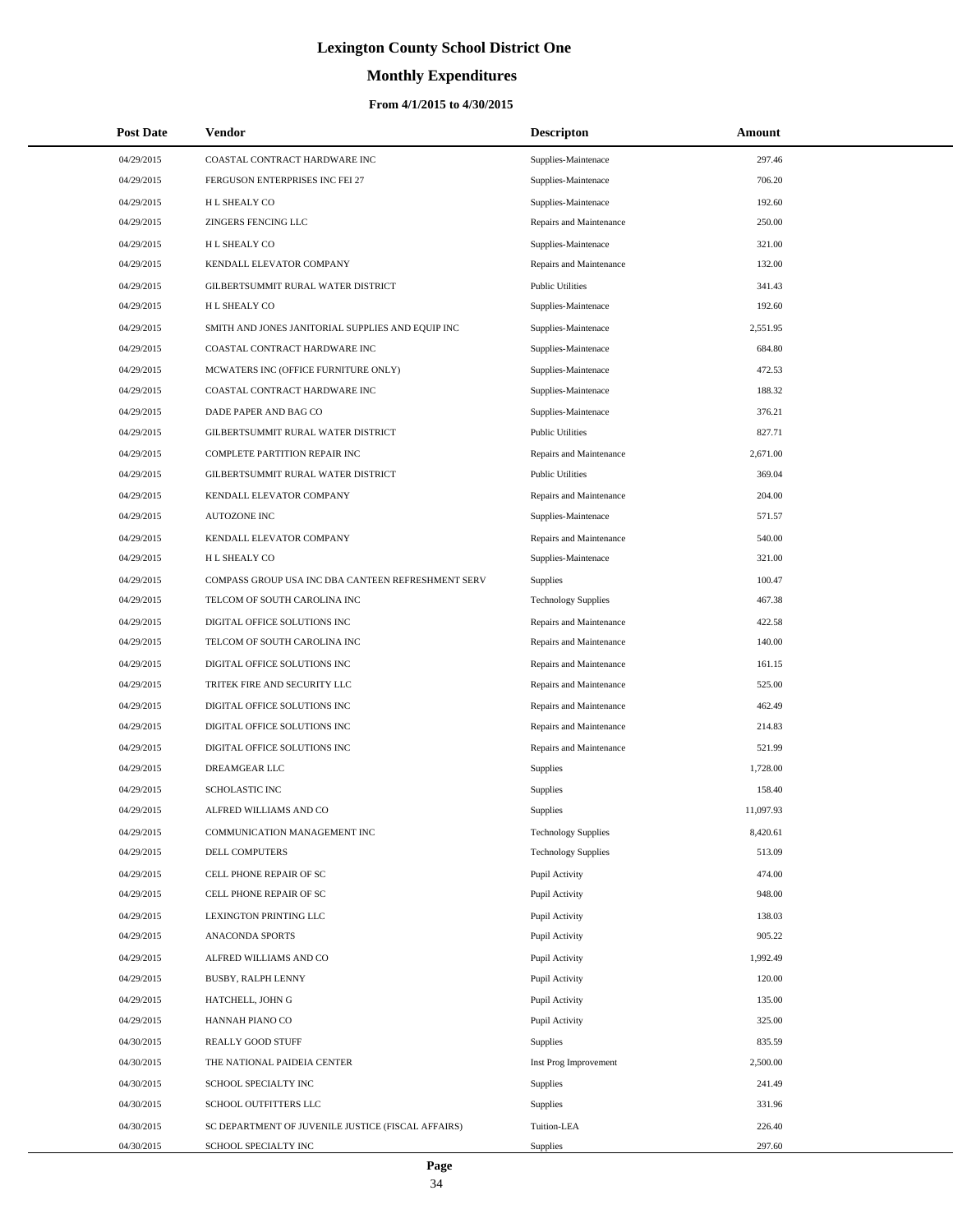# **Monthly Expenditures**

| <b>Post Date</b> | <b>Vendor</b>                                      | <b>Descripton</b>          | Amount    |  |
|------------------|----------------------------------------------------|----------------------------|-----------|--|
| 04/29/2015       | COASTAL CONTRACT HARDWARE INC                      | Supplies-Maintenace        | 297.46    |  |
| 04/29/2015       | FERGUSON ENTERPRISES INC FEI 27                    | Supplies-Maintenace        | 706.20    |  |
| 04/29/2015       | H L SHEALY CO                                      | Supplies-Maintenace        | 192.60    |  |
| 04/29/2015       | <b>ZINGERS FENCING LLC</b>                         | Repairs and Maintenance    | 250.00    |  |
| 04/29/2015       | H L SHEALY CO                                      | Supplies-Maintenace        | 321.00    |  |
| 04/29/2015       | KENDALL ELEVATOR COMPANY                           | Repairs and Maintenance    | 132.00    |  |
| 04/29/2015       | GILBERTSUMMIT RURAL WATER DISTRICT                 | <b>Public Utilities</b>    | 341.43    |  |
| 04/29/2015       | H L SHEALY CO                                      | Supplies-Maintenace        | 192.60    |  |
| 04/29/2015       | SMITH AND JONES JANITORIAL SUPPLIES AND EQUIP INC  | Supplies-Maintenace        | 2,551.95  |  |
| 04/29/2015       | COASTAL CONTRACT HARDWARE INC                      | Supplies-Maintenace        | 684.80    |  |
| 04/29/2015       | MCWATERS INC (OFFICE FURNITURE ONLY)               | Supplies-Maintenace        | 472.53    |  |
| 04/29/2015       | COASTAL CONTRACT HARDWARE INC                      | Supplies-Maintenace        | 188.32    |  |
| 04/29/2015       | DADE PAPER AND BAG CO                              | Supplies-Maintenace        | 376.21    |  |
| 04/29/2015       | GILBERTSUMMIT RURAL WATER DISTRICT                 | <b>Public Utilities</b>    | 827.71    |  |
| 04/29/2015       | COMPLETE PARTITION REPAIR INC                      | Repairs and Maintenance    | 2,671.00  |  |
| 04/29/2015       | GILBERTSUMMIT RURAL WATER DISTRICT                 | <b>Public Utilities</b>    | 369.04    |  |
| 04/29/2015       | KENDALL ELEVATOR COMPANY                           | Repairs and Maintenance    | 204.00    |  |
| 04/29/2015       | <b>AUTOZONE INC</b>                                | Supplies-Maintenace        | 571.57    |  |
| 04/29/2015       | KENDALL ELEVATOR COMPANY                           | Repairs and Maintenance    | 540.00    |  |
| 04/29/2015       | H L SHEALY CO                                      | Supplies-Maintenace        | 321.00    |  |
| 04/29/2015       | COMPASS GROUP USA INC DBA CANTEEN REFRESHMENT SERV | <b>Supplies</b>            | 100.47    |  |
| 04/29/2015       | TELCOM OF SOUTH CAROLINA INC                       | <b>Technology Supplies</b> | 467.38    |  |
| 04/29/2015       | DIGITAL OFFICE SOLUTIONS INC                       | Repairs and Maintenance    | 422.58    |  |
| 04/29/2015       | TELCOM OF SOUTH CAROLINA INC                       | Repairs and Maintenance    | 140.00    |  |
| 04/29/2015       | DIGITAL OFFICE SOLUTIONS INC                       | Repairs and Maintenance    | 161.15    |  |
| 04/29/2015       | TRITEK FIRE AND SECURITY LLC                       | Repairs and Maintenance    | 525.00    |  |
| 04/29/2015       | DIGITAL OFFICE SOLUTIONS INC                       | Repairs and Maintenance    | 462.49    |  |
| 04/29/2015       | DIGITAL OFFICE SOLUTIONS INC                       | Repairs and Maintenance    | 214.83    |  |
| 04/29/2015       | DIGITAL OFFICE SOLUTIONS INC                       | Repairs and Maintenance    | 521.99    |  |
| 04/29/2015       | DREAMGEAR LLC                                      | Supplies                   | 1,728.00  |  |
| 04/29/2015       | SCHOLASTIC INC                                     | Supplies                   | 158.40    |  |
| 04/29/2015       | ALFRED WILLIAMS AND CO                             | Supplies                   | 11,097.93 |  |
| 04/29/2015       | COMMUNICATION MANAGEMENT INC                       | <b>Technology Supplies</b> | 8,420.61  |  |
| 04/29/2015       | DELL COMPUTERS                                     | <b>Technology Supplies</b> | 513.09    |  |
| 04/29/2015       | CELL PHONE REPAIR OF SC                            | Pupil Activity             | 474.00    |  |
| 04/29/2015       | CELL PHONE REPAIR OF SC                            | Pupil Activity             | 948.00    |  |
| 04/29/2015       | LEXINGTON PRINTING LLC                             | Pupil Activity             | 138.03    |  |
| 04/29/2015       | ANACONDA SPORTS                                    | Pupil Activity             | 905.22    |  |
| 04/29/2015       | ALFRED WILLIAMS AND CO                             | Pupil Activity             | 1,992.49  |  |
| 04/29/2015       | BUSBY, RALPH LENNY                                 | Pupil Activity             | 120.00    |  |
| 04/29/2015       | HATCHELL, JOHN G                                   | Pupil Activity             | 135.00    |  |
| 04/29/2015       | HANNAH PIANO CO                                    | Pupil Activity             | 325.00    |  |
| 04/30/2015       | REALLY GOOD STUFF                                  | Supplies                   | 835.59    |  |
| 04/30/2015       | THE NATIONAL PAIDEIA CENTER                        | Inst Prog Improvement      | 2,500.00  |  |
| 04/30/2015       | SCHOOL SPECIALTY INC                               | Supplies                   | 241.49    |  |
| 04/30/2015       | SCHOOL OUTFITTERS LLC                              | Supplies                   | 331.96    |  |
| 04/30/2015       | SC DEPARTMENT OF JUVENILE JUSTICE (FISCAL AFFAIRS) | Tuition-LEA                | 226.40    |  |
| 04/30/2015       | SCHOOL SPECIALTY INC                               | Supplies                   | 297.60    |  |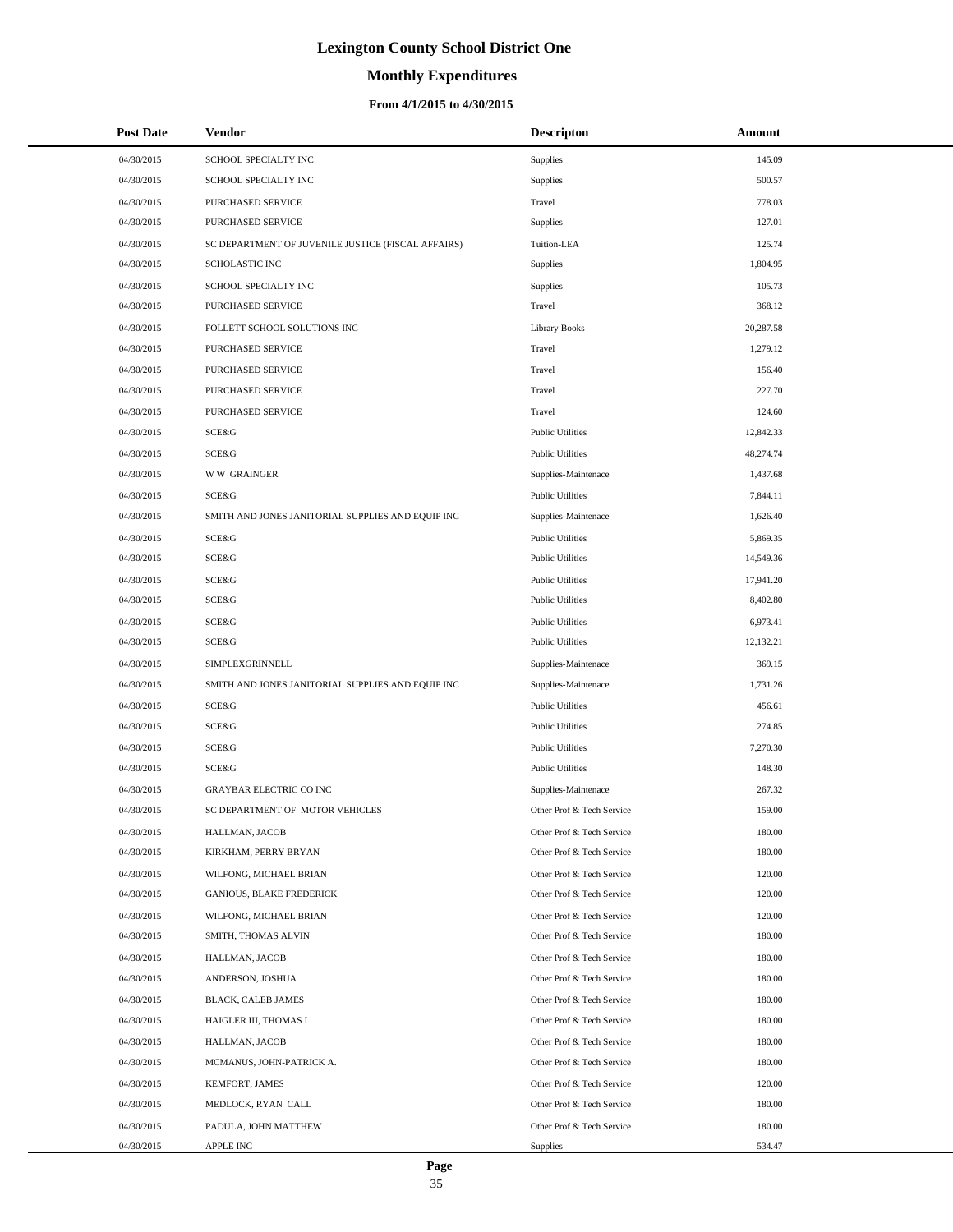# **Monthly Expenditures**

### **From 4/1/2015 to 4/30/2015**

| <b>Post Date</b> | Vendor                                             | <b>Descripton</b>         | Amount    |
|------------------|----------------------------------------------------|---------------------------|-----------|
| 04/30/2015       | SCHOOL SPECIALTY INC                               | Supplies                  | 145.09    |
| 04/30/2015       | SCHOOL SPECIALTY INC                               | Supplies                  | 500.57    |
| 04/30/2015       | PURCHASED SERVICE                                  | Travel                    | 778.03    |
| 04/30/2015       | PURCHASED SERVICE                                  | Supplies                  | 127.01    |
| 04/30/2015       | SC DEPARTMENT OF JUVENILE JUSTICE (FISCAL AFFAIRS) | Tuition-LEA               | 125.74    |
| 04/30/2015       | <b>SCHOLASTIC INC</b>                              | Supplies                  | 1,804.95  |
| 04/30/2015       | SCHOOL SPECIALTY INC                               | Supplies                  | 105.73    |
| 04/30/2015       | PURCHASED SERVICE                                  | Travel                    | 368.12    |
| 04/30/2015       | FOLLETT SCHOOL SOLUTIONS INC                       | <b>Library Books</b>      | 20,287.58 |
| 04/30/2015       | PURCHASED SERVICE                                  | Travel                    | 1,279.12  |
| 04/30/2015       | PURCHASED SERVICE                                  | Travel                    | 156.40    |
| 04/30/2015       | PURCHASED SERVICE                                  | Travel                    | 227.70    |
| 04/30/2015       | PURCHASED SERVICE                                  | Travel                    | 124.60    |
| 04/30/2015       | SCE&G                                              | <b>Public Utilities</b>   | 12,842.33 |
| 04/30/2015       | <b>SCE&amp;G</b>                                   | <b>Public Utilities</b>   | 48,274.74 |
| 04/30/2015       | <b>WW GRAINGER</b>                                 | Supplies-Maintenace       | 1,437.68  |
| 04/30/2015       | <b>SCE&amp;G</b>                                   | <b>Public Utilities</b>   | 7,844.11  |
| 04/30/2015       | SMITH AND JONES JANITORIAL SUPPLIES AND EQUIP INC  | Supplies-Maintenace       | 1,626.40  |
| 04/30/2015       | SCE&G                                              | <b>Public Utilities</b>   | 5,869.35  |
| 04/30/2015       | SCE&G                                              | <b>Public Utilities</b>   | 14,549.36 |
| 04/30/2015       | SCE&G                                              | <b>Public Utilities</b>   | 17,941.20 |
| 04/30/2015       | SCE&G                                              | <b>Public Utilities</b>   | 8,402.80  |
| 04/30/2015       | SCE&G                                              | <b>Public Utilities</b>   | 6,973.41  |
| 04/30/2015       | SCE&G                                              | <b>Public Utilities</b>   | 12,132.21 |
| 04/30/2015       | SIMPLEXGRINNELL                                    | Supplies-Maintenace       | 369.15    |
| 04/30/2015       | SMITH AND JONES JANITORIAL SUPPLIES AND EQUIP INC  | Supplies-Maintenace       | 1,731.26  |
| 04/30/2015       | SCE&G                                              | <b>Public Utilities</b>   | 456.61    |
| 04/30/2015       | SCE&G                                              | <b>Public Utilities</b>   | 274.85    |
| 04/30/2015       | SCE&G                                              | <b>Public Utilities</b>   | 7,270.30  |
| 04/30/2015       | SCE&G                                              | <b>Public Utilities</b>   | 148.30    |
| 04/30/2015       | <b>GRAYBAR ELECTRIC CO INC</b>                     | Supplies-Maintenace       | 267.32    |
| 04/30/2015       | SC DEPARTMENT OF MOTOR VEHICLES                    | Other Prof & Tech Service | 159.00    |
| 04/30/2015       | HALLMAN, JACOB                                     | Other Prof & Tech Service | 180.00    |
| 04/30/2015       | KIRKHAM, PERRY BRYAN                               | Other Prof & Tech Service | 180.00    |
| 04/30/2015       | WILFONG, MICHAEL BRIAN                             | Other Prof & Tech Service | 120.00    |
| 04/30/2015       | <b>GANIOUS, BLAKE FREDERICK</b>                    | Other Prof & Tech Service | 120.00    |
| 04/30/2015       | WILFONG, MICHAEL BRIAN                             | Other Prof & Tech Service | 120.00    |
| 04/30/2015       | SMITH, THOMAS ALVIN                                | Other Prof & Tech Service | 180.00    |
| 04/30/2015       | HALLMAN, JACOB                                     | Other Prof & Tech Service | 180.00    |
| 04/30/2015       | ANDERSON, JOSHUA                                   | Other Prof & Tech Service | 180.00    |
| 04/30/2015       | <b>BLACK, CALEB JAMES</b>                          | Other Prof & Tech Service | 180.00    |
| 04/30/2015       | HAIGLER III, THOMAS I                              | Other Prof & Tech Service | 180.00    |
| 04/30/2015       | HALLMAN, JACOB                                     | Other Prof & Tech Service | 180.00    |
| 04/30/2015       | MCMANUS, JOHN-PATRICK A.                           | Other Prof & Tech Service | 180.00    |
| 04/30/2015       | KEMFORT, JAMES                                     | Other Prof & Tech Service | 120.00    |
| 04/30/2015       | MEDLOCK, RYAN CALL                                 | Other Prof & Tech Service | 180.00    |
| 04/30/2015       | PADULA, JOHN MATTHEW                               | Other Prof & Tech Service | 180.00    |
| 04/30/2015       | APPLE INC                                          | Supplies                  | 534.47    |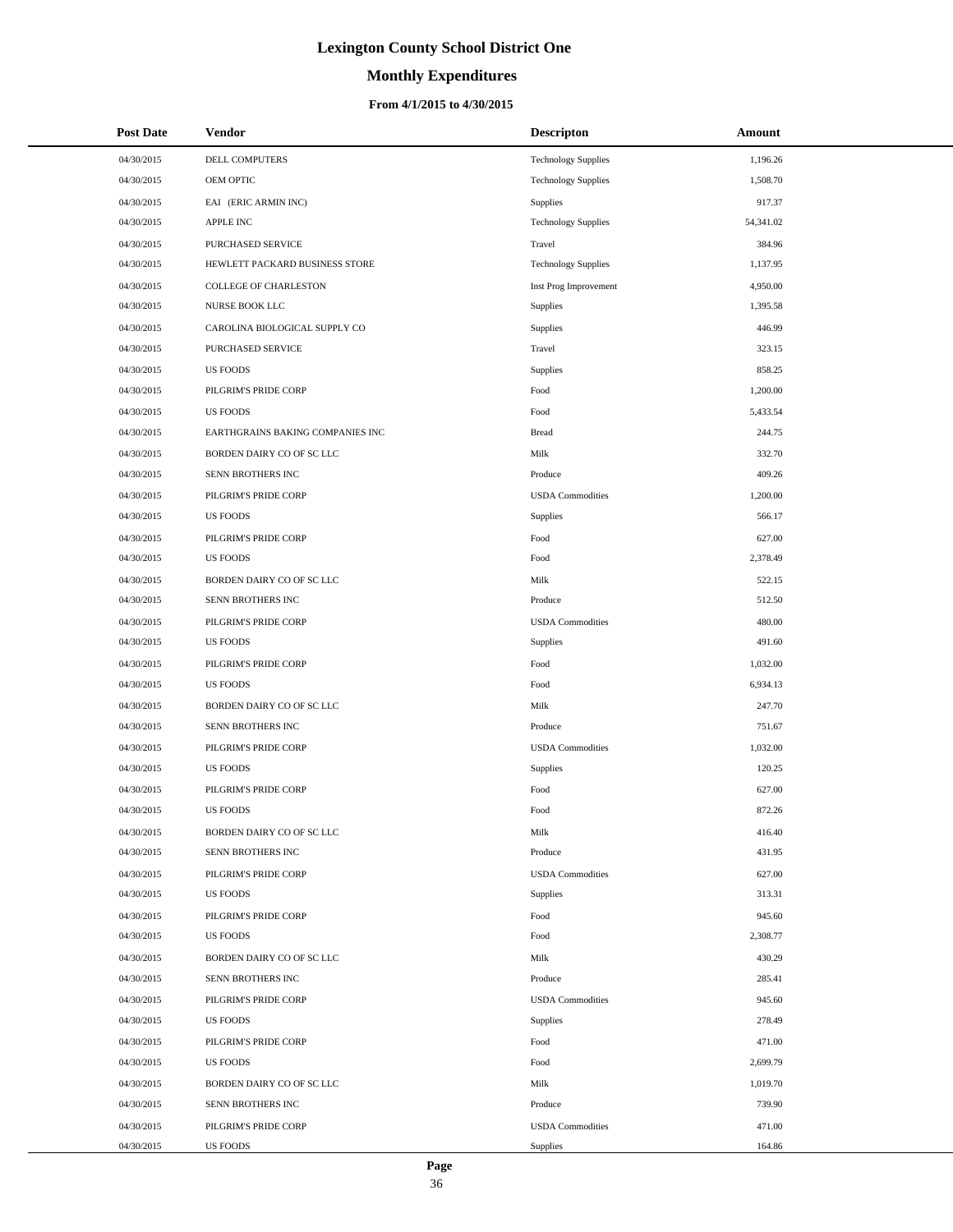# **Monthly Expenditures**

### **From 4/1/2015 to 4/30/2015**

| <b>Post Date</b> | Vendor                           | <b>Descripton</b>          | Amount    |
|------------------|----------------------------------|----------------------------|-----------|
| 04/30/2015       | DELL COMPUTERS                   | <b>Technology Supplies</b> | 1,196.26  |
| 04/30/2015       | OEM OPTIC                        | <b>Technology Supplies</b> | 1,508.70  |
| 04/30/2015       | EAI (ERIC ARMIN INC)             | Supplies                   | 917.37    |
| 04/30/2015       | APPLE INC                        | <b>Technology Supplies</b> | 54,341.02 |
| 04/30/2015       | PURCHASED SERVICE                | Travel                     | 384.96    |
| 04/30/2015       | HEWLETT PACKARD BUSINESS STORE   | <b>Technology Supplies</b> | 1,137.95  |
| 04/30/2015       | COLLEGE OF CHARLESTON            | Inst Prog Improvement      | 4,950.00  |
| 04/30/2015       | NURSE BOOK LLC                   | Supplies                   | 1,395.58  |
| 04/30/2015       | CAROLINA BIOLOGICAL SUPPLY CO    | Supplies                   | 446.99    |
| 04/30/2015       | PURCHASED SERVICE                | Travel                     | 323.15    |
| 04/30/2015       | <b>US FOODS</b>                  | Supplies                   | 858.25    |
| 04/30/2015       | PILGRIM'S PRIDE CORP             | Food                       | 1,200.00  |
| 04/30/2015       | <b>US FOODS</b>                  | Food                       | 5,433.54  |
| 04/30/2015       | EARTHGRAINS BAKING COMPANIES INC | <b>Bread</b>               | 244.75    |
| 04/30/2015       | BORDEN DAIRY CO OF SC LLC        | Milk                       | 332.70    |
| 04/30/2015       | SENN BROTHERS INC                | Produce                    | 409.26    |
| 04/30/2015       | PILGRIM'S PRIDE CORP             | <b>USDA</b> Commodities    | 1,200.00  |
| 04/30/2015       | <b>US FOODS</b>                  | Supplies                   | 566.17    |
| 04/30/2015       | PILGRIM'S PRIDE CORP             | Food                       | 627.00    |
| 04/30/2015       | <b>US FOODS</b>                  | Food                       | 2,378.49  |
| 04/30/2015       | BORDEN DAIRY CO OF SC LLC        | Milk                       | 522.15    |
| 04/30/2015       | SENN BROTHERS INC                | Produce                    | 512.50    |
| 04/30/2015       | PILGRIM'S PRIDE CORP             | <b>USDA</b> Commodities    | 480.00    |
| 04/30/2015       | <b>US FOODS</b>                  | Supplies                   | 491.60    |
| 04/30/2015       | PILGRIM'S PRIDE CORP             | Food                       | 1,032.00  |
| 04/30/2015       | <b>US FOODS</b>                  | Food                       | 6,934.13  |
| 04/30/2015       | BORDEN DAIRY CO OF SC LLC        | Milk                       | 247.70    |
| 04/30/2015       | SENN BROTHERS INC                | Produce                    | 751.67    |
| 04/30/2015       | PILGRIM'S PRIDE CORP             | <b>USDA</b> Commodities    | 1,032.00  |
| 04/30/2015       | <b>US FOODS</b>                  | Supplies                   | 120.25    |
| 04/30/2015       | PILGRIM'S PRIDE CORP             | Food                       | 627.00    |
| 04/30/2015       | <b>US FOODS</b>                  | Food                       | 872.26    |
| 04/30/2015       | BORDEN DAIRY CO OF SC LLC        | Milk                       | 416.40    |
| 04/30/2015       | SENN BROTHERS INC                | Produce                    | 431.95    |
| 04/30/2015       | PILGRIM'S PRIDE CORP             | <b>USDA</b> Commodities    | 627.00    |
| 04/30/2015       | <b>US FOODS</b>                  | Supplies                   | 313.31    |
| 04/30/2015       | PILGRIM'S PRIDE CORP             | Food                       | 945.60    |
| 04/30/2015       | <b>US FOODS</b>                  | Food                       | 2,308.77  |
| 04/30/2015       | BORDEN DAIRY CO OF SC LLC        | Milk                       | 430.29    |
| 04/30/2015       | SENN BROTHERS INC                | Produce                    | 285.41    |
| 04/30/2015       | PILGRIM'S PRIDE CORP             | <b>USDA</b> Commodities    | 945.60    |
| 04/30/2015       | <b>US FOODS</b>                  | Supplies                   | 278.49    |
| 04/30/2015       | PILGRIM'S PRIDE CORP             | Food                       | 471.00    |
| 04/30/2015       | <b>US FOODS</b>                  | Food                       | 2,699.79  |
| 04/30/2015       | BORDEN DAIRY CO OF SC LLC        | Milk                       | 1,019.70  |
| 04/30/2015       | SENN BROTHERS INC                | Produce                    | 739.90    |
| 04/30/2015       | PILGRIM'S PRIDE CORP             | <b>USDA</b> Commodities    | 471.00    |
| 04/30/2015       | US FOODS                         | Supplies                   | 164.86    |

÷.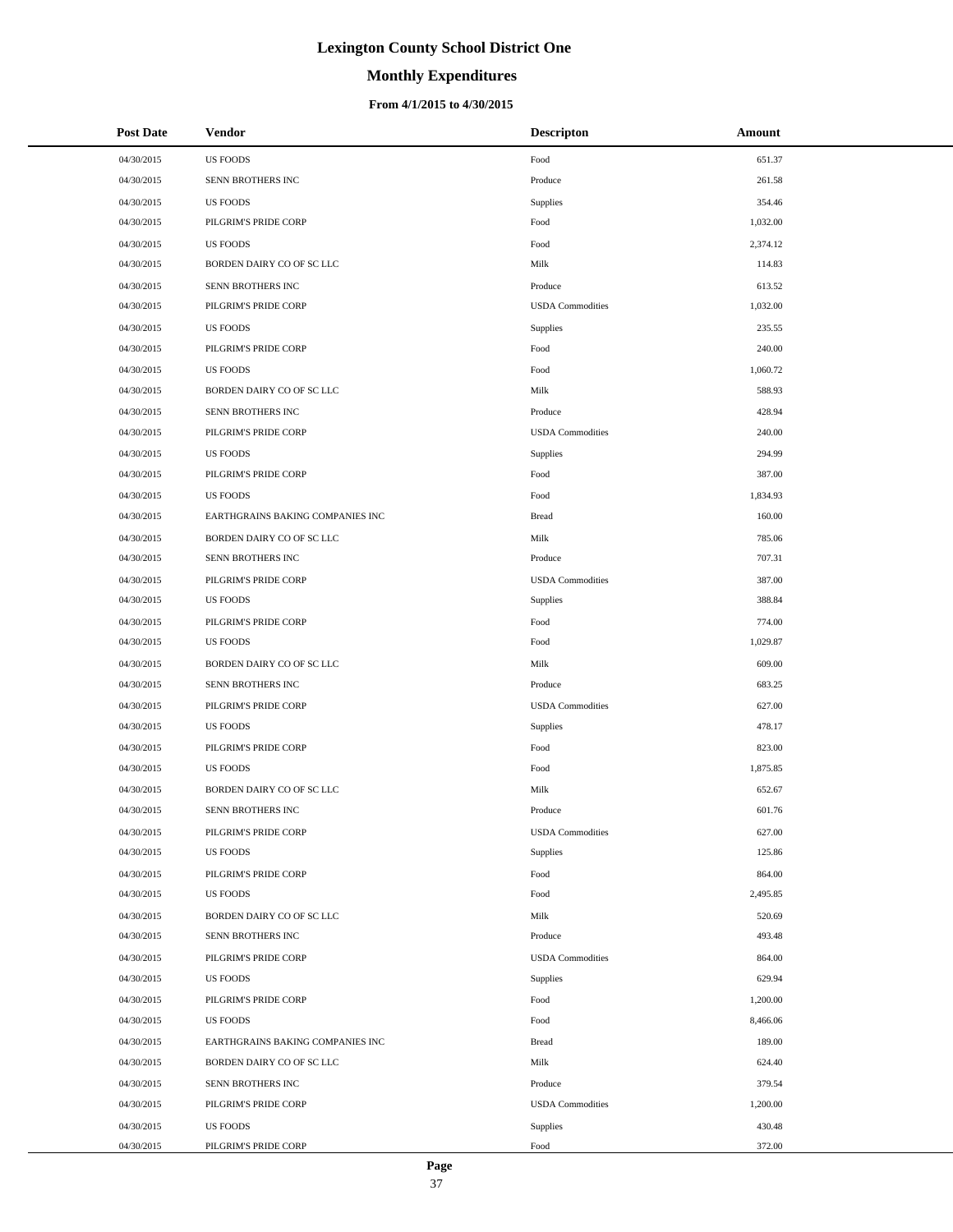# **Monthly Expenditures**

### **From 4/1/2015 to 4/30/2015**

| <b>Post Date</b> | Vendor                           | <b>Descripton</b>       | Amount   |
|------------------|----------------------------------|-------------------------|----------|
| 04/30/2015       | <b>US FOODS</b>                  | Food                    | 651.37   |
| 04/30/2015       | SENN BROTHERS INC                | Produce                 | 261.58   |
| 04/30/2015       | <b>US FOODS</b>                  | Supplies                | 354.46   |
| 04/30/2015       | PILGRIM'S PRIDE CORP             | Food                    | 1,032.00 |
| 04/30/2015       | <b>US FOODS</b>                  | Food                    | 2,374.12 |
| 04/30/2015       | BORDEN DAIRY CO OF SC LLC        | Milk                    | 114.83   |
| 04/30/2015       | SENN BROTHERS INC                | Produce                 | 613.52   |
| 04/30/2015       | PILGRIM'S PRIDE CORP             | <b>USDA</b> Commodities | 1,032.00 |
| 04/30/2015       | <b>US FOODS</b>                  | Supplies                | 235.55   |
| 04/30/2015       | PILGRIM'S PRIDE CORP             | Food                    | 240.00   |
| 04/30/2015       | <b>US FOODS</b>                  | Food                    | 1,060.72 |
| 04/30/2015       | BORDEN DAIRY CO OF SC LLC        | Milk                    | 588.93   |
| 04/30/2015       | SENN BROTHERS INC                | Produce                 | 428.94   |
| 04/30/2015       | PILGRIM'S PRIDE CORP             | <b>USDA</b> Commodities | 240.00   |
| 04/30/2015       | <b>US FOODS</b>                  | Supplies                | 294.99   |
| 04/30/2015       | PILGRIM'S PRIDE CORP             | Food                    | 387.00   |
| 04/30/2015       | <b>US FOODS</b>                  | Food                    | 1,834.93 |
| 04/30/2015       | EARTHGRAINS BAKING COMPANIES INC | <b>Bread</b>            | 160.00   |
| 04/30/2015       | BORDEN DAIRY CO OF SC LLC        | Milk                    | 785.06   |
| 04/30/2015       | SENN BROTHERS INC                | Produce                 | 707.31   |
| 04/30/2015       | PILGRIM'S PRIDE CORP             | <b>USDA</b> Commodities | 387.00   |
| 04/30/2015       | <b>US FOODS</b>                  | Supplies                | 388.84   |
| 04/30/2015       | PILGRIM'S PRIDE CORP             | Food                    | 774.00   |
| 04/30/2015       | <b>US FOODS</b>                  | Food                    | 1,029.87 |
| 04/30/2015       | BORDEN DAIRY CO OF SC LLC        | Milk                    | 609.00   |
| 04/30/2015       | SENN BROTHERS INC                | Produce                 | 683.25   |
| 04/30/2015       | PILGRIM'S PRIDE CORP             | <b>USDA</b> Commodities | 627.00   |
| 04/30/2015       | <b>US FOODS</b>                  | Supplies                | 478.17   |
| 04/30/2015       | PILGRIM'S PRIDE CORP             | Food                    | 823.00   |
| 04/30/2015       | <b>US FOODS</b>                  | Food                    | 1,875.85 |
| 04/30/2015       | BORDEN DAIRY CO OF SC LLC        | Milk                    | 652.67   |
| 04/30/2015       | SENN BROTHERS INC                | Produce                 | 601.76   |
| 04/30/2015       | PILGRIM'S PRIDE CORP             | <b>USDA</b> Commodities | 627.00   |
| 04/30/2015       | <b>US FOODS</b>                  | Supplies                | 125.86   |
| 04/30/2015       | PILGRIM'S PRIDE CORP             | Food                    | 864.00   |
| 04/30/2015       | <b>US FOODS</b>                  | Food                    | 2,495.85 |
| 04/30/2015       | BORDEN DAIRY CO OF SC LLC        | Milk                    | 520.69   |
| 04/30/2015       | SENN BROTHERS INC                | Produce                 | 493.48   |
| 04/30/2015       | PILGRIM'S PRIDE CORP             | <b>USDA</b> Commodities | 864.00   |
| 04/30/2015       | <b>US FOODS</b>                  | Supplies                | 629.94   |
| 04/30/2015       | PILGRIM'S PRIDE CORP             | Food                    | 1,200.00 |
| 04/30/2015       | <b>US FOODS</b>                  | Food                    | 8,466.06 |
| 04/30/2015       | EARTHGRAINS BAKING COMPANIES INC | <b>Bread</b>            | 189.00   |
| 04/30/2015       | BORDEN DAIRY CO OF SC LLC        | Milk                    | 624.40   |
| 04/30/2015       | SENN BROTHERS INC                | Produce                 | 379.54   |
| 04/30/2015       | PILGRIM'S PRIDE CORP             | <b>USDA</b> Commodities | 1,200.00 |
| 04/30/2015       | <b>US FOODS</b>                  | Supplies                | 430.48   |
| 04/30/2015       | PILGRIM'S PRIDE CORP             | Food                    | 372.00   |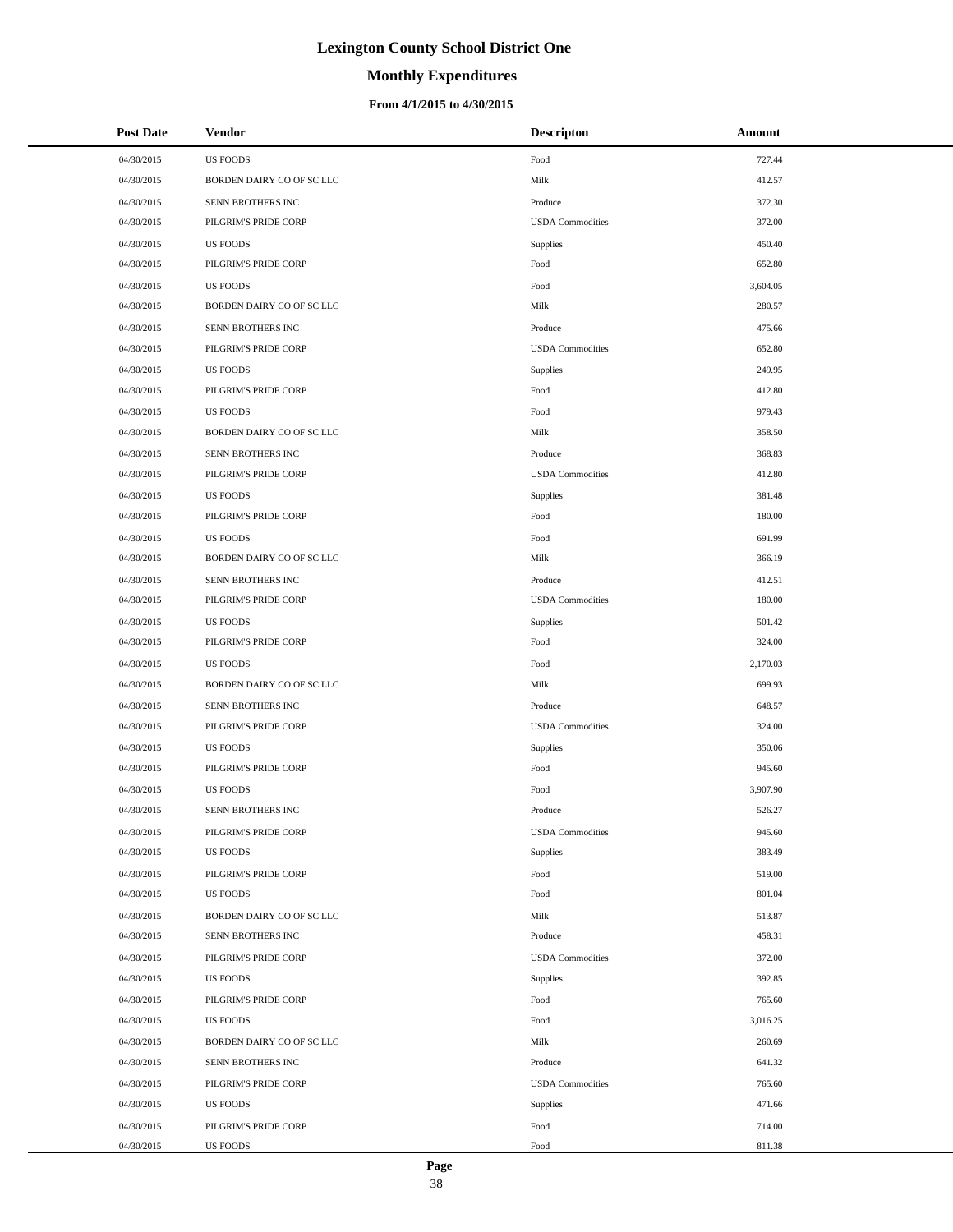# **Monthly Expenditures**

## **From 4/1/2015 to 4/30/2015**

| <b>Post Date</b> | Vendor                    | <b>Descripton</b>       | Amount   |
|------------------|---------------------------|-------------------------|----------|
| 04/30/2015       | <b>US FOODS</b>           | Food                    | 727.44   |
| 04/30/2015       | BORDEN DAIRY CO OF SC LLC | Milk                    | 412.57   |
| 04/30/2015       | SENN BROTHERS INC         | Produce                 | 372.30   |
| 04/30/2015       | PILGRIM'S PRIDE CORP      | <b>USDA</b> Commodities | 372.00   |
| 04/30/2015       | <b>US FOODS</b>           | Supplies                | 450.40   |
| 04/30/2015       | PILGRIM'S PRIDE CORP      | Food                    | 652.80   |
| 04/30/2015       | <b>US FOODS</b>           | Food                    | 3,604.05 |
| 04/30/2015       | BORDEN DAIRY CO OF SC LLC | Milk                    | 280.57   |
| 04/30/2015       | SENN BROTHERS INC         | Produce                 | 475.66   |
| 04/30/2015       | PILGRIM'S PRIDE CORP      | <b>USDA</b> Commodities | 652.80   |
| 04/30/2015       | <b>US FOODS</b>           | Supplies                | 249.95   |
| 04/30/2015       | PILGRIM'S PRIDE CORP      | Food                    | 412.80   |
| 04/30/2015       | <b>US FOODS</b>           | Food                    | 979.43   |
| 04/30/2015       | BORDEN DAIRY CO OF SC LLC | Milk                    | 358.50   |
| 04/30/2015       | SENN BROTHERS INC         | Produce                 | 368.83   |
| 04/30/2015       | PILGRIM'S PRIDE CORP      | <b>USDA</b> Commodities | 412.80   |
| 04/30/2015       | <b>US FOODS</b>           | Supplies                | 381.48   |
| 04/30/2015       | PILGRIM'S PRIDE CORP      | Food                    | 180.00   |
| 04/30/2015       | <b>US FOODS</b>           | Food                    | 691.99   |
| 04/30/2015       | BORDEN DAIRY CO OF SC LLC | Milk                    | 366.19   |
| 04/30/2015       | SENN BROTHERS INC         | Produce                 | 412.51   |
| 04/30/2015       | PILGRIM'S PRIDE CORP      | <b>USDA</b> Commodities | 180.00   |
| 04/30/2015       | <b>US FOODS</b>           | Supplies                | 501.42   |
| 04/30/2015       | PILGRIM'S PRIDE CORP      | Food                    | 324.00   |
| 04/30/2015       | <b>US FOODS</b>           | Food                    | 2,170.03 |
| 04/30/2015       | BORDEN DAIRY CO OF SC LLC | Milk                    | 699.93   |
| 04/30/2015       | SENN BROTHERS INC         | Produce                 | 648.57   |
| 04/30/2015       | PILGRIM'S PRIDE CORP      | <b>USDA</b> Commodities | 324.00   |
| 04/30/2015       | <b>US FOODS</b>           | Supplies                | 350.06   |
| 04/30/2015       | PILGRIM'S PRIDE CORP      | Food                    | 945.60   |
| 04/30/2015       | <b>US FOODS</b>           | Food                    | 3,907.90 |
| 04/30/2015       | <b>SENN BROTHERS INC</b>  | Produce                 | 526.27   |
| 04/30/2015       | PILGRIM'S PRIDE CORP      | <b>USDA</b> Commodities | 945.60   |
| 04/30/2015       | <b>US FOODS</b>           | Supplies                | 383.49   |
| 04/30/2015       | PILGRIM'S PRIDE CORP      | Food                    | 519.00   |
| 04/30/2015       | <b>US FOODS</b>           | Food                    | 801.04   |
| 04/30/2015       | BORDEN DAIRY CO OF SC LLC | Milk                    | 513.87   |
| 04/30/2015       | SENN BROTHERS INC         | Produce                 | 458.31   |
| 04/30/2015       | PILGRIM'S PRIDE CORP      | <b>USDA</b> Commodities | 372.00   |
| 04/30/2015       | <b>US FOODS</b>           | Supplies                | 392.85   |
| 04/30/2015       | PILGRIM'S PRIDE CORP      | Food                    | 765.60   |
| 04/30/2015       | <b>US FOODS</b>           | Food                    | 3,016.25 |
| 04/30/2015       | BORDEN DAIRY CO OF SC LLC | Milk                    | 260.69   |
| 04/30/2015       | SENN BROTHERS INC         | Produce                 | 641.32   |
| 04/30/2015       | PILGRIM'S PRIDE CORP      | <b>USDA</b> Commodities | 765.60   |
| 04/30/2015       | <b>US FOODS</b>           | Supplies                | 471.66   |
| 04/30/2015       | PILGRIM'S PRIDE CORP      | Food                    | 714.00   |
| 04/30/2015       | US FOODS                  | Food                    | 811.38   |

 $\overline{a}$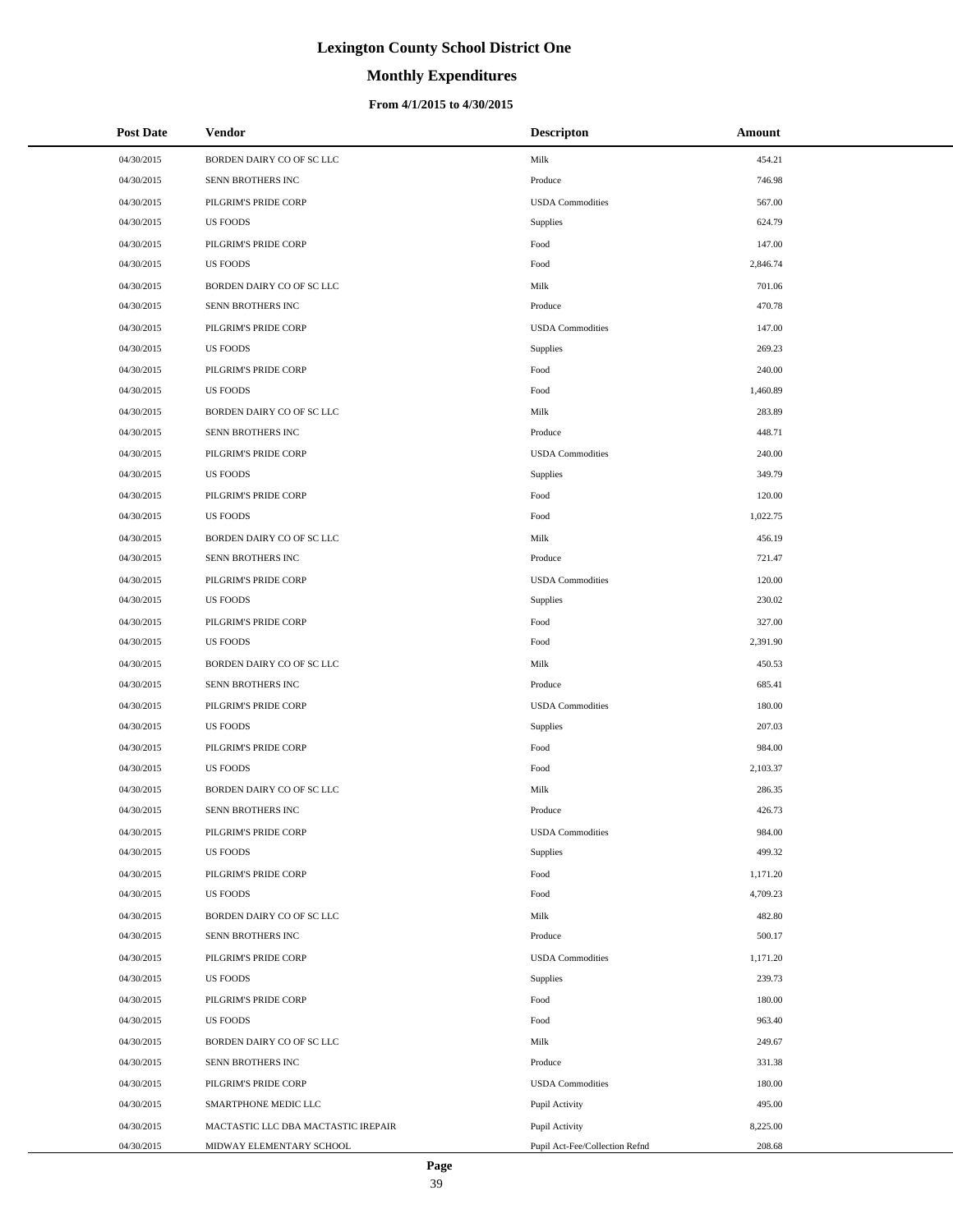# **Monthly Expenditures**

### **From 4/1/2015 to 4/30/2015**

| <b>Post Date</b> | <b>Vendor</b>                       | <b>Descripton</b>              | Amount   |
|------------------|-------------------------------------|--------------------------------|----------|
| 04/30/2015       | BORDEN DAIRY CO OF SC LLC           | Milk                           | 454.21   |
| 04/30/2015       | SENN BROTHERS INC                   | Produce                        | 746.98   |
| 04/30/2015       | PILGRIM'S PRIDE CORP                | <b>USDA</b> Commodities        | 567.00   |
| 04/30/2015       | <b>US FOODS</b>                     | Supplies                       | 624.79   |
| 04/30/2015       | PILGRIM'S PRIDE CORP                | Food                           | 147.00   |
| 04/30/2015       | <b>US FOODS</b>                     | Food                           | 2,846.74 |
| 04/30/2015       | BORDEN DAIRY CO OF SC LLC           | Milk                           | 701.06   |
| 04/30/2015       | SENN BROTHERS INC                   | Produce                        | 470.78   |
| 04/30/2015       | PILGRIM'S PRIDE CORP                | <b>USDA</b> Commodities        | 147.00   |
| 04/30/2015       | <b>US FOODS</b>                     | Supplies                       | 269.23   |
| 04/30/2015       | PILGRIM'S PRIDE CORP                | Food                           | 240.00   |
| 04/30/2015       | <b>US FOODS</b>                     | Food                           | 1,460.89 |
| 04/30/2015       | BORDEN DAIRY CO OF SC LLC           | Milk                           | 283.89   |
| 04/30/2015       | SENN BROTHERS INC                   | Produce                        | 448.71   |
| 04/30/2015       | PILGRIM'S PRIDE CORP                | <b>USDA</b> Commodities        | 240.00   |
| 04/30/2015       | <b>US FOODS</b>                     | Supplies                       | 349.79   |
| 04/30/2015       | PILGRIM'S PRIDE CORP                | Food                           | 120.00   |
| 04/30/2015       | <b>US FOODS</b>                     | Food                           | 1,022.75 |
| 04/30/2015       | BORDEN DAIRY CO OF SC LLC           | Milk                           | 456.19   |
| 04/30/2015       | SENN BROTHERS INC                   | Produce                        | 721.47   |
| 04/30/2015       | PILGRIM'S PRIDE CORP                | <b>USDA</b> Commodities        | 120.00   |
| 04/30/2015       | <b>US FOODS</b>                     | Supplies                       | 230.02   |
| 04/30/2015       | PILGRIM'S PRIDE CORP                | Food                           | 327.00   |
| 04/30/2015       | <b>US FOODS</b>                     | Food                           | 2,391.90 |
| 04/30/2015       | BORDEN DAIRY CO OF SC LLC           | Milk                           | 450.53   |
| 04/30/2015       | SENN BROTHERS INC                   | Produce                        | 685.41   |
| 04/30/2015       | PILGRIM'S PRIDE CORP                | <b>USDA</b> Commodities        | 180.00   |
| 04/30/2015       | <b>US FOODS</b>                     | Supplies                       | 207.03   |
| 04/30/2015       | PILGRIM'S PRIDE CORP                | Food                           | 984.00   |
| 04/30/2015       | <b>US FOODS</b>                     | Food                           | 2,103.37 |
| 04/30/2015       | BORDEN DAIRY CO OF SC LLC           | Milk                           | 286.35   |
| 04/30/2015       | SENN BROTHERS INC                   | Produce                        | 426.73   |
| 04/30/2015       | PILGRIM'S PRIDE CORP                | <b>USDA</b> Commodities        | 984.00   |
| 04/30/2015       | <b>US FOODS</b>                     | Supplies                       | 499.32   |
| 04/30/2015       | PILGRIM'S PRIDE CORP                | Food                           | 1,171.20 |
| 04/30/2015       | <b>US FOODS</b>                     | Food                           | 4,709.23 |
| 04/30/2015       | BORDEN DAIRY CO OF SC LLC           | Milk                           | 482.80   |
| 04/30/2015       | SENN BROTHERS INC                   | Produce                        | 500.17   |
| 04/30/2015       | PILGRIM'S PRIDE CORP                | <b>USDA</b> Commodities        | 1,171.20 |
| 04/30/2015       | <b>US FOODS</b>                     | Supplies                       | 239.73   |
| 04/30/2015       | PILGRIM'S PRIDE CORP                | Food                           | 180.00   |
| 04/30/2015       | <b>US FOODS</b>                     | Food                           | 963.40   |
| 04/30/2015       | BORDEN DAIRY CO OF SC LLC           | Milk                           | 249.67   |
| 04/30/2015       | SENN BROTHERS INC                   | Produce                        | 331.38   |
| 04/30/2015       | PILGRIM'S PRIDE CORP                | <b>USDA</b> Commodities        | 180.00   |
| 04/30/2015       | SMARTPHONE MEDIC LLC                | Pupil Activity                 | 495.00   |
| 04/30/2015       | MACTASTIC LLC DBA MACTASTIC IREPAIR | Pupil Activity                 | 8,225.00 |
| 04/30/2015       | MIDWAY ELEMENTARY SCHOOL            | Pupil Act-Fee/Collection Refnd | 208.68   |